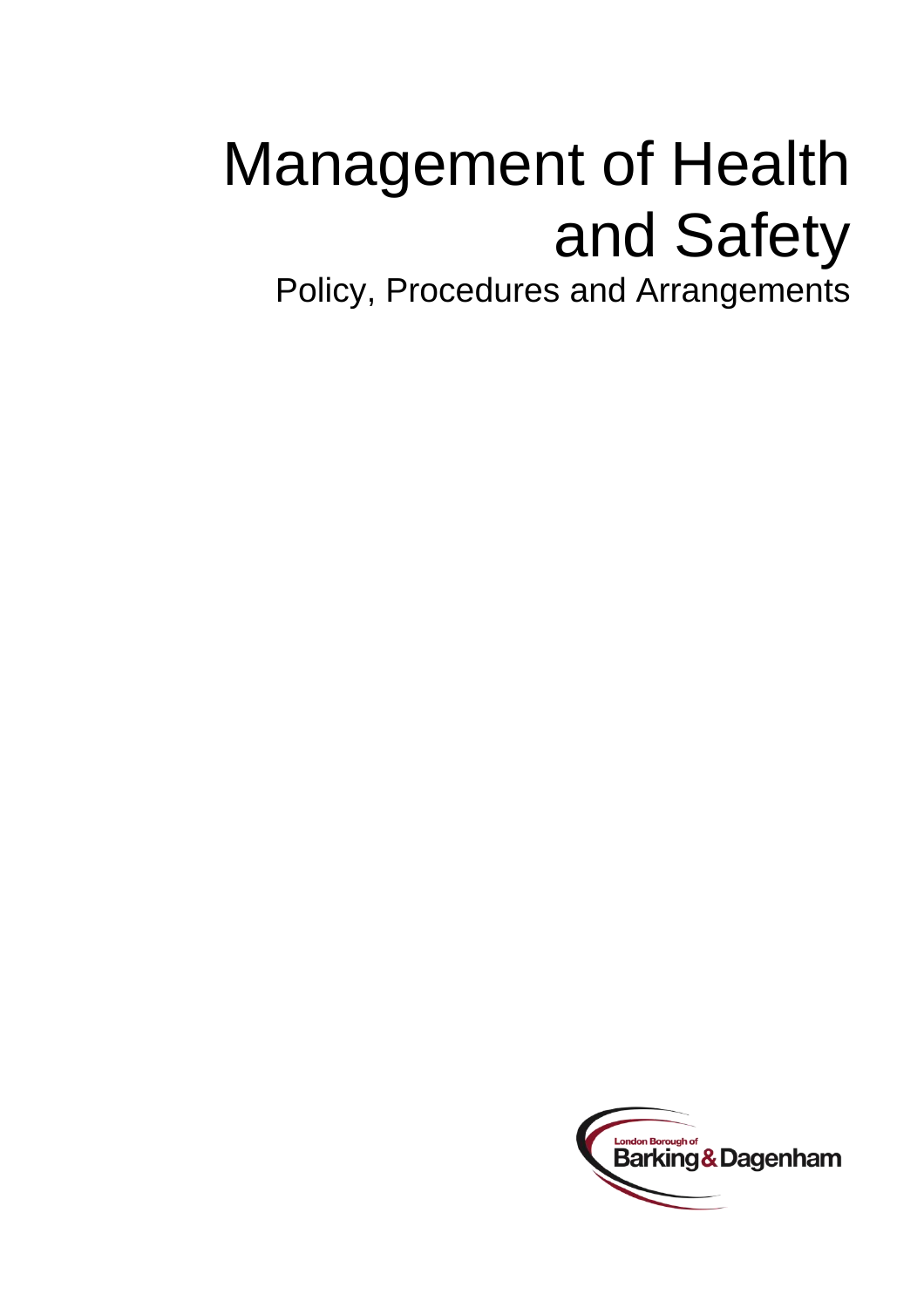### Management of Health and Safety

Policy, Procedures and Arrangements

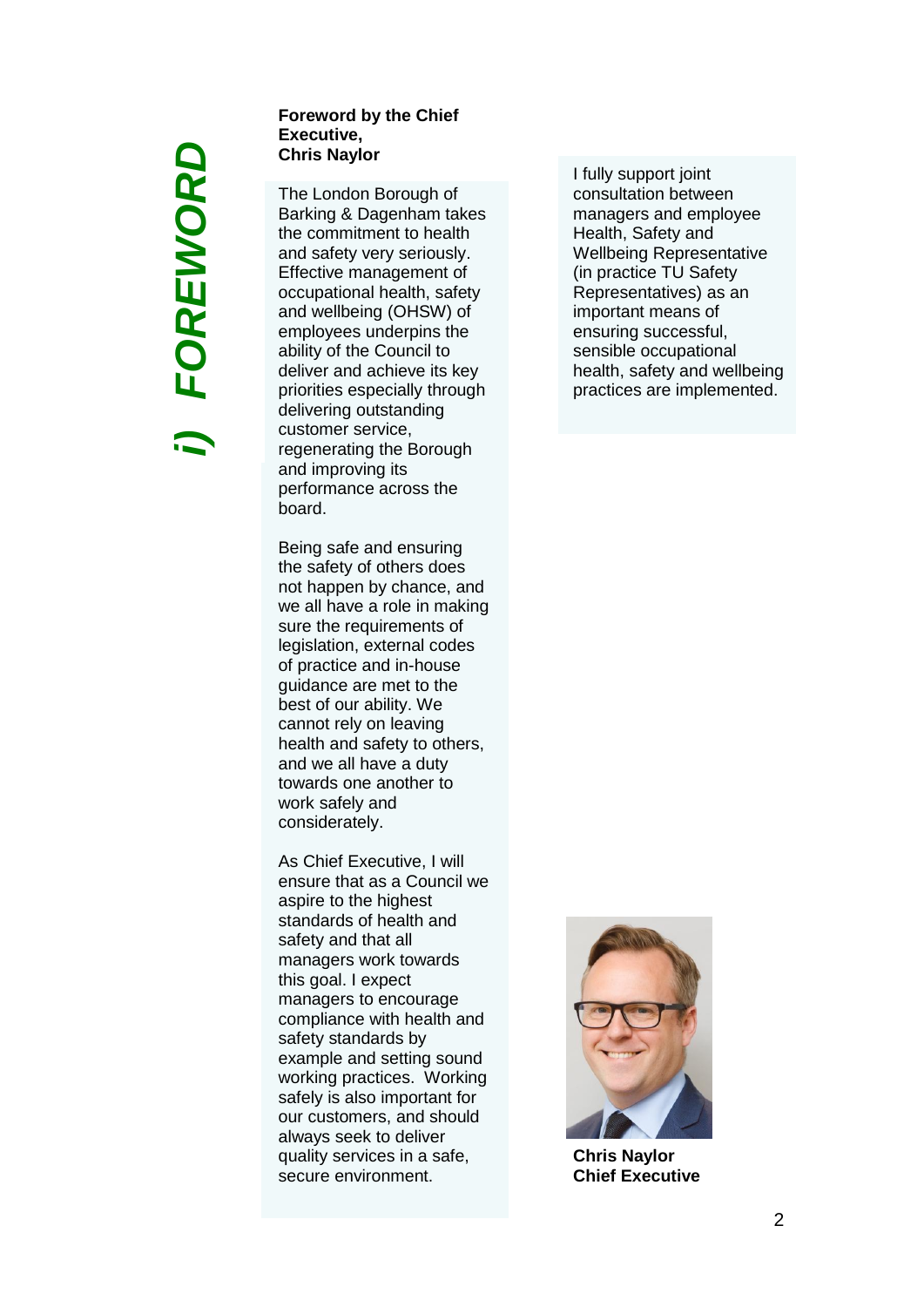### *i) FOREWORD*FOREWORD

### **Foreword by the Chief Executive, Chris Naylor**

The London Borough of Barking & Dagenham takes the commitment to health and safety very seriously. Effective management of occupational health, safety and wellbeing (OHSW) of employees underpins the ability of the Council to deliver and achieve its key priorities especially through delivering outstanding customer service, regenerating the Borough and improving its performance across the board.

Being safe and ensuring the safety of others does not happen by chance, and we all have a role in making sure the requirements of legislation, external codes of practice and in -house guidance are met to the best of our ability. We cannot rely on leaving health and safety to others, and we all have a duty towards one another to work safely and considerately.

As Chief Executive, I will ensure that as a Council we aspire to the highest standards of health and safety and that all managers work towards this goal. I expect managers to encourage compliance with health and safety standards by example and setting sound working practices. Working safely is also important for our customers, and should always seek to delive r quality services in a safe, secure environment.

I fully support joint consultation between managers and employee Health, Safety and Wellbeing Representative (in practice TU Safety Representatives) as an important means of ensuring successful, sensible occupational health, safety and wellbeing practices are implemented.



**Chris Naylor Chief Executive**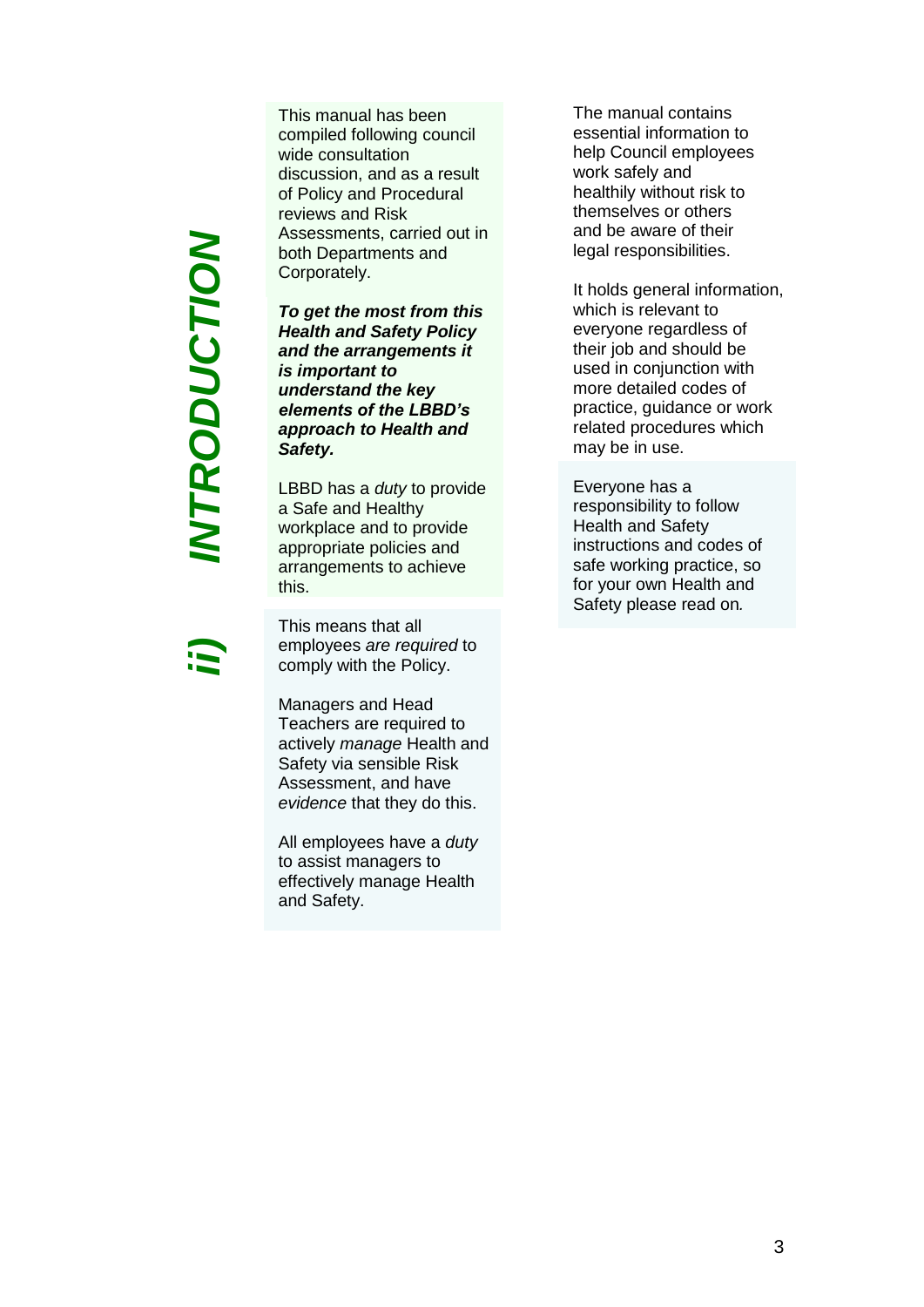*ii) INTRODUCTION*INTRODUCTION

This manual has been compiled following council wide consultation discussion, and as a result of Policy and Procedural reviews and Risk Assessments, carried out in both Departments and Corporately.

*To get the most from this Health and Safety Policy and the arrangements it is important to understand the key elements of the LBBD's approach to Health and Safety.*

LBBD has a *duty* to provide a Safe and Healthy workplace and to provide appropriate policies and arrangements to achieve this.

This means that all employees *are required* to comply with the Policy.

Managers and Head Teachers are required to actively *manage* Health and Safety via sensible Risk Assessment, and have *evidence* that they do this.

All employees have a *duty* to assist managers to effectively manage Health and Safety.

The manual contains essential information to help Council employees work safely and healthily without risk to themselves or others and be aware of their legal responsibilities.

It holds general information, which is relevant to everyone regardless of their job and should be used in conjunction with more detailed codes of practice, guidance or work related procedures which may be in use.

Everyone has a responsibility to follow Health and Safety instructions and codes of safe working practice, so for your own Health and Safety please read on*.*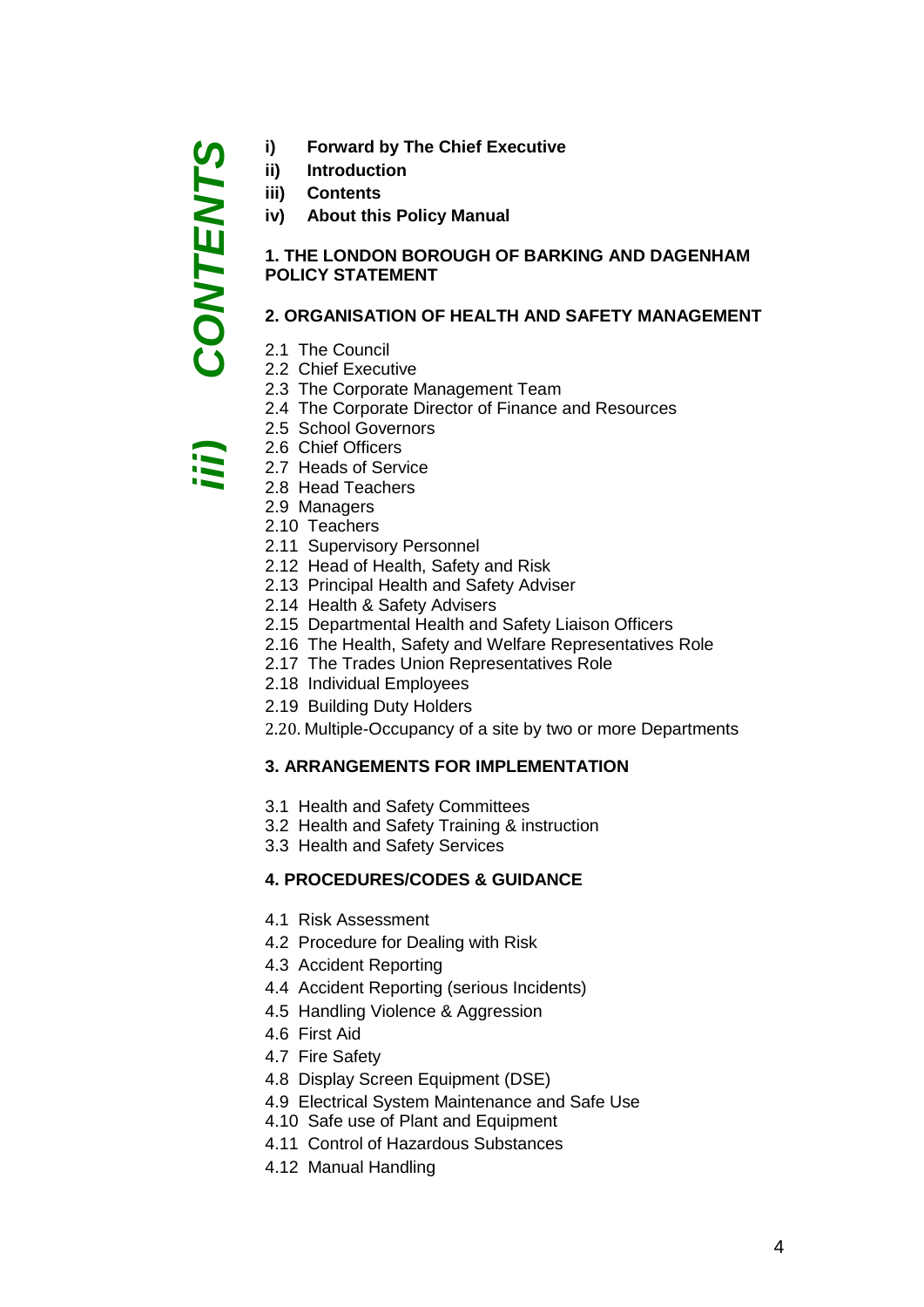- **i) Forward by The Chief Executive**
- **ii) Introduction**
- **iii) Contents**

CONTENTS

**iv) About this Policy Manual**

### **1. THE LONDON BOROUGH OF BARKING AND DAGENHAM POLICY STATEMENT**

### **2. ORGANISATION OF HEALTH AND SAFETY MANAGEMENT**

- 2.1 The Council
- 2.2 Chief Executive
- 2.3 The Corporate Management Team
- 2.4 The Corporate Director of Finance and Resources
- 2.5 School Governors
- 2.6 Chief Officers
- 2.7 Heads of Service *iii) CONTENTS*
	- 2.8 Head Teachers
	- 2.9 Managers
	- 2.10 Teachers
	- 2.11 Supervisory Personnel
	- 2.12 Head of Health, Safety and Risk
	- 2.13 Principal Health and Safety Adviser
	- 2.14 Health & Safety Advisers
	- 2.15 Departmental Health and Safety Liaison Officers
	- 2.16 The Health, Safety and Welfare Representatives Role
	- 2.17 The Trades Union Representatives Role
	- 2.18 Individual Employees
	- 2.19 Building Duty Holders
	- 2.20. Multiple-Occupancy of a site by two or more Departments

### **3. ARRANGEMENTS FOR IMPLEMENTATION**

- 3.1 Health and Safety Committees
- 3.2 Health and Safety Training & instruction
- 3.3 Health and Safety Services

### **4. PROCEDURES/CODES & GUIDANCE**

- 4.1 Risk Assessment
- 4.2 Procedure for Dealing with Risk
- 4.3 Accident Reporting
- 4.4 Accident Reporting (serious Incidents)
- 4.5 Handling Violence & Aggression
- 4.6 First Aid
- 4.7 Fire Safety
- 4.8 Display Screen Equipment (DSE)
- 4.9 Electrical System Maintenance and Safe Use
- 4.10 Safe use of Plant and Equipment
- 4.11 Control of Hazardous Substances
- 4.12 Manual Handling

4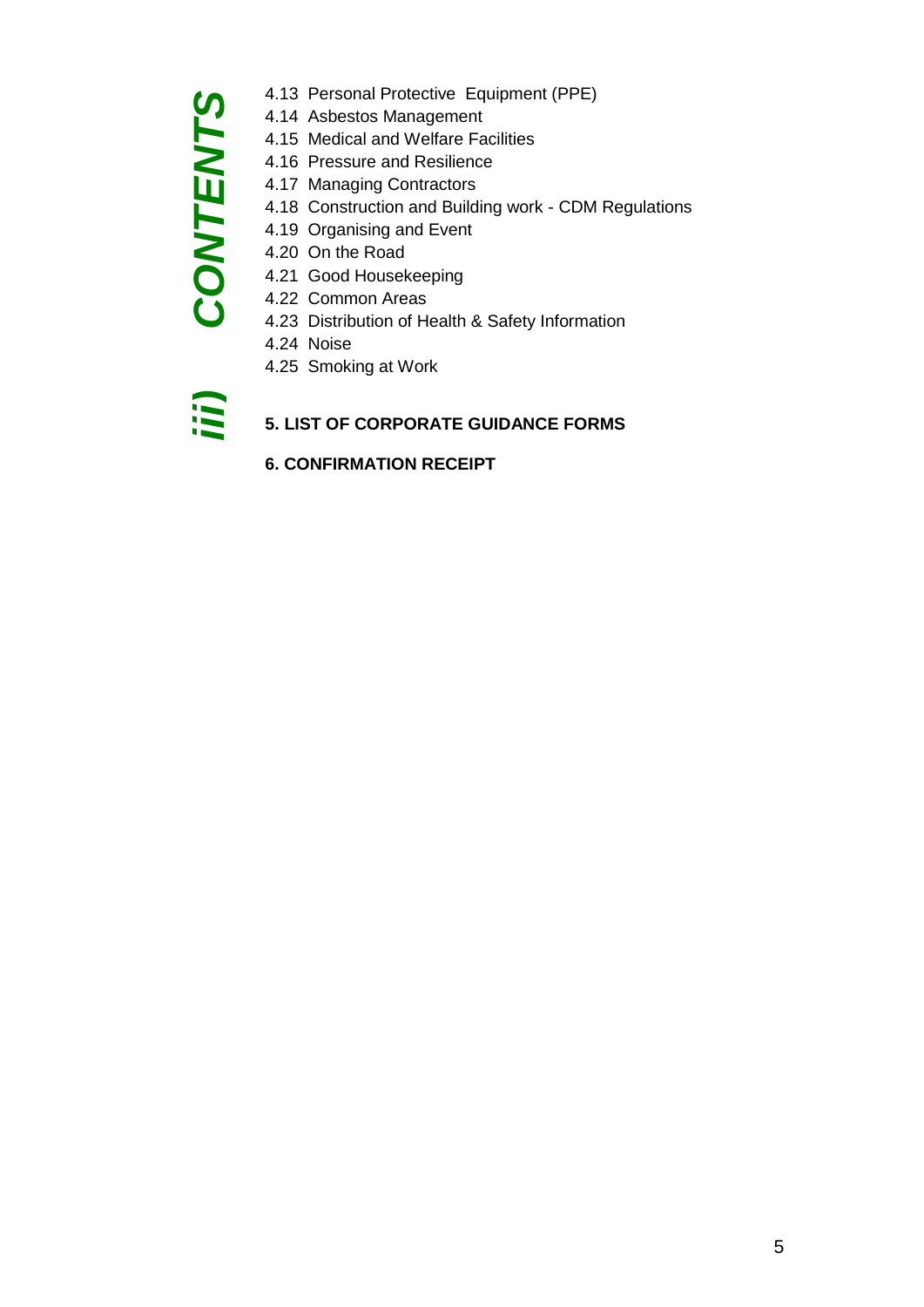### **CONTENTS** *iii) CONTENTS*

- 4.13 Personal Protective Equipment (PPE)
- 4.14 Asbestos Management
- 4.15 Medical and Welfare Facilities
- 4.16 Pressure and Resilience
- 4.17 Managing Contractors
- 4.18 Construction and Building work CDM Regulations
- 4.19 Organising and Event
- 4.20 On the Road
- 4.21 Good Housekeeping
- 4.22 Common Areas
- 4.23 Distribution of Health & Safety Information
- 4.24 Noise
- 4.25 Smoking at Work

(ii)

### **5. LIST OF CORPORATE GUIDANCE FORMS**

**6. CONFIRMATION RECEIPT**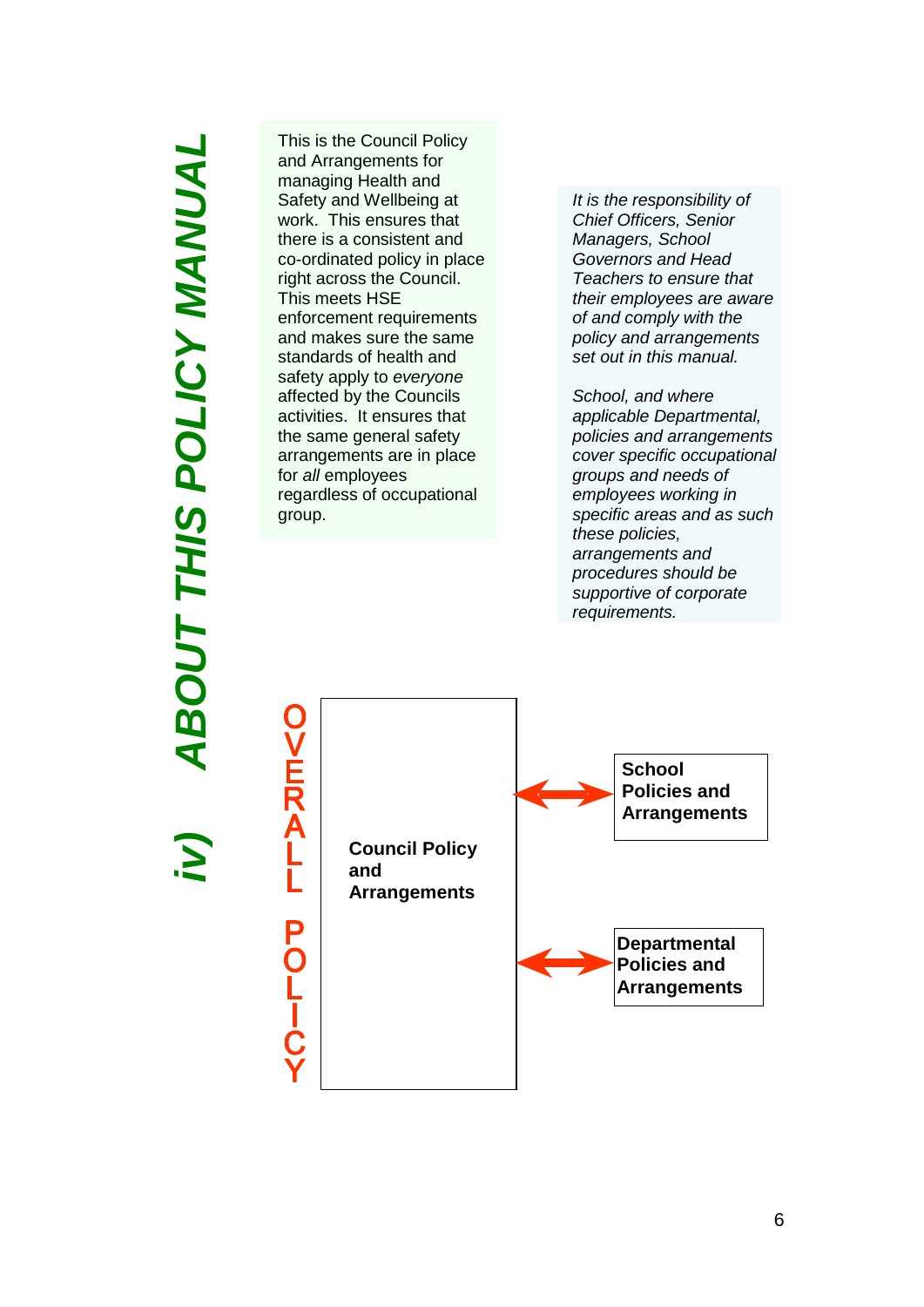# *iv) ABOUT THIS POLICY MANUAL* **ABOUT THIS POLICY MANUAL**

This is the Council Policy and Arrangements for managing Health and Safety and Wellbeing at work. This ensures that there is a consistent and co-ordinated policy in place right across the Council. This meets HSE enforcement requirements and makes sure the same standards of health and safety apply to *everyone* affected by the Councils activities. It ensures that the same general safety arrangements are in place for *all* employees regardless of occupational group.

*It is the responsibility of Chief Officers, Senior Managers, School Governors and Head Teachers to ensure that their employees are aware of and comply with the policy and arrangements set out in this manual.* 

*School, and where applicable Departmental, policies and arrangements cover specific occupational groups and needs of employees working in specific areas and as such these policies, arrangements and procedures should be supportive of corporate requirements.* 



6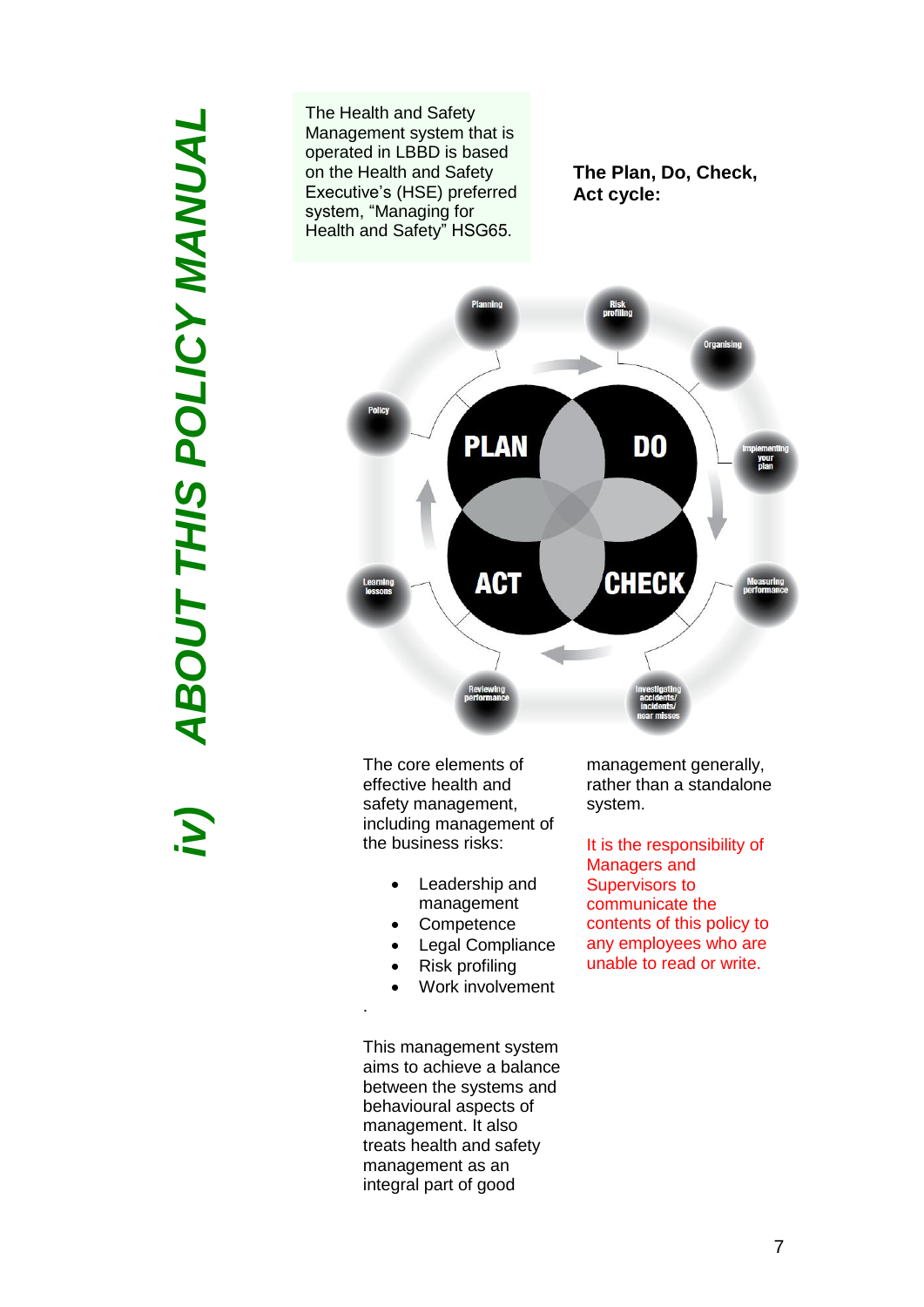# *iv) ABOUT THIS POLICY MANUAL***ABOUT THIS POLICY MANUAL** iv)

The Health and Safety Management system that is operated in LBBD is based on the Health and Safety Executive's (HSE) preferred system, "Managing for Health and Safety" HSG65.

**The Plan, Do, Check, Act cycle:**



The core elements of effective health and safety management, including management of the business risks:

- Leadership and management
- **Competence**
- Legal Compliance
- Risk profiling

.

Work involvement

This management system aims to achieve a balance between the systems and behavioural aspects of management. It also treats health and safety management as an integral part of good

management generally, rather than a standalone system.

It is the responsibility of Managers and Supervisors to communicate the contents of this policy to any employees who are unable to read or write.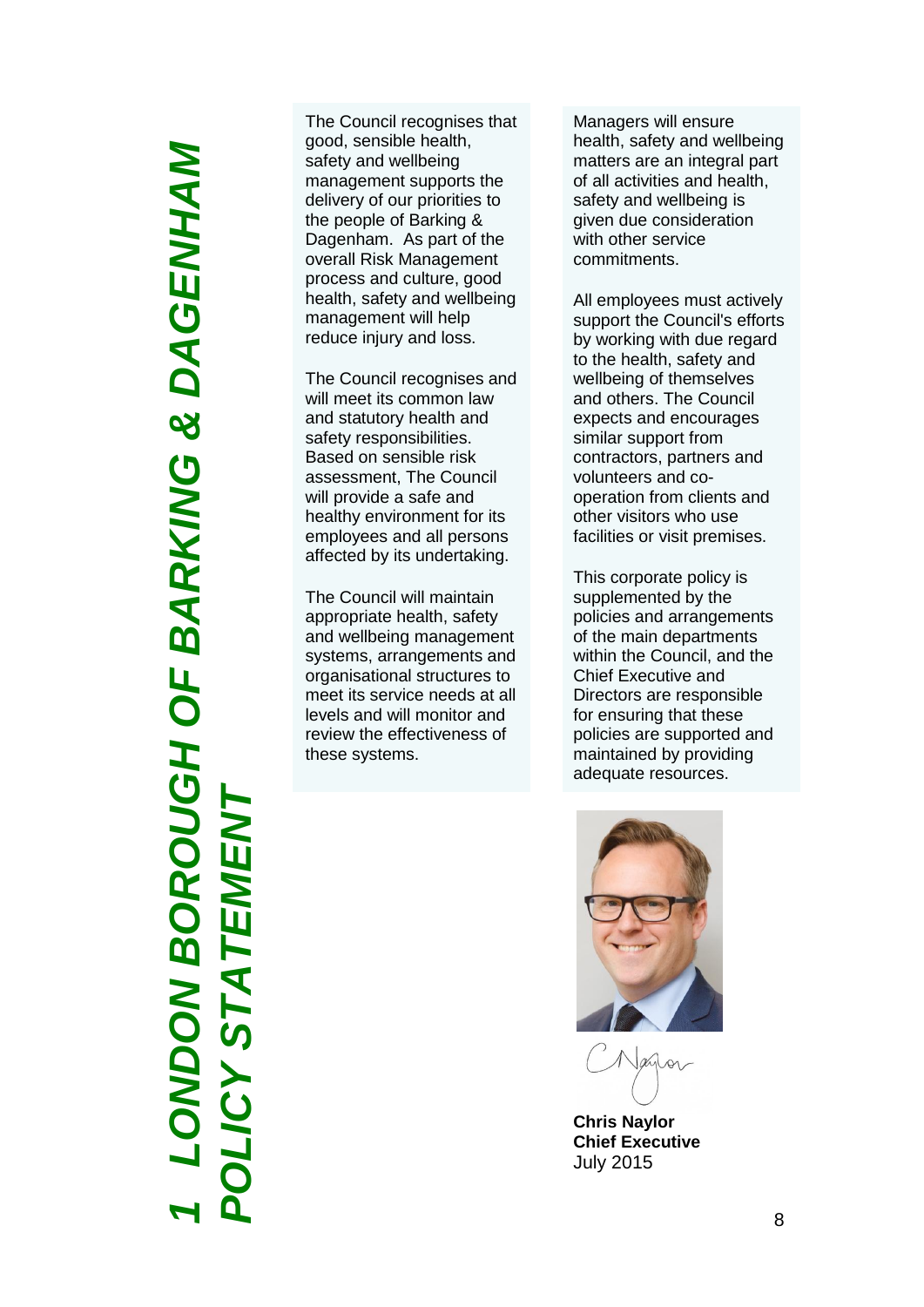*LONDON BOROUGH OF BARKING & DAGENHAM*  **ONDON BOROUGH OF BARKING & DAGENHAM** *POLICY STATEMENT* $\mathbf \Pi$ **LICY STATEM** *1*

The Council recognises that good, sensible health, safety and wellbeing management supports the delivery of our priorities to the people of Barking & Dagenham. As part of the overall Risk Management process and culture, good health, safety and wellbeing management will help reduce injury and loss.

The Council recognises and will meet its common law and statutory health and safety responsibilities. Based on sensible risk assessment, The Council will provide a safe and healthy environment for its employees and all persons affected by its undertaking.

The Council will maintain appropriate health, safety and wellbeing management systems, arrangements and organisational structures to meet its service needs at all levels and will monitor and review the effectiveness of these systems.

Managers will ensure health, safety and wellbeing matters are an integral part of all activities and health, safety and wellbeing is given due consideration with other service commitments.

All employees must actively support the Council's efforts by working with due regard to the health, safety and wellbeing of themselves and others. The Council expects and encourages similar support from contractors, partners and volunteers and co operation from clients and other visitors who use facilities or visit premises.

This corporate policy is supplemented by the policies and arrangements of the main departments within the Council, and the Chief Executive and Directors are responsible for ensuring that these policies are supported and maintained by providing adequate resources.



**Chris Naylor Chief Executive** July 2015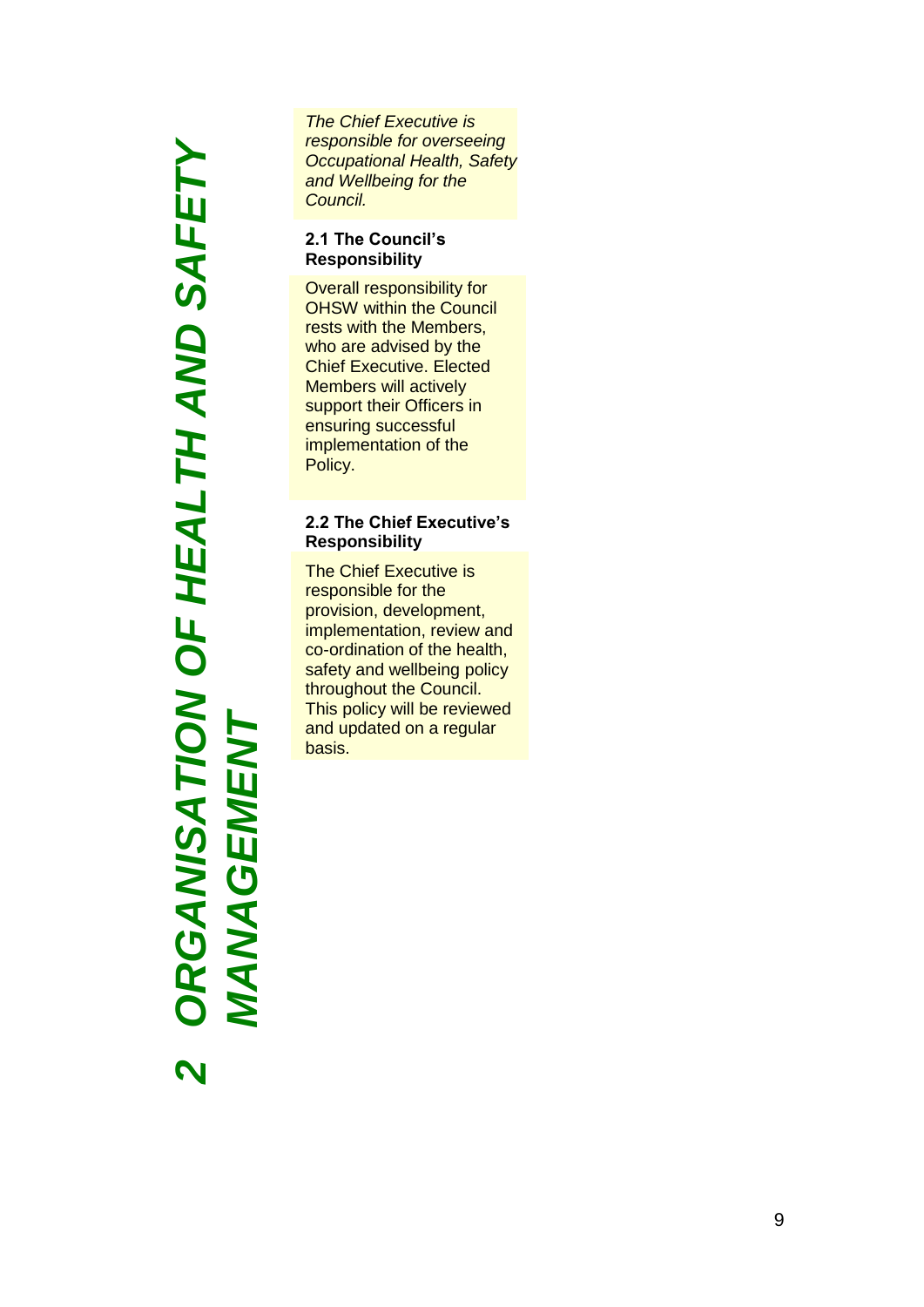*ORGANISATION OF HEALTH AND SAFETY*  **RGANISATION OF HEALTH AND SAFETY** *MANAGEMENT***MANAGEMENT** 2<br>2<br>2<br>2<br>2<br>2<br>2<br>2<br>2<br>2<br>2<br>2<br>2<br>2<br>2<br>2<br><br>**2**<br><br><br><br><br><br><br><br><br><br>2<br>2<br>

*The Chief Executive is responsible for overseeing Occupational Health, Safety and Wellbeing for the Council.*

### **2.1 The Council's Responsibility**

Overall responsibility for OHSW within the Council rests with the Members, who are advised by the Chief Executive. Elected Members will actively support their Officers in ensuring successful implementation of the Policy.

### **2.2 The Chief Executive's Responsibility**

The Chief Executive is responsible for the provision, development, implementation, review and co -ordination of the health, safety and wellbeing policy throughout the Council. This policy will be reviewed and updated on a regular basis.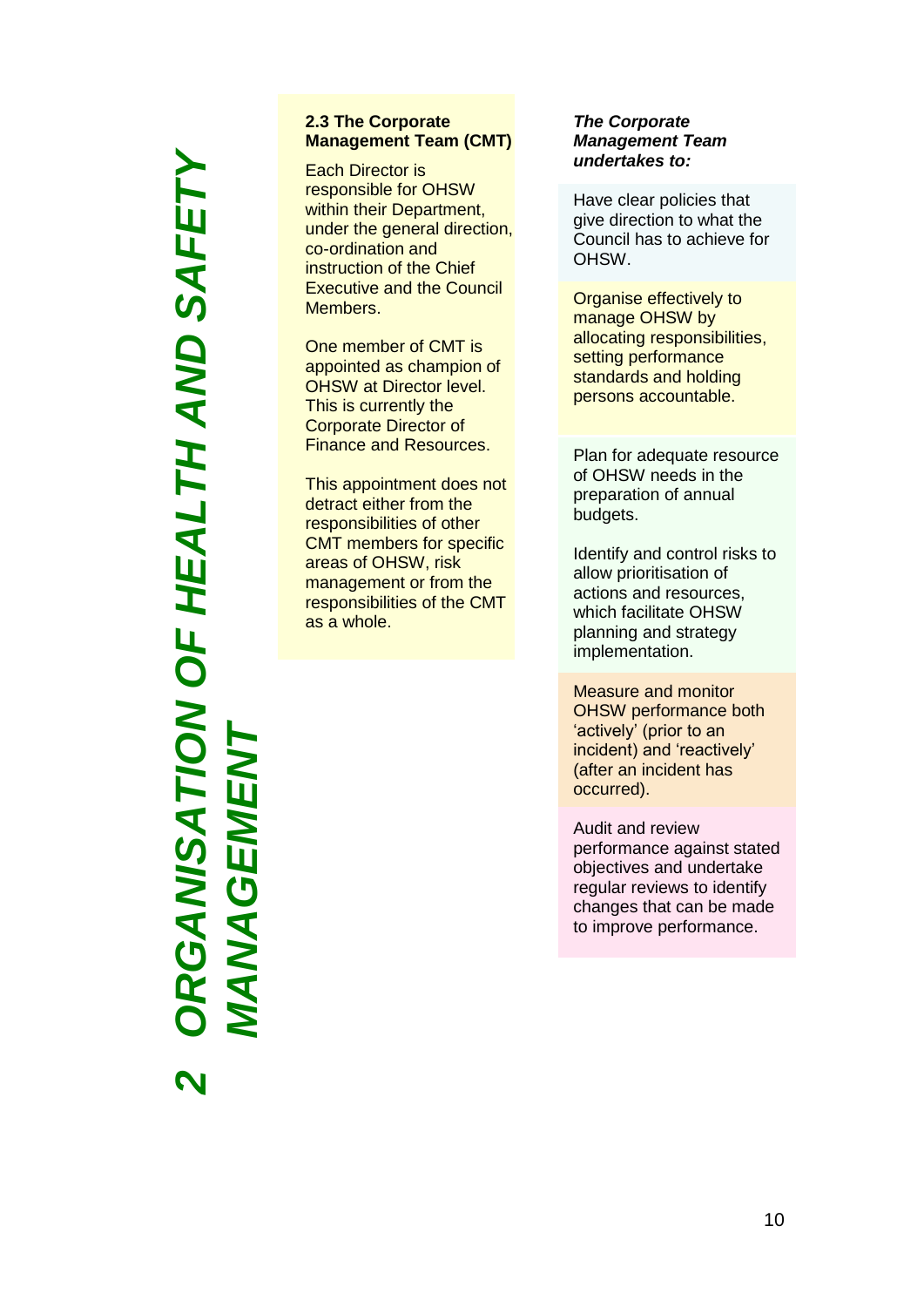### *ORGANISATION OF HEALTH AND SAFETY*  RGANISATION OF HEALTH AND SAFETY *MANAGEMENT***NAGEMEN**  $\blacktriangleleft$ *2*

### **2.3 The Corporate Management Team (CMT)**

Each Director is responsible for OHSW within their Department, under the general direction, co-ordination and instruction of the Chief Executive and the Council Members.

One member of CMT is appointed as champion of OHSW at Director level. This is currently the Corporate Director of Finance and Resources.

This appointment does not detract either from the responsibilities of other CMT members for specific areas of OHSW, risk management or from the responsibilities of the CMT as a whole.

### *The Corporate Management Team undertakes to:*

Have clear policies that give direction to what the Council has to achieve for OHSW.

Organise effectively to manage OHSW by allocating responsibilities, setting performance standards and holding persons accountable.

Plan for adequate resource of OHSW needs in the preparation of annual budgets.

Identify and control risks to allow prioritisation of actions and resources, which facilitate OHSW planning and strategy implementation.

Measure and monitor OHSW performance both 'actively' (prior to an incident) and 'reactively' (after an incident has occurred).

Audit and review performance against stated objectives and undertake regular reviews to identify changes that can be made to improve performance.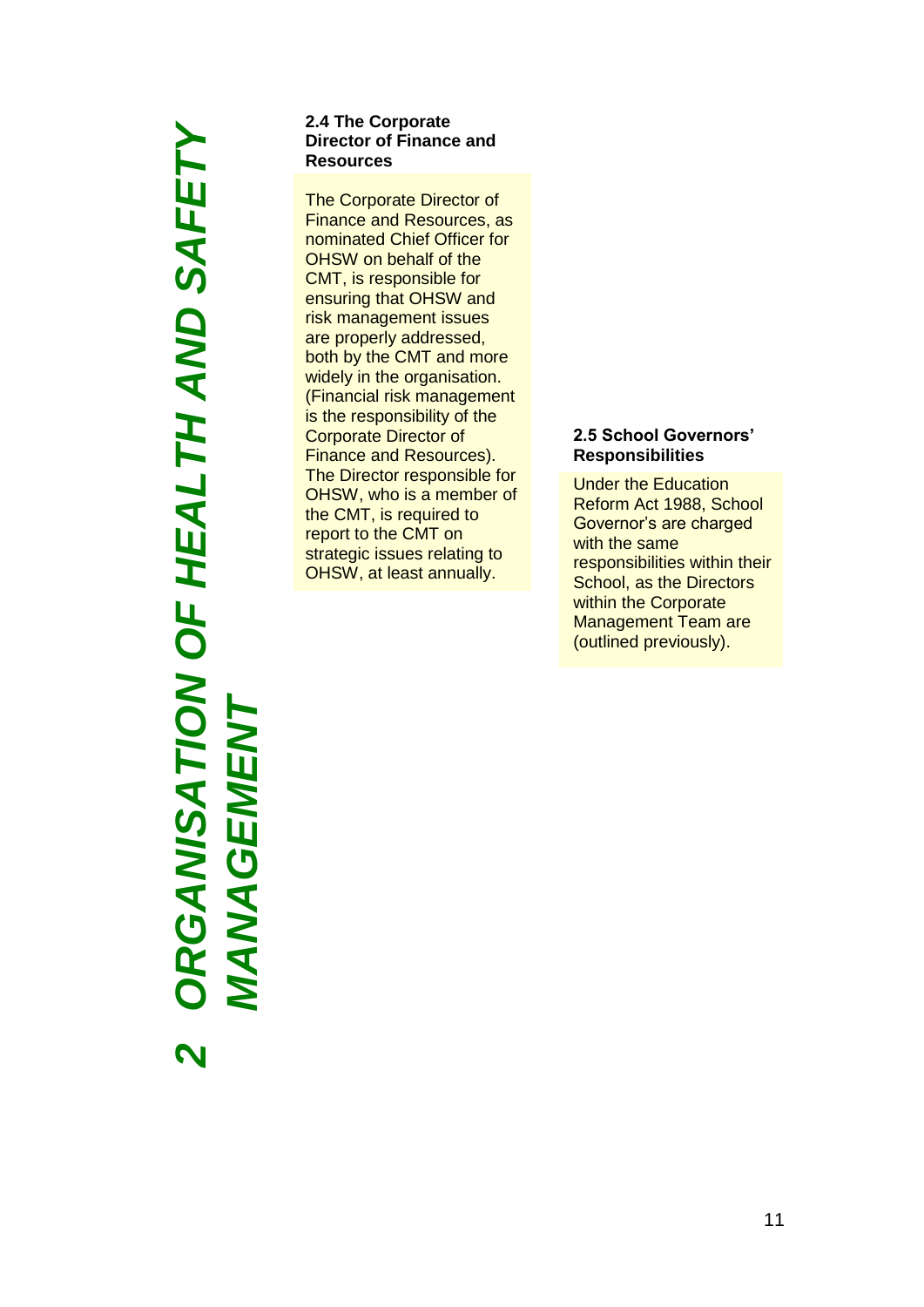### *ORGANISATION OF HEALTH AND SAFETY*  **RGANISATION OF HEALTH AND SAFETY** *MANAGEMENT*NAGEMENT MA *2*

### **2.4 The Corporate Director of Finance and Resources**

The Corporate Director of Finance and Resources, as nominated Chief Officer for OHSW on behalf of the CMT, is responsible for ensuring that OHSW and risk management issues are properly addressed, both by the CMT and more widely in the organisation. (Financial risk management is the responsibility of the Corporate Director of Finance and Resources). The Director responsible for OHSW, who is a member of the CMT, is required to report to the CMT on strategic issues relating to OHSW, at least annually.

### **2.5 School Governors' Responsibilities**

Under the Education Reform Act 1988, School Governor's are charged with the same responsibilities within their School, as the Directors within the Corporate Management Team are (outlined previously).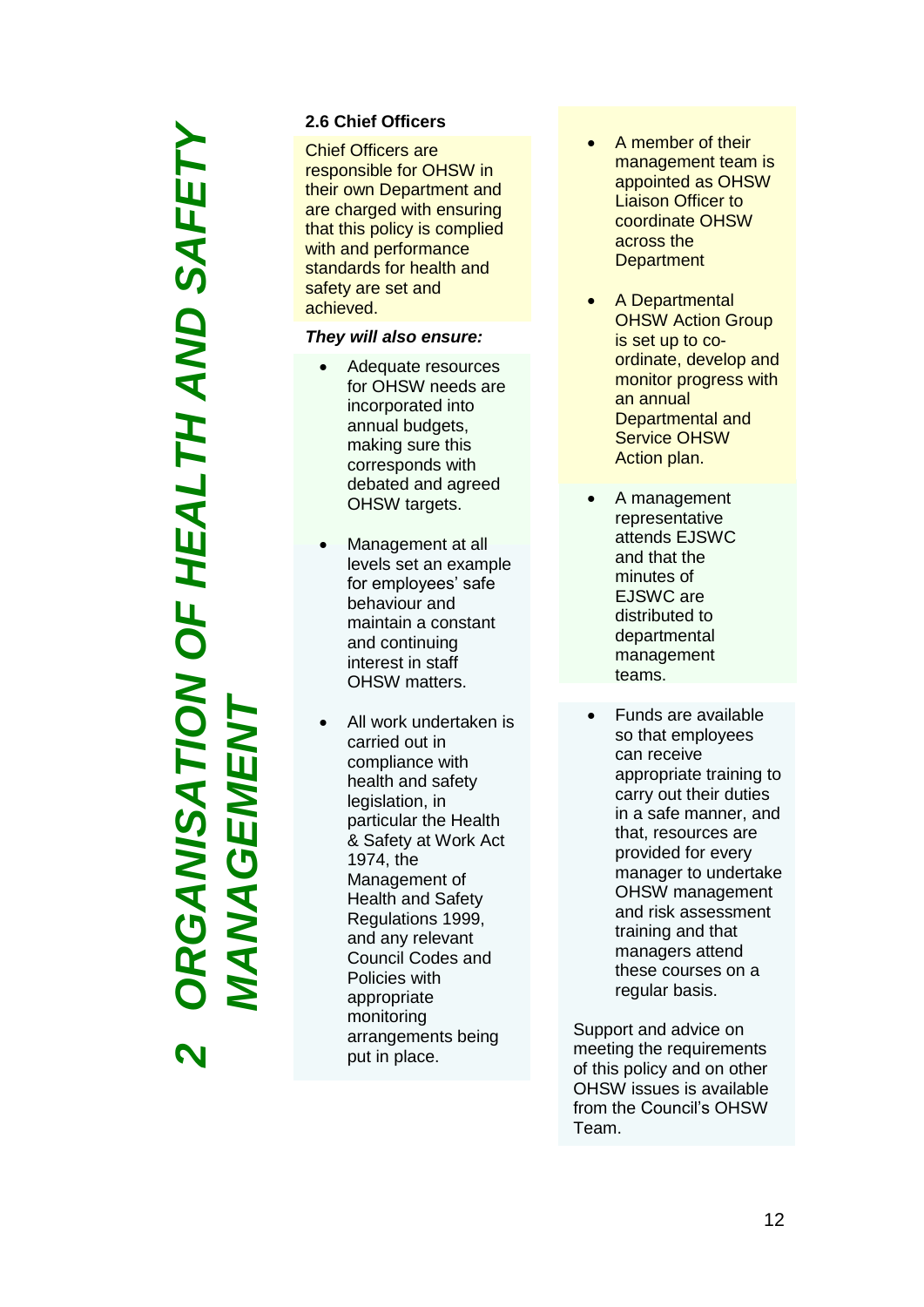# *ORGANISATION OF HEALTH AND SAFETY*  RGANISATION OF HEALTH AND SAFETY *MANAGEMENT***NAGEMEN** *2*

### **2.6 Chief Officers**

Chief Officers are responsible for OHSW in their own Department and are charged with ensuring that this policy is complied with and performance standards for health and safety are set and achieved.

### *They will also ensure:*

- Adequate resources for OHSW needs are incorporated into annual budgets, making sure this correspond s with debated and agreed OHSW targets.
- Management at all levels set an example for employees' safe behaviour and maintain a constant and continuing interest in staff OHSW matters.
- All work undertaken is carried out in compliance with health and safety legislation, in particular the Health & Safety at Work Act 1974, the Management of Health and Safety Regulations 1999, and any relevant Council Codes and Policies with appropriate monitoring arrangements being put in place.
- A member of their management team is appointed as OHSW Liaison Officer to coordinate OHSW across the **Department**
- A Departmental **OHSW Action Group** is set up to co ordinate, develop and monitor progress with an annual Departmental and Service OHSW Action plan.
- A management representative attends EJSWC and that the minutes of EJS WC are distributed to departmental management teams.
- Funds are available so that employees can receive appropriate training to carry out their duties in a safe manner, and that, resources are provided for every manager to undertake OHSW management and risk assessment training and that managers attend these courses on a regular basis.

Support and advice on meeting the requirements of this policy and on other OHSW issues is available from the Council's OHSW Team.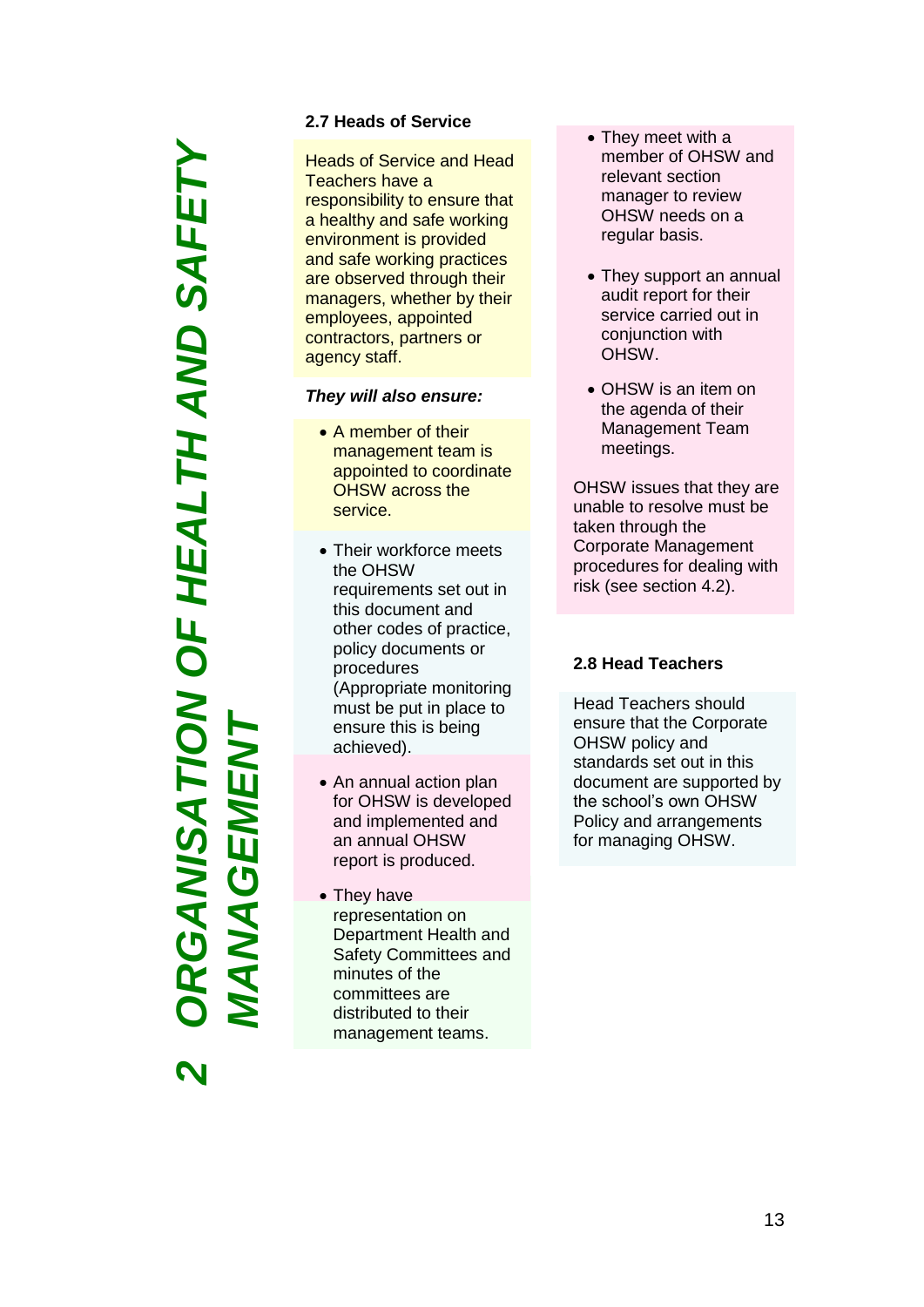*ORGANISATION OF HEALTH AND SAFETY*  RGANISATION OF HEALTH AND SAFETY *MANAGEMENT***NAGEMEN** 

*2*

### **2.7 Heads of Service**

Heads of Service and Head Teachers have a responsibility to ensure that a healthy and safe working environment is provided and safe working practices are observed through their managers, whether by their employees, appointed contractors, partners or agency staff.

### *They will also ensure :*

- A member of their management team is appointed to coordinate OHSW across the service.
- Their workforce meets the OHSW requirements set out in this document and other codes of practice, policy documents or procedures (Appropriate monitoring must be put in place to ensure this is being achieved).
- An annual action plan for OHSW is developed and implemented and an annual OHSW report is produced.
- They have representation on Department Health and Safety Committees and minutes of the committees are distributed to their management teams.
- They meet with a member of OHSW and relevant section manager to review OHSW needs on a regular basis.
- They support an annual audit report for their service carried out in conjunction with OHSW .
- OHSW is an item on the agenda of their Management Team meetings.

OHSW issues that they are unable to resolve must be taken through the Corporate Management procedures for dealing with risk (see section 4.2).

### **2.8 Head Teachers**

Head Teachers should ensure that the Corporate OHSW policy and standards set out in this document are supported by the school's own OHSW Policy and arrangements for managing OHSW .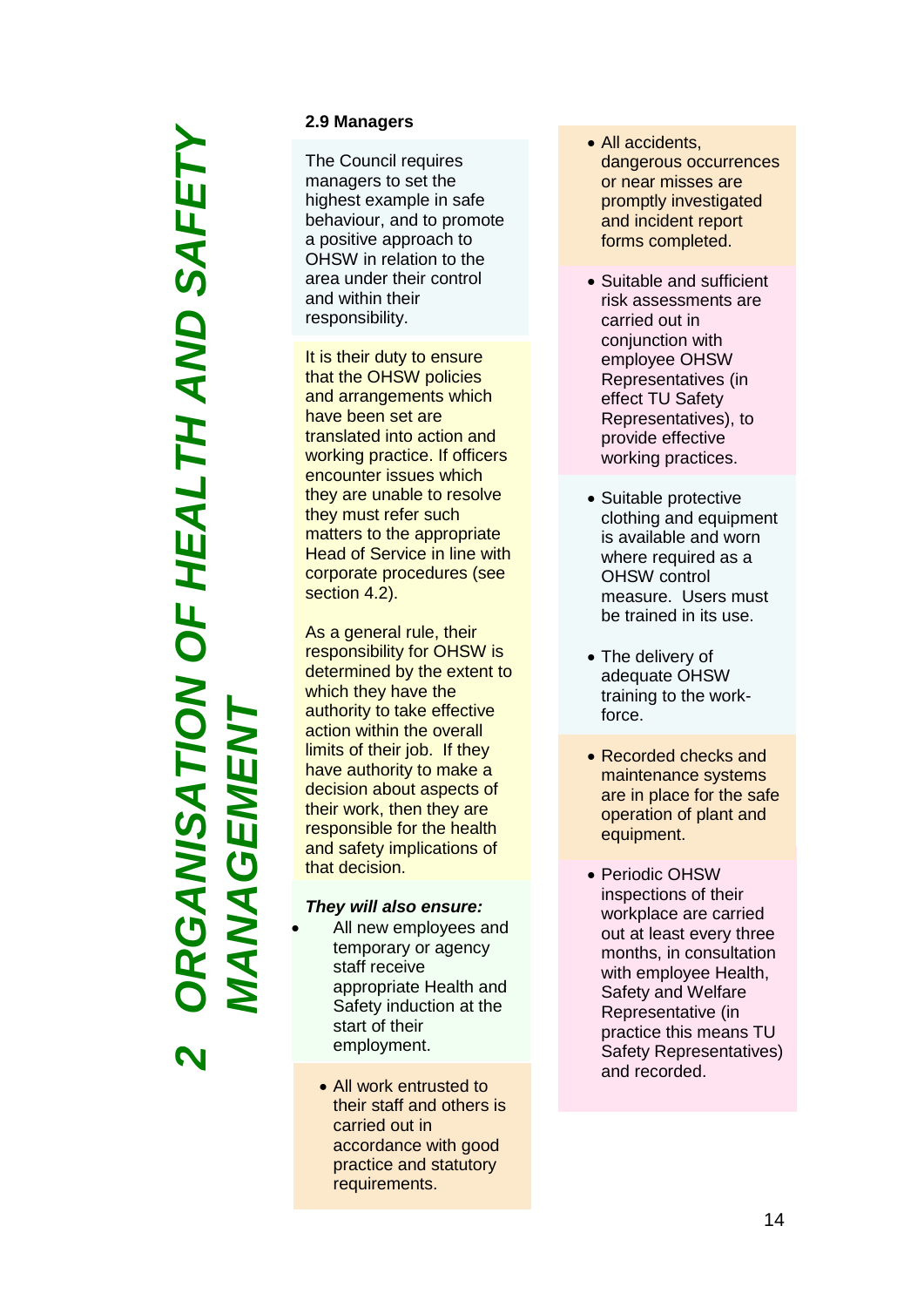*ORGANISATION OF HEALTH AND SAFETY*  RGANSATION OF HEALTH AND SAFETY *MANAGEMENT***NAGEMEN** 

*2*

### **2.9 Managers**

The Council requires managers to set the highest example in safe behaviour, and to promote a positive approach to OHSW in relation to the area under their control and within their responsibility.

It is their duty to ensure that the OHSW policies and arrangements which have been set are translated into action and working practice. If officers encounter issues which they are unable to resolve they must refer such matters to the appropriate Head of Service in line with corporate procedures (see section 4.2).

As a general rule, their responsibility for OHSW is determined by the extent to which they have the authority to take effective action within the overall limits of their job. If they have authority to make a decision about aspects of their work, then they are responsible for the health and safety implications of that decision.

### *They will also ensure:*

- All new employees and temporary or agency staff receive appropriate Health and Safety induction at the start of their employment.
	- All work entrusted to their staff and others is carried out in accordance with good practice and statutory requirements.
- All accidents, dangerous occurrences or near misses are promptly investigated and incident report forms completed.
- Suitable and sufficient risk assessments are carried out in conjunction with employee OHSW Representatives (in effect TU Safety Representatives), to provide effective working practices.
- Suitable protective clothing and equipment is available and worn where required as a OHSW control measure. Users must be trained in its use.
- The delivery of adequate OHSW training to the work force.
- Recorded checks and maintenance systems are in place for the safe operation of plant and equipment.
- Periodic OHSW inspections of their workplace are carried out at least every three months, in consultation with employee Health, Safety and Welfare Representative (in practice this means TU Safety Representatives) and recorded.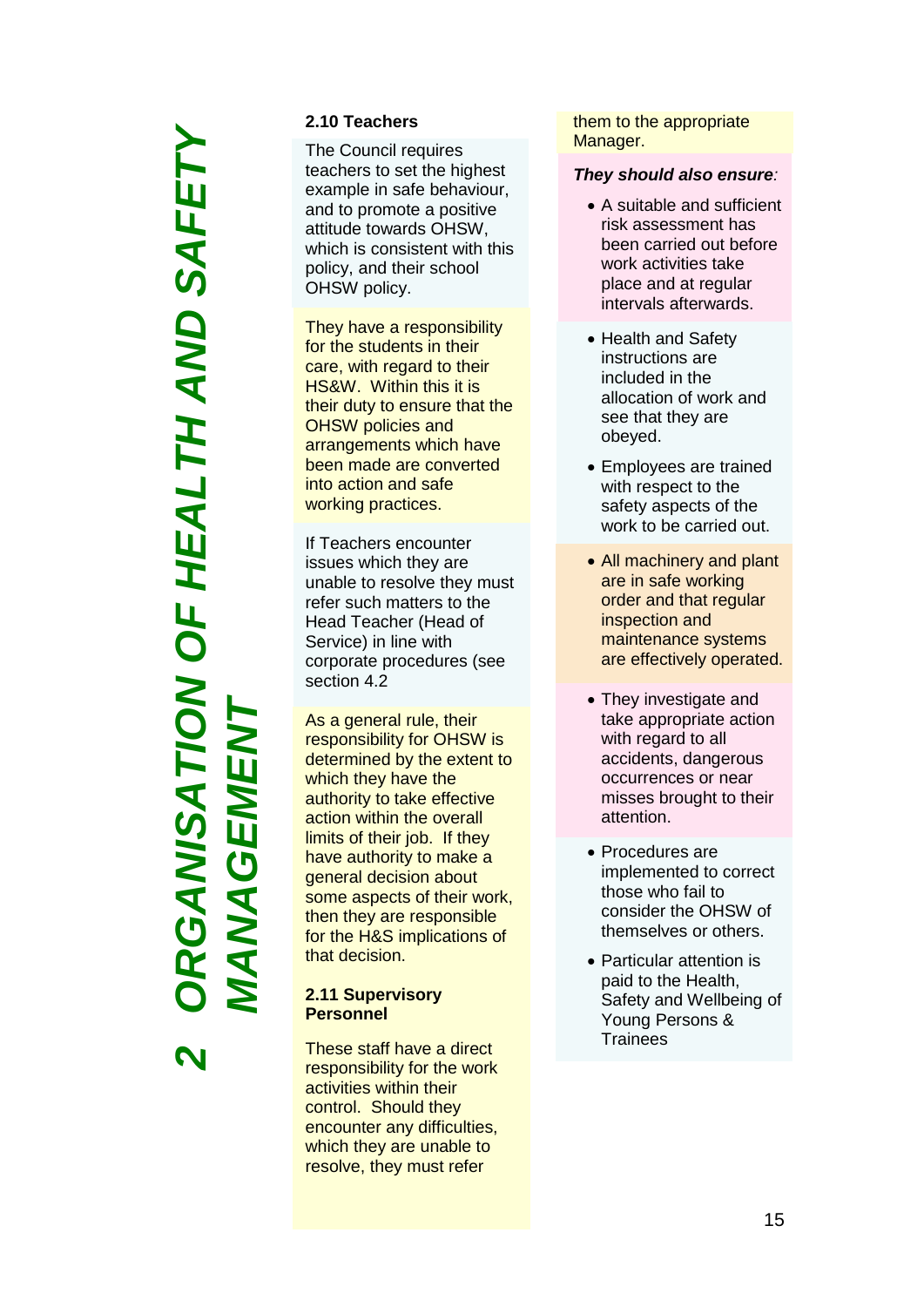*ORGANISATION OF HEALTH AND SAFETY*  RGANSATION OF HEALTH AND SAFETY *MANAGEMENT***NAGEMEI**  $\blacktriangleleft$ 

*2*

### **2.10 Teachers**

The Council requires teachers to set the highest example in safe behaviour, and to promote a positive attitude towards OHSW, which is consistent with this policy, and their school OHSW policy.

They have a responsibility for the students in their care, with regard to their HS&W. Within this it is their duty to ensure that the OHSW policies and arrangements which have been made are converted into action and safe working practices.

If Teachers encounter issues which they are unable to resolve they must refer such matters to the Head Teacher (Head of Service) in line with corporate procedures (see section 4.2

As a general rule, their responsibility for OHSW is determined by the extent to which they have the authority to take effective action within the overall limits of their job. If they have authority to make a general decision about some aspects of their work, then they are responsible for the H&S implications of that decision.

### **2.11 Supervisory Personnel**

These staff have a direct responsibility for the work activities within their control. Should they encounter any difficulties, which they are unable to resolve, they must refer

them to the appropriate Manager .

### *They should also ensure :*

- A suitable and sufficient risk assessment has been carried out before work activities take place and at regular intervals afterwards.
- Health and Safety instructions are included in the allocation of work and see that they are obeyed.
- Employees are trained with respect to the safety aspects of the work to be carried out.
- All machinery and plant are in safe working order and that regular inspection and maintenance systems are effectively operated.
- They investigate and take appropriate action with regard to all accidents, dangerous occurrences or near misses brought to their attention.
- Procedures are implemented to correct those who fail to consider the OHSW of themselves or others.
- Particular attention is paid to the Health, Safety and Wellbeing of Young Persons & **Trainees**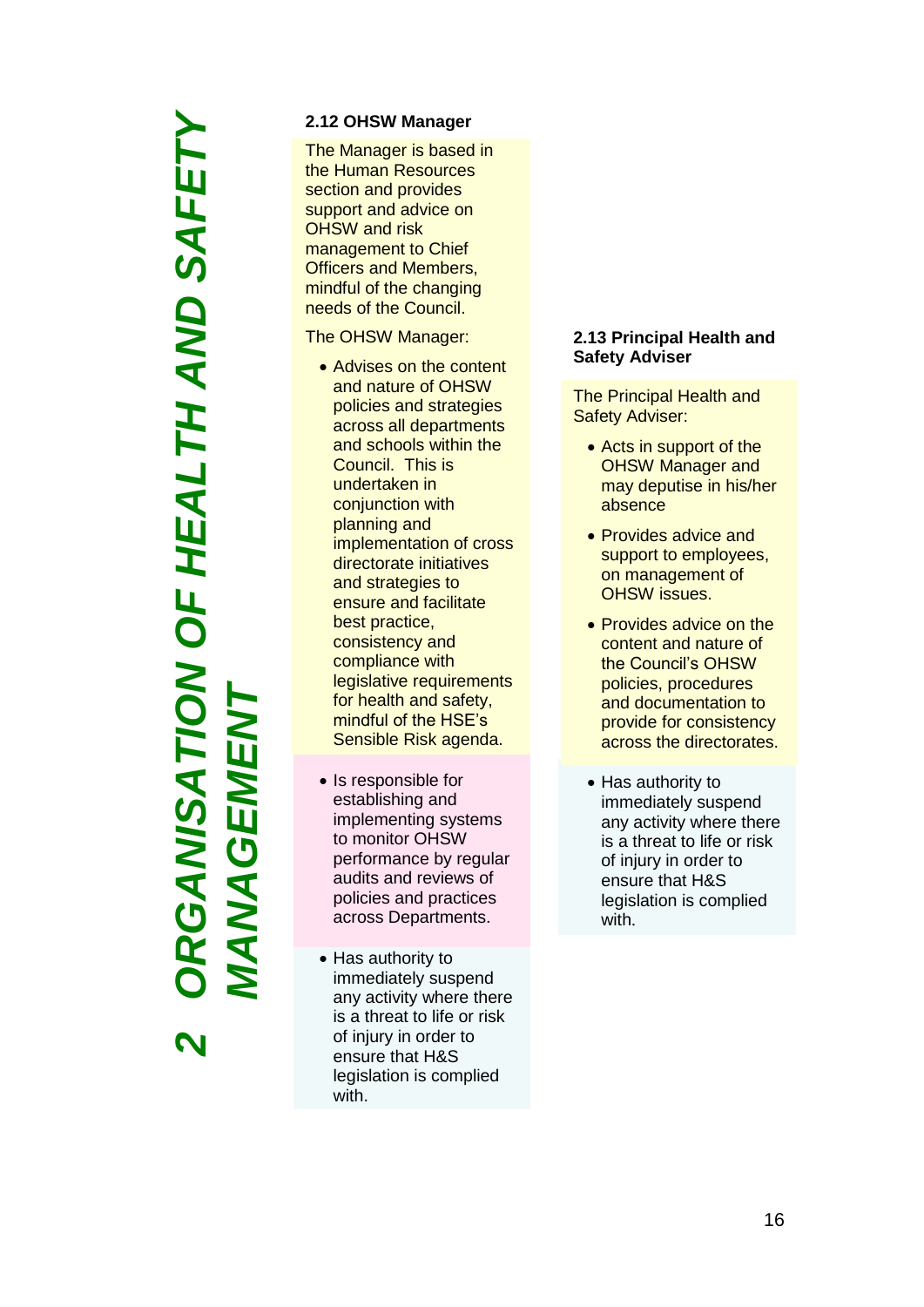# *ORGANISATION OF HEALTH AND SAFETY*  RGANISATION OF HEALTH AND SAFETY *MANAGEMENT***ANAGEMENT** *2*

### **2.12 OHSW Manager**

The Manager is based in the Human Resources section and provides support and advice on OHSW and risk management to Chief Officers and Members, mindful of the changing needs of the Council.

The OHSW Manager:

- Advises on the content and nature of OHSW policies and strategies across all departments and schools within the Council. This is undertaken in conjunction with planning and implementation of cross directorate initiatives and strategies to ensure and facilitate best practice, consistency and compliance with legislative requirements for health and safety, mindful of the HSE's Sensible Risk agenda.
- Is responsible for establishing and implementing systems to monitor OHSW performance by regular audits and reviews of policies and practices across Departments.
- Has authority to immediately suspend any activity where there is a threat to life or risk of injury in order to ensure that H&S legislation is complied with.

### **2.13 Principal Health and Safety Adviser**

The Principal Health and Safety Adviser :

- Acts in support of the OHSW Manager and may deputise in his/her absence
- Provides advice and support to employees, on management of OHSW issues.
- Provides advice on the content and nature of the Council's OHSW policies, procedures and documentation to provide for consistency across the directorates.
- Has authority to immediately suspend any activity where there is a threat to life or risk of injury in order to ensure that H&S legislation is complied with .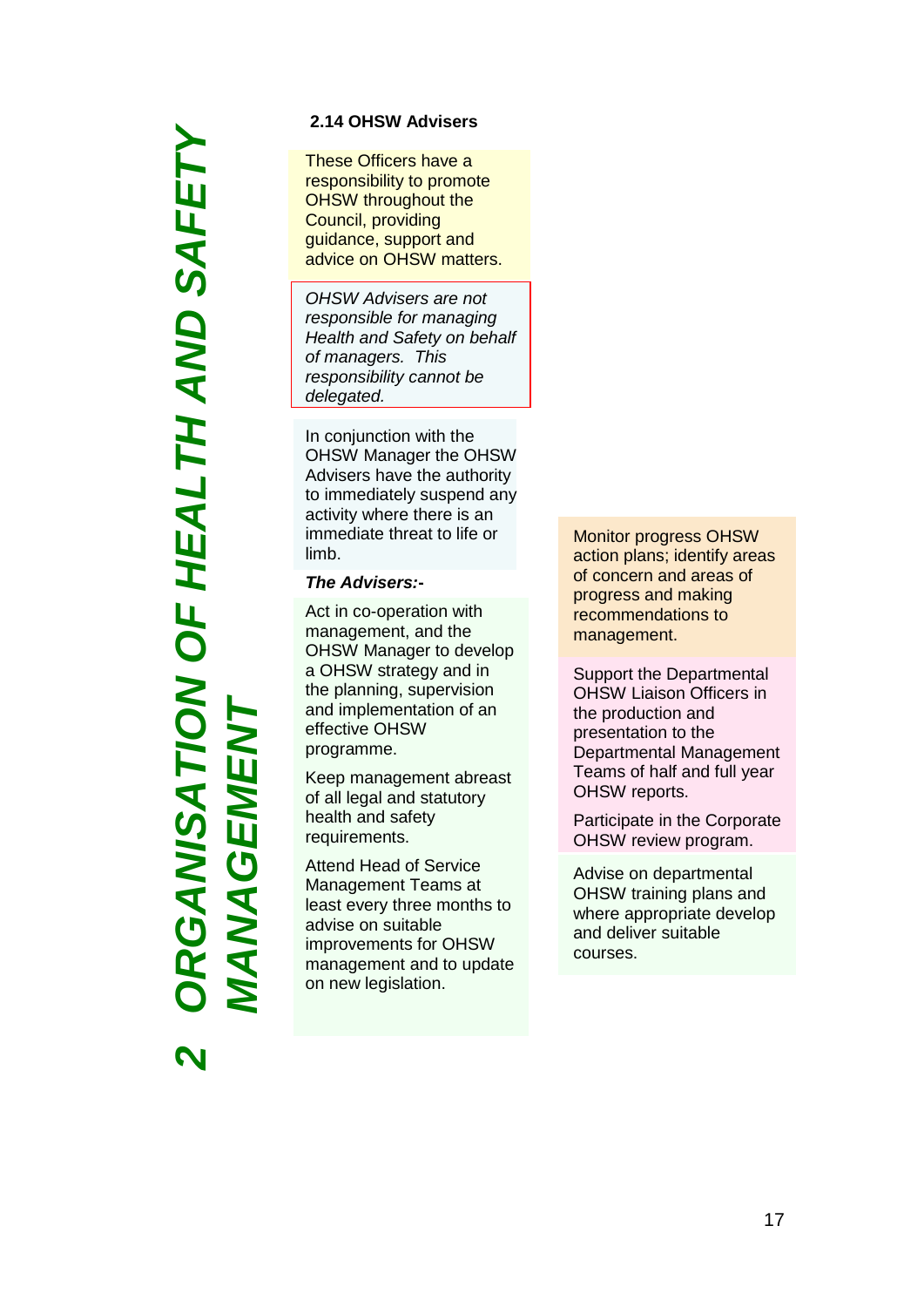# *ORGANISATION OF HEALTH AND SAFETY*  RGANISATION OF HEALTH AND SAFETY *MANAGEMENT***NAGEMEN**  $\overline{\mathbf{A}}$

*2*

### **2.14 OHSW Advisers**

These Officers have a responsibility to promote OHSW throughout the Council, providing guidance, support and advice on OHSW matters.

*OHSW Advisers are not responsible for managing Health and Safety on behalf of managers. This responsibility cannot be delegated.*

In conjunction with the OHSW Manager the OHSW Advisers have the authority to immediately suspend any activity where there is an immediate threat to life or limb.

### *The Advisers:***-**

Act in co-operation with management, and the OHSW Manager to develop a OHSW strategy and in the planning, supervision and implementation of an effective OHSW programme.

Keep management abreast of all legal and statutory health and safety requirements.

Attend Head of Service Management Teams at least every three months to advise on suitable improvements for OHSW management and to update on new legislation.

Monitor progress OHSW action plans; identify areas of concern and areas of progress and making recommendations to management.

Support the Departmental OHSW Liaison Officers in the production and presentation to the Departmental Management Teams of half and full year OHSW reports.

Participate in the Corporate OHSW review program.

Advise on departmental OHSW training plans and where appropriate develop and deliver suitable courses.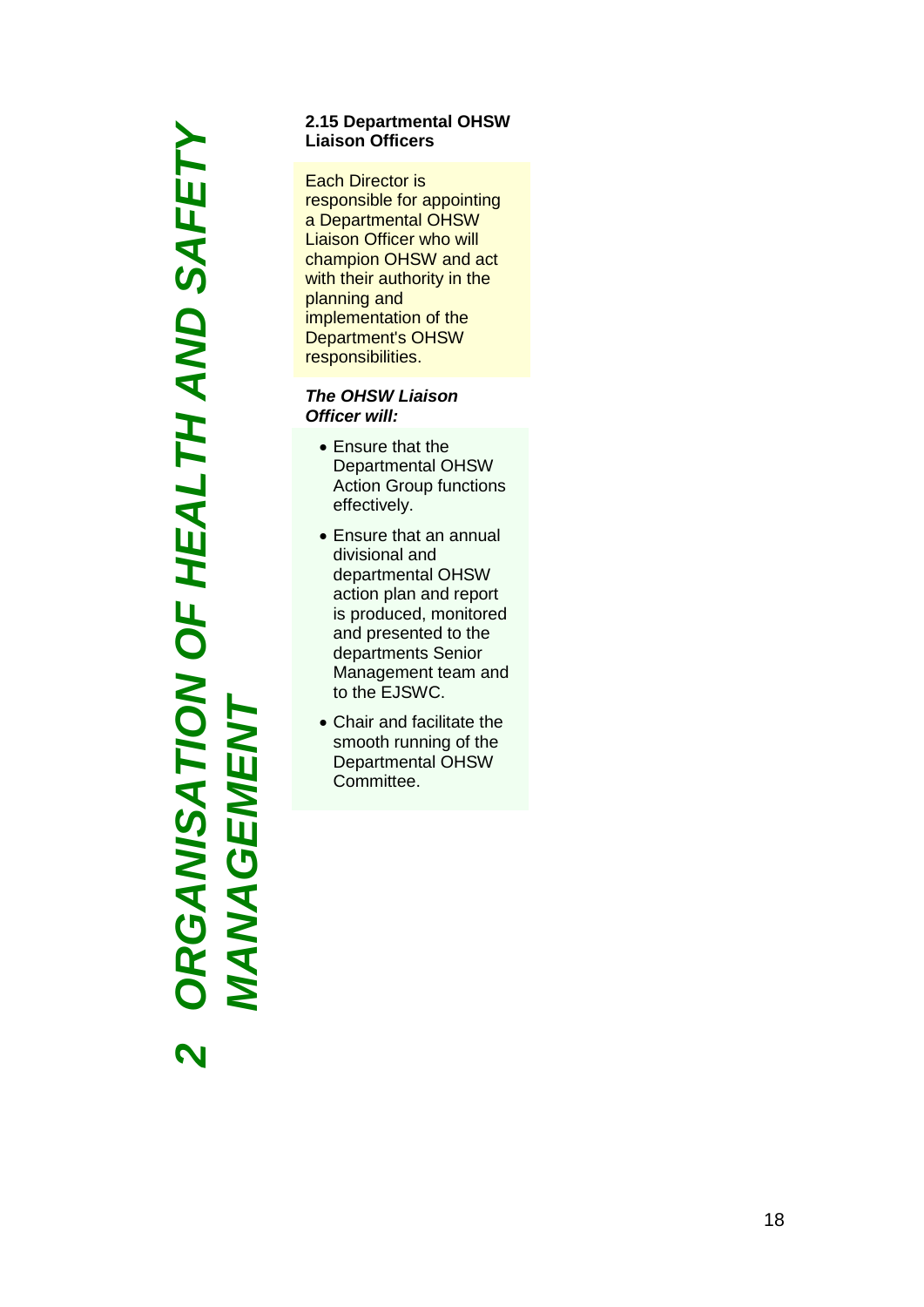*ORGANISATION OF HEALTH AND SAFETY*  **RGANISATION OF HEALTH AND SAFETY** *MANAGEMENT***MANAGEMENT** *2*

### **2.15 Departmental OHSW Liaison Officers**

Each Director is responsible for appointing a Departmental OHSW Liaison Officer who will champion OHSW and act with their authority in the planning and implementation of the Department's OHSW responsibilities.

### *The OHSW Liaison Officer will:*

- Ensure that the Departmental OHSW Action Group functions effectively.
- Ensure that an annual divisional and departmental OHSW action plan and report is produced, monitored and presented to the departments Senior Management team and to the EJS WC.
- Chair and facilitate the smooth running of the Departmental OHSW Committee.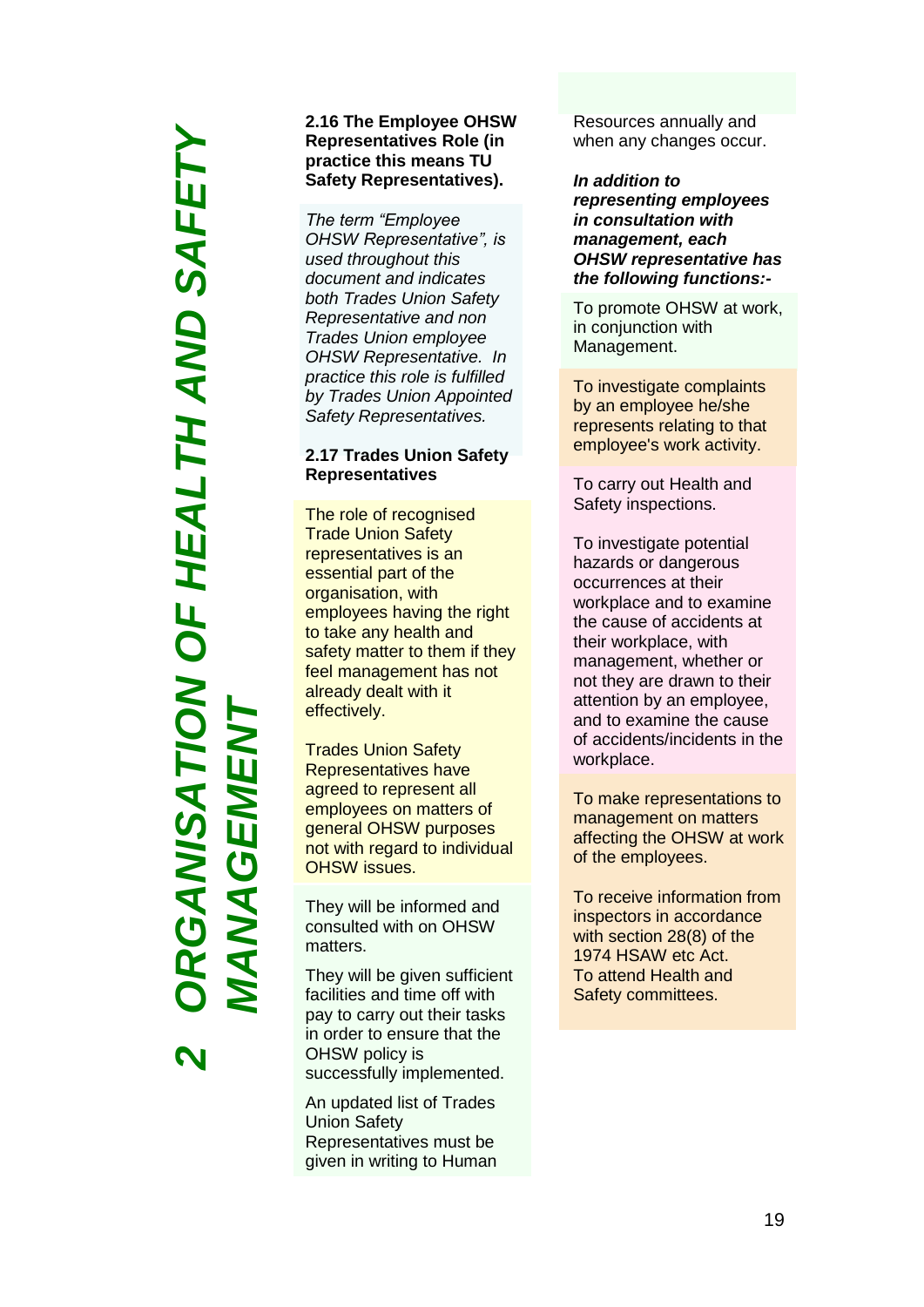# *ORGANISATION OF HEALTH AND SAFETY*  RGANISATION OF HEALTH AND SAFETY *MANAGEMENT***NAGEMEI**  $\blacktriangleleft$

*2*

### **2.1 6 The Employee OHSW Representatives Role (in practice this means TU Safety Representative s ) .**

*The term "Employee OHSW Representative", is used throughout this document and indicates both Trades Union Safety Representative and non Trades Union employee OHSW Representative. In practice this role is fulfilled by Trades Union Appointed Safety Representative s .*

### **2.17 Trades Union Safety Representatives**

The role of recognised Trade Union Safety representatives is an essential part of the organisation, with employees having the right to take any health and safety matter to them if they feel management has not already dealt with it effectively.

Trades Union Safety Representatives have agreed to represent all employees on matters of general OHSW purposes not with regard to individual OHSW issues.

They will be informed and consulted with on OHSW matters.

They will be given sufficient facilities and time off with pay to carry out their tasks in order to ensure that the OHSW policy is successfully implemented.

An updated list of Trades Union Safety Representatives must be given in writing to Human Resources annually and when any changes occur.

*In addition to representing employees in consultation with management, each OHSW representative has the following functions: -*

To promote OHSW at work, in conjunction with Management.

To investigate complaints by an employee he/she represents relating to that employee's work activity.

To carry out Health and Safety inspections .

To investigate potential hazards or dangerous occurrences at their workplace and to examine the cause of accidents at their workplace, with management, whether or not they are drawn to their attention by an employee, and to examine the cause of accidents/incidents in the workplace.

To make representations to management on matters affecting the OHSW at work of the employees.

To receive information from inspectors in accordance with section 28(8) of the 1974 HSAW etc Act. To attend Health and Safety committees.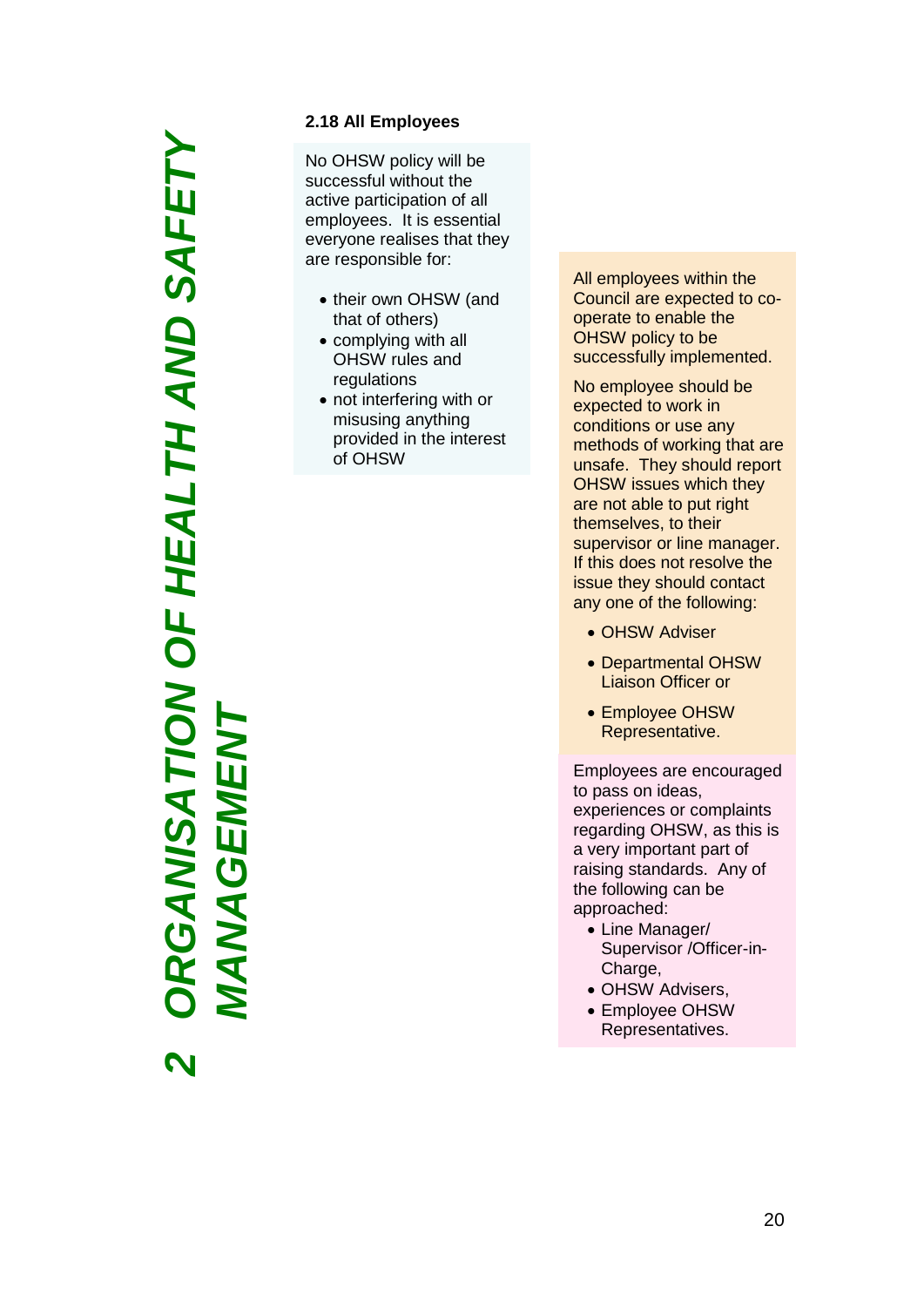# *ORGANISATION OF HEALTH AND SAFETY*  RGANISATION OF HEALTH AND SAFETY *MANAGEMENT***MANAGEMEN** *2*

### **2.1 8 All Employees**

No OHSW policy will be successful without the active participation of all employees. It is essential everyone realises that they are responsible for :

- their own OHSW (and that of others)
- complying with all OHSW rules and regulations
- not interfering with or misusing anything provided in the interest of OHSW

All employees within the Council are expected to co operate to enable the OHSW policy to be successfully implemented.

No employee should be expected to work in conditions or use any methods of working that are unsafe. They should report OHSW issues which they are not able to put right themselves, to their supervisor or line manager. If this does not resolve the issue they should contact any one of the following:

- OHSW Adviser
- Departmental OHSW Liaison Officer or
- Employee OHSW Representative.

Employees are encouraged to pass on ideas, experiences or complaints regarding OHSW, as this is a very important part of raising standards. Any of the following can be approached:

- Line Manager/ Supervisor / Officer-in-Charge ,
- OHSW Advisers ,
- Employee OHSW Representatives .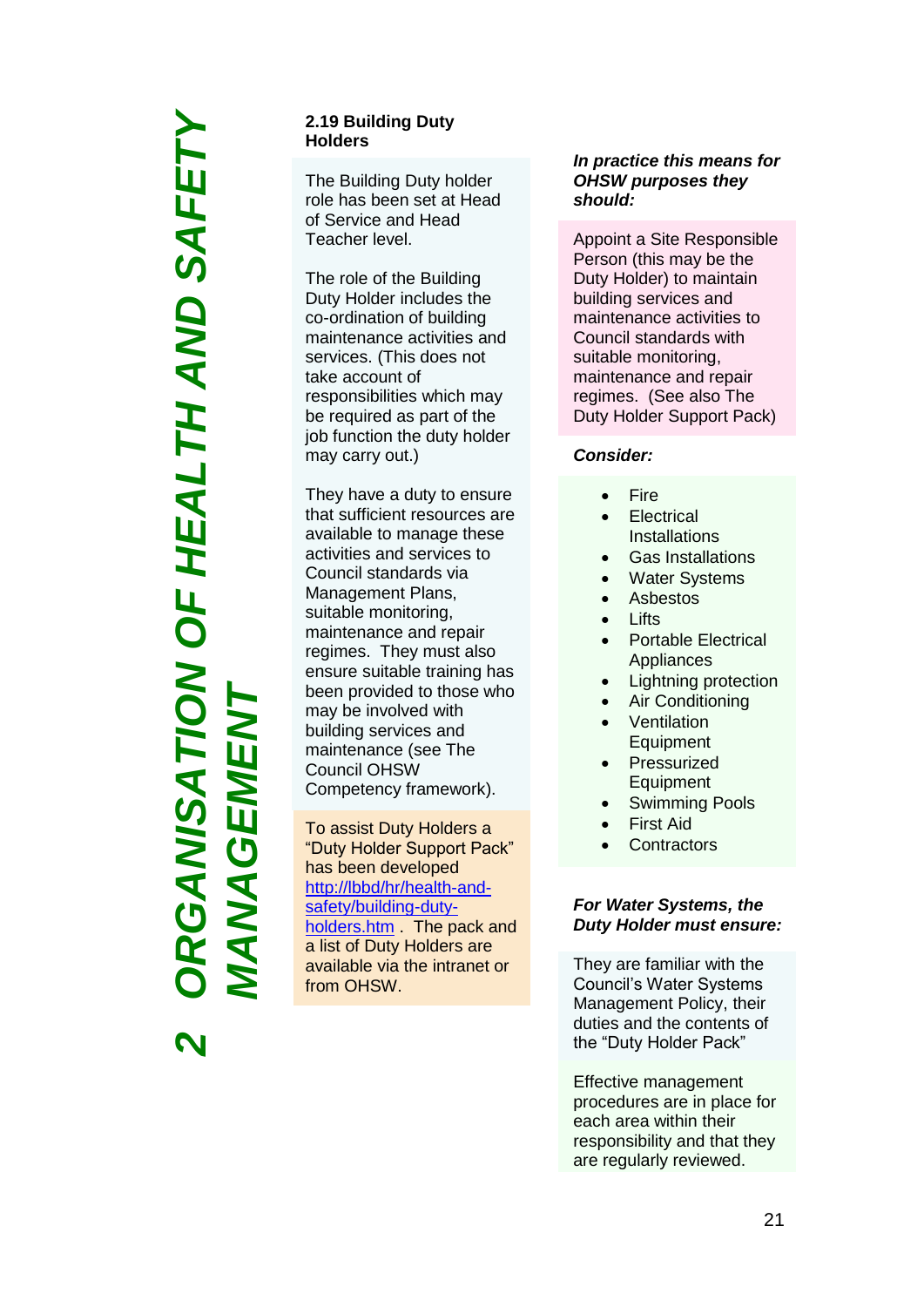# *ORGANISATION OF HEALTH AND SAFETY*  RGANISATION OF HEALTH AND SAFETY *MANAGEMENT*IEN **NAGEM**

*2*

### **2.19 Building Duty Holders**

The Building Duty holder role has been set at Head of Service and Head Teacher level.

The role of the Building Duty Holder includes the co-ordination of building maintenance activities and services. (This does not take account of responsibilities which may be required as part of the job function the duty holder may carry out.)

They have a duty to ensure that sufficient resources are available to manage these activities and services to Council standards via Management Plans, suitable monitoring, maintenance and repair regimes. They must also ensure suitable training has been provided to those who may be involved with building services and maintenance (see The Council OHSW Competency framework).

To assist Duty Holders a "Duty Holder Support Pack" has been developed [http://lbbd/hr/health-and](http://lbbd/hr/health-and-safety/building-duty-holders.htm)[safety/building-duty](http://lbbd/hr/health-and-safety/building-duty-holders.htm)[holders.htm](http://lbbd/hr/health-and-safety/building-duty-holders.htm) . The pack and a list of Duty Holders are available via the intranet or from OHSW.

### *In practice this means for OHSW purposes they should:*

Appoint a Site Responsible Person (this may be the Duty Holder) to maintain building services and maintenance activities to Council standards with suitable monitoring, maintenance and repair regimes. (See also The Duty Holder Support Pack)

### *Consider:*

- Fire
- **Electrical Installations**
- Gas Installations
- Water Systems
- Asbestos
- Lifts
- Portable Electrical Appliances
- Lightning protection
- Air Conditioning
- Ventilation Equipment
- Pressurized Equipment
- Swimming Pools
- First Aid
- **Contractors**

### *For Water Systems, the Duty Holder must ensure:*

They are familiar with the Council's Water Systems Management Policy, their duties and the contents of the "Duty Holder Pack"

Effective management procedures are in place for each area within their responsibility and that they are regularly reviewed.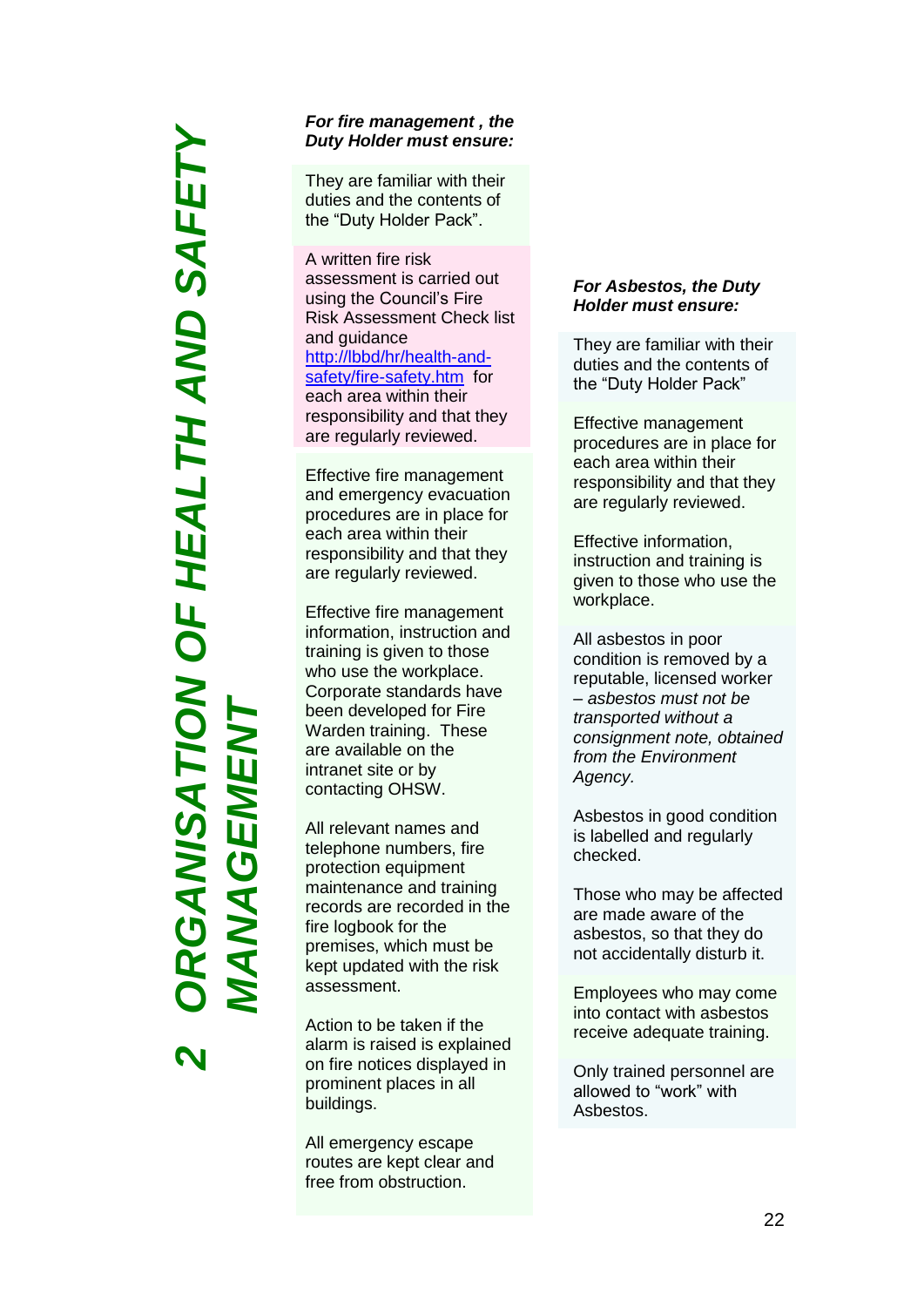### *ORGANISATION OF HEALTH AND SAFETY*  RGANSATION OF HEALTH AND SAFET) *MANAGEMENT***NAGEME**  $\overline{\mathbf{A}}$ *2*

### *For fire managemen t , the Duty Holder must ensure:*

They are familiar with their duties and the contents of the "Duty Holder Pack". A written fire risk

assessment is carried out using the Council's Fire Risk Assessment Check list and guidance [http://lbbd/hr/health](http://lbbd/hr/health-and-safety/fire-safety.htm) -and - safety/fire[-safety.htm](http://lbbd/hr/health-and-safety/fire-safety.htm) for each area within their responsibility and that they are regularly reviewed.

Effective fire management and emergency evacuation procedures are in place for each area within their responsibility and that they are regularly reviewed.

Effective fire management information, instruction and training is given to those who use the workplace. Corporate standards have been developed for Fire Warden training. These are available on the intranet site or by contacting OHSW .

All relevant names and telephone numbers, fire protection equipment maintenance and training records are recorded in the fire logbook for the premises, which must be kept updated with the risk assessment .

Action to be taken if the alarm is raised is explained on fire notices displayed in prominent places in all buildings.<br>All emergency escape

routes are kept clear and free from obstruction.

### *For Asbestos, the Duty Holder must ensure:*

They are familiar with their duties and the contents of<br>the "Duty Holder Pack"

Effective management procedures are in place for each area within their responsibility and that they are regularly reviewed.

Effective information, instruction and training is given to those who use the workplace.

All asbestos in poor condition is removed by a reputable, licensed worker – *asbestos must not be transported without a consignment note, obtained from the Environment Agency.*

Asbestos in good condition is labelled and regularly checked.

Those who may be affected are made aware of the asbestos, so that they do not accidentally disturb it.

Employees who may come into contact with asbestos receive adequate training.

Only trained personnel are allowed to "work" with Asbestos.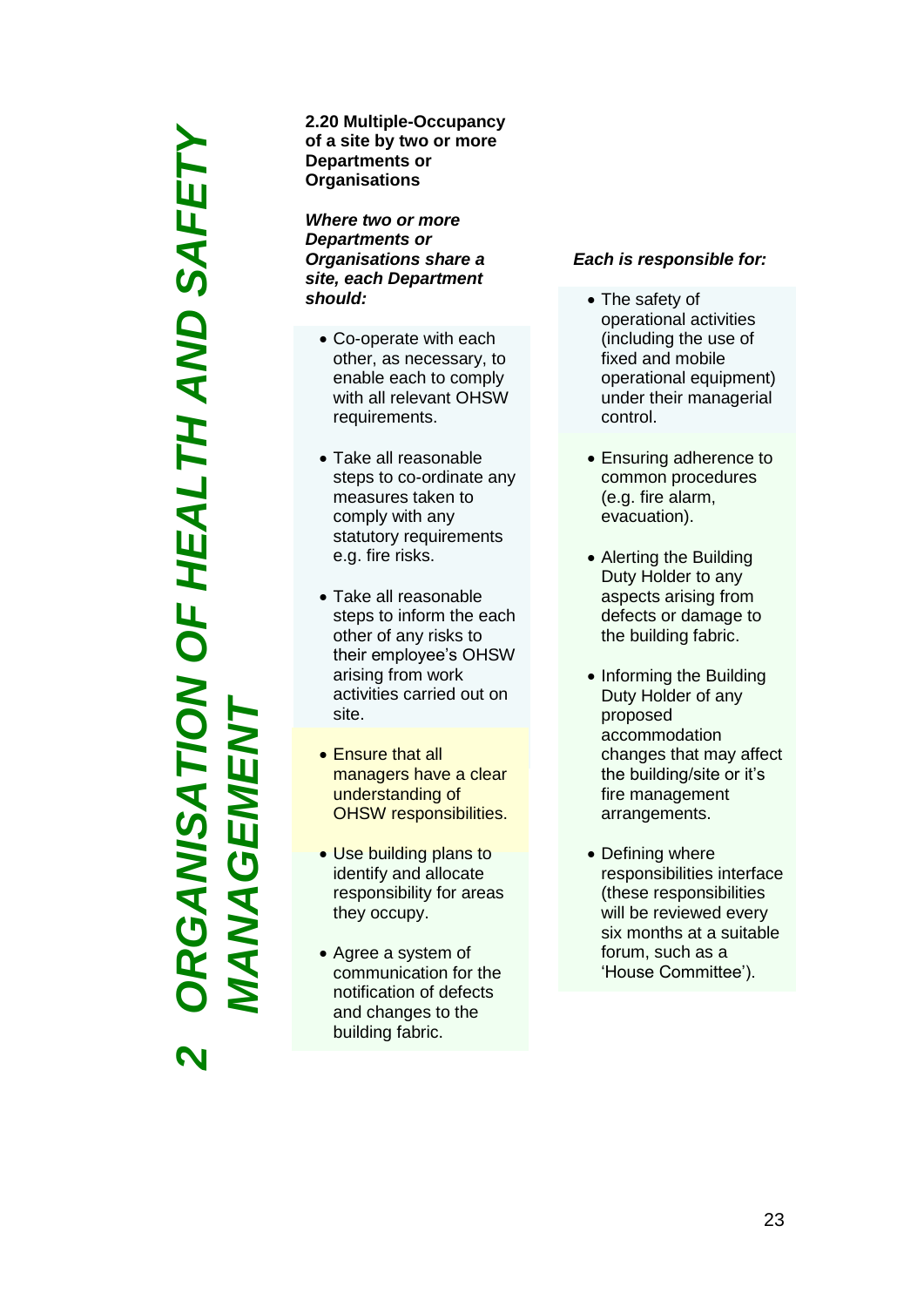*ORGANISATION OF HEALTH AND SAFETY*  RGANISATION OF HEALTH AND SAFETY *MANAGEMENT***NAGEME** *2*

**2.2 0 Multiple -Occupancy of a site by two or more Departments or Organisations**

*Where two or more Departments or Organisations share a site, each Department should:*

- Co-operate with each other, as necessary, to enable each to comply with all relevant OHSW requirements .
- Take all reasonable steps to co -ordinate any measures taken to comply with any statutory requirements e.g. fire risks .
- Take all reasonable steps to inform the each other of any risks to their employee's OHSW arising from work activities carried out on site .
- Ensure that all managers have a clear understanding of OHSW responsibilities .
- Use building plans to identify and allocate responsibility for areas they occupy .
- Agree a system of communication for the notification of defects and changes to the building fabric .

### *Each is responsible for:*

- The safety of operational activities (including the use of fixed and mobile operational equipment) under their managerial control .
- Ensuring adherence to common procedures (e.g. fire alarm, evacuation) .
- Alerting the Building Duty Holder to any aspects arising from defects or damage to the building fabric .
- Informing the Building Duty Holder of any proposed accommodation changes that may affect the building/site or it's fire management arrangements.
- Defining where responsibilities interface (these responsibilities will be reviewed every six months at a suitable forum, such as a 'House Committee').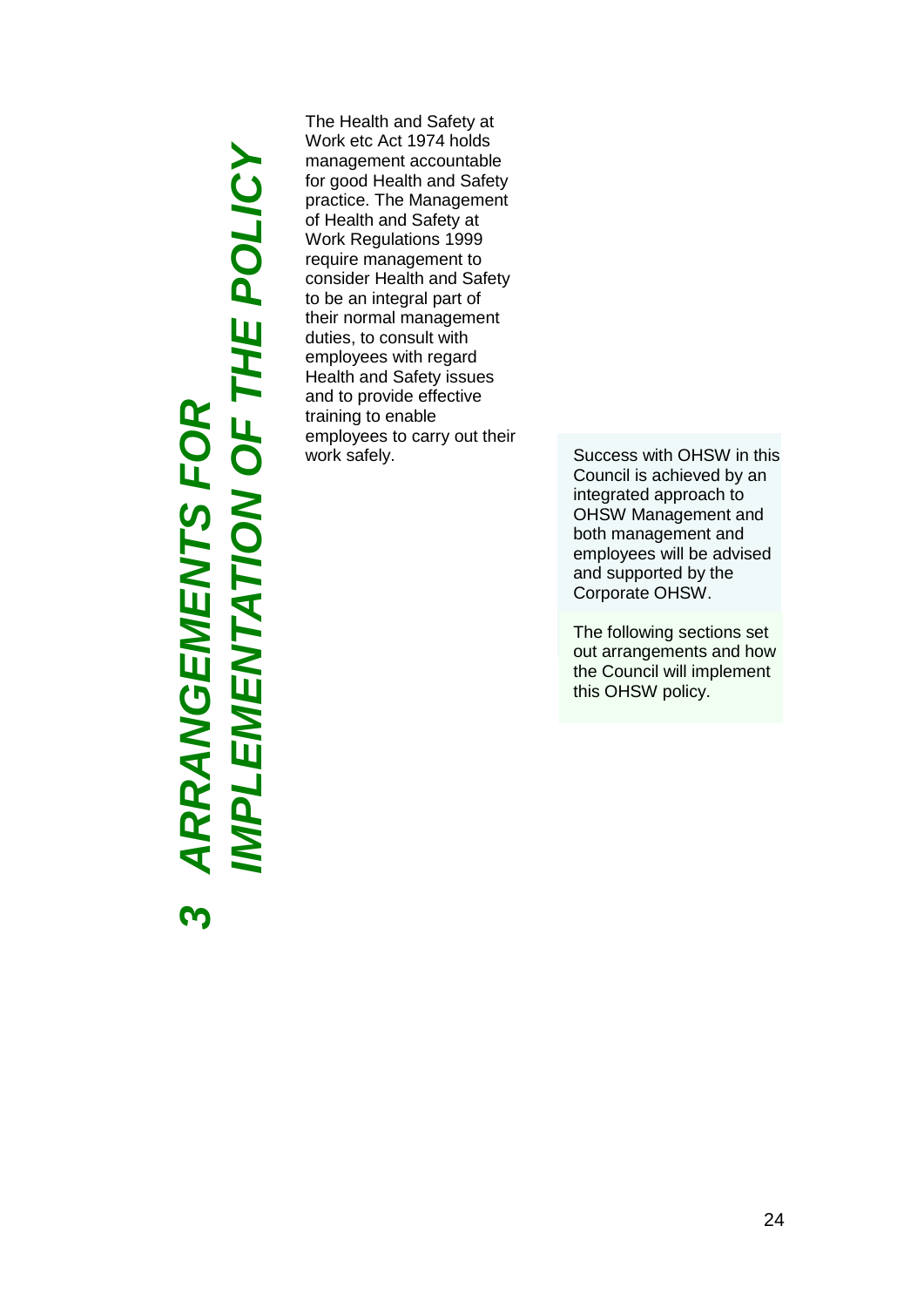# *IMPLEMENTATION OF THE POLICY* **ARRANGEMENTS FOR<br>IMPLEMENTATION OF THE POLICY**  *ARRANGEMENTS FOR*  **ო**

The Health and Safety at Work etc Act 1974 holds management accountable for good Health and Safety practice. The Management of Health and Safety at Work Regulations 1999 require management to consider Health and Safety to be an integral part of their normal management duties, to consult with employees with regard Health and Safety issues and to provide effective training to enable employees to carry out their<br>work safely.

Success with OHSW in this Council is achieved by an integrated approach to OHSW Management and both management and employees will be advised and supported by the Corporate OHSW.

The following sections set out arrangements and how the Council will implement this OHSW policy.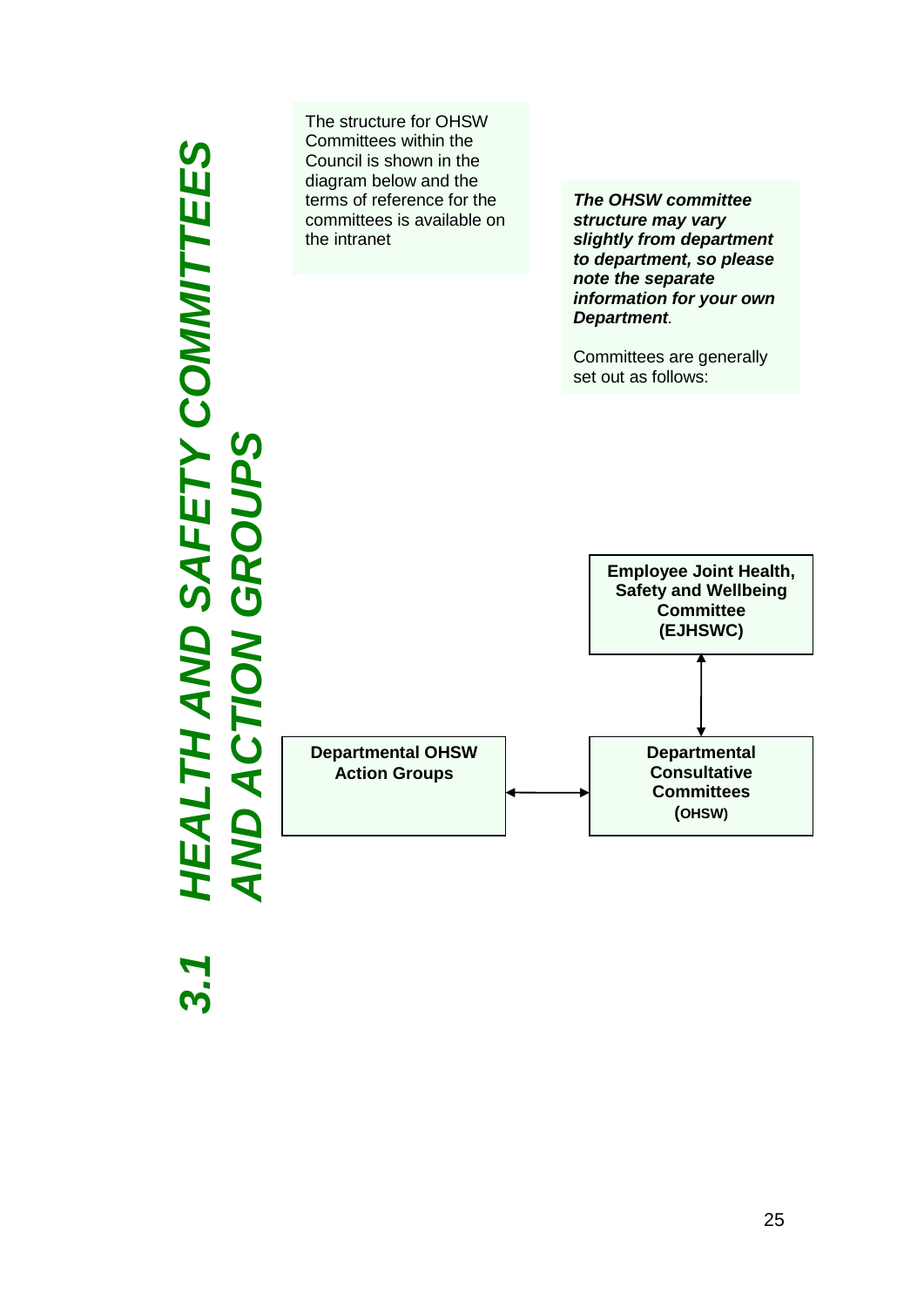### *3.1 HEALTH AND SAFETY COMMITTEES AND ACTION GROUPS* The structure for OHSW Committees with the second control in the second control in the second control in the second control in the second control in the second control in the second control in the second control in the second control in the second control Council is shown in the diagram below and the  $\blacksquare$ reference for  $\sim$  committees is  $\sim$ available on the intranet. AND  $\mathbf{c}$

The structure for OHSW Committees within the Council is shown in the diagram below and the terms of reference for the committees is available on the intranet

*The OHSW committee structure may vary slightly from department to department, so please note the separate information for your own Department.*

Committees are generally set out as follows:

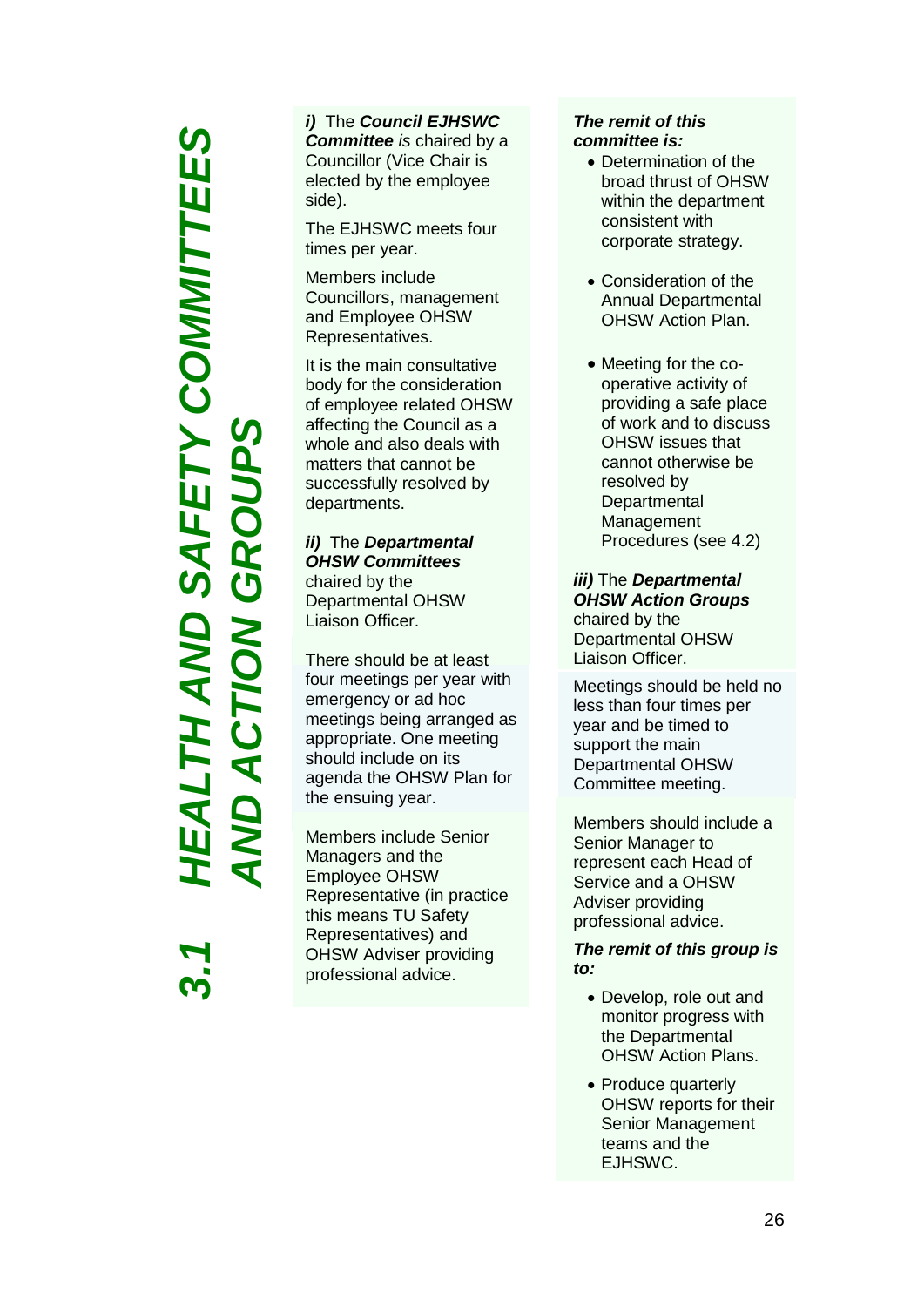### *3.1 HEALTH AND SAFETY COMMITTEES*  **SAFETY COMMITTEES ACTION GROUPS** *AND ACTION GROUPS*EALTH AND

### *i)* The *Council EJHSWC Committee is* chaired by a Councillor (Vice Chair is elected by the employee side).

The EJHSWC meets four times per year.

Members include Councillors, management and Employee OHSW Representatives.

It is the main consultative body for the consideration of employee related OHSW affecting the Council as a whole and also deals with matters that cannot be successfully resolved by departments.

### *ii)* The *Departmental OHSW Committees* chaired by the Departmental OHSW Liaison Officer.

There should be at least four meetings per year with emergency or ad hoc meetings being arranged as appropriate. One meeting should include on its agenda the OHSW Plan for the ensuing year.

Members include Senior Managers and the Employee OHSW Representative (in practice this means TU Safety Representatives) and OHSW Adviser providing professional advice.

### *The remit of this committee is:*

- Determination of the broad thrust of OHSW within the department consistent with corporate strategy.
- Consideration of the Annual Departmental OHSW Action Plan.
- Meeting for the cooperative activity of providing a safe place of work and to discuss OHSW issues that cannot otherwise be resolved by **Departmental** Management Procedures (see 4.2)

*iii)* The *Departmental OHSW Action Groups*  chaired by the Departmental OHSW Liaison Officer.

Meetings should be held no less than four times per year and be timed to support the main Departmental OHSW Committee meeting.

Members should include a Senior Manager to represent each Head of Service and a OHSW Adviser providing professional advice.

### *The remit of this group is to:*

- Develop, role out and monitor progress with the Departmental OHSW Action Plans.
- Produce quarterly OHSW reports for their Senior Management teams and the EJHSWC.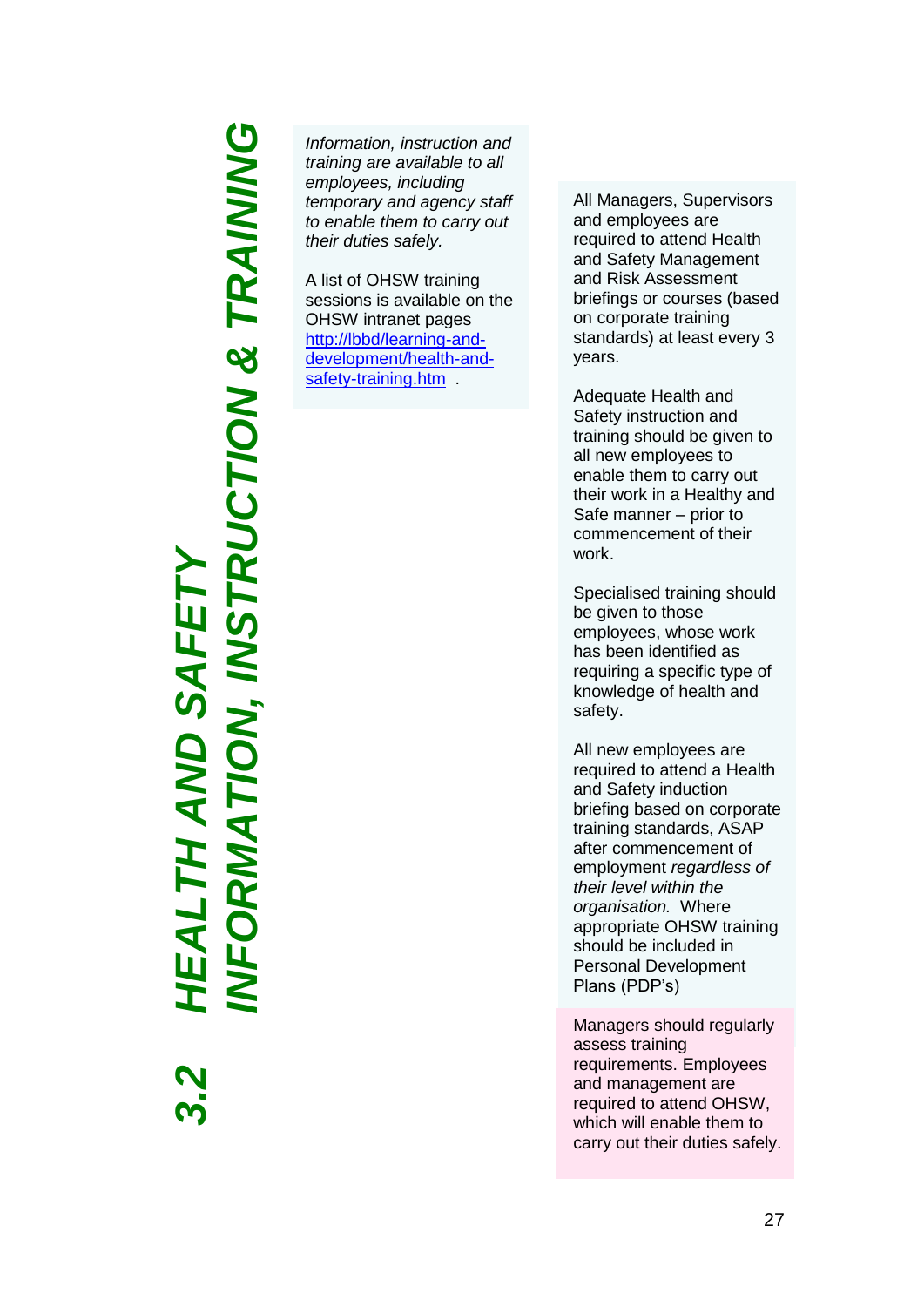# **VFORMATION, INSTRUCTION & TRAINING** *INFORMATION, INSTRUCTION & TRAINING3.2 HEALTH AND SAFETY* EALTH AND SAFET

*Information, instruction and training are available to all employees, including temporary and agency staff to enable them to carry out their duties safely.* 

A list of OHSW training sessions is available on the OHSW intranet pages [http://lbbd/learning-and](http://lbbd/learning-and-development/health-and-safety-training.htm)[development/health-and](http://lbbd/learning-and-development/health-and-safety-training.htm)safety-training.htm

All Managers, Supervisors and employees are required to attend Health and Safety Management and Risk Assessment briefings or courses (based on corporate training standards) at least every 3 years.

Adequate Health and Safety instruction and training should be given to all new employees to enable them to carry out their work in a Healthy and Safe manner – prior to commencement of their work.

Specialised training should be given to those employees, whose work has been identified as requiring a specific type of knowledge of health and safety.

All new employees are required to attend a Health and Safety induction briefing based on corporate training standards, ASAP after commencement of employment *regardless of their level within the organisation.* Where appropriate OHSW training should be included in Personal Development Plans (PDP's)

Managers should regularly assess training requirements. Employees and management are required to attend OHSW, which will enable them to carry out their duties safely.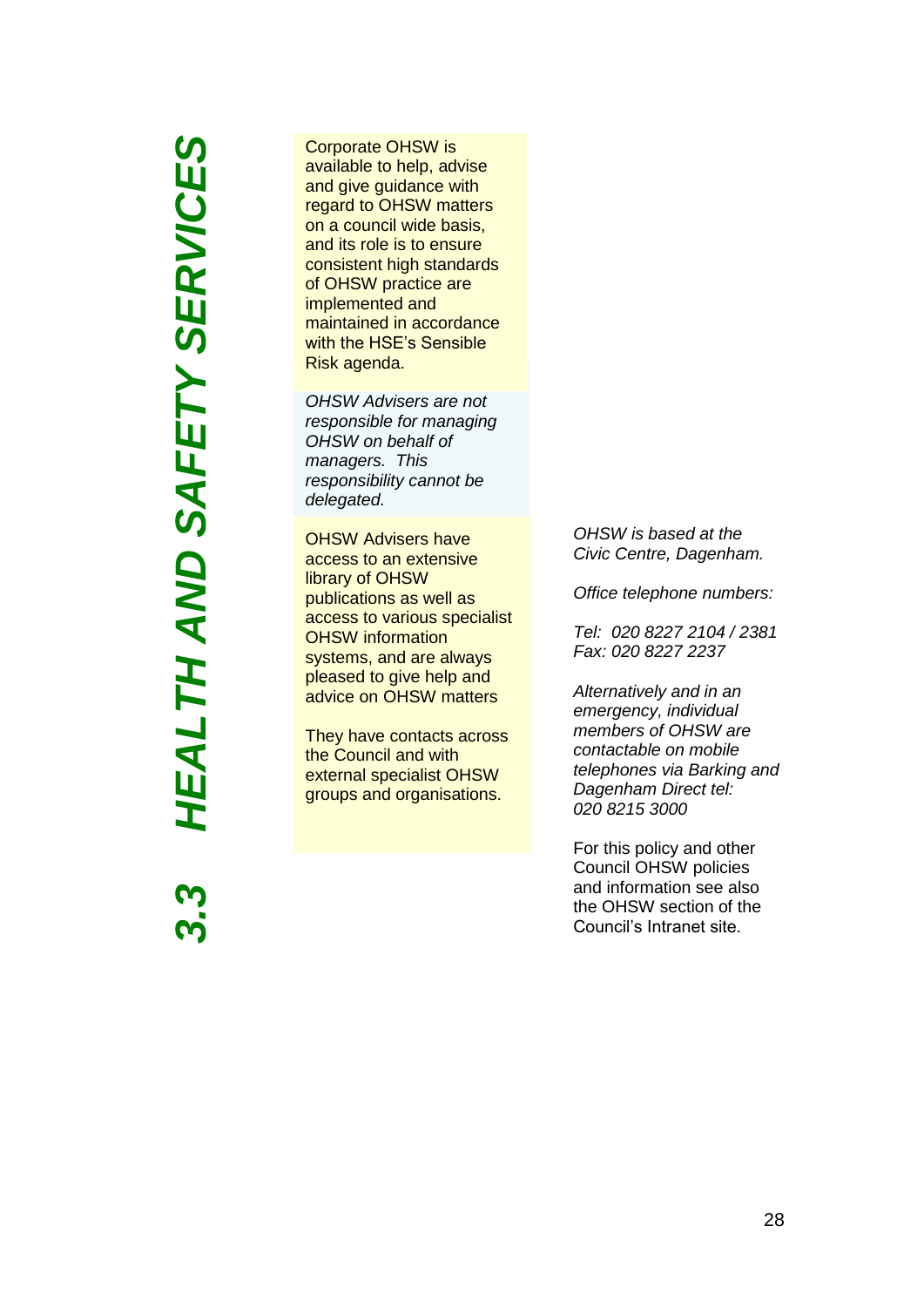**HEALTH AND SAFETY SERVICES** *HEALTH AND SAFETY SERVICES3.3*

Corporate OHSW is available to help, advise and give guidance with regard to OHSW matters on a council wide basis, and its role is to ensure consistent high standards of OHSW practice are implemented and maintained in accordance with the HSE's Sensible Risk agenda.

*OHSW Advisers are not responsible for managing OHSW on behalf of managers. This responsibility cannot be delegated.*

OHSW Advisers have access to an extensive library of OHSW publications as well as access to various specialist OHSW information systems, and are always pleased to give help and advice on OHSW matters

They have contacts across the Council and with external specialist OHSW groups and organisations.

*OHSW is based at the Civic Centre, Dagenham.*

*Office telephone numbers:*

*Tel: 020 8227 2104 / 2381 Fax: 020 8227 2237* 

*Alternatively and in an emergency, individual members of OHSW are contactable on mobile telephones via Barking and Dagenham Direct tel: 020 8215 3000* 

For this policy and other Council OHSW policies and information see also the OHSW section of the Council's Intranet site.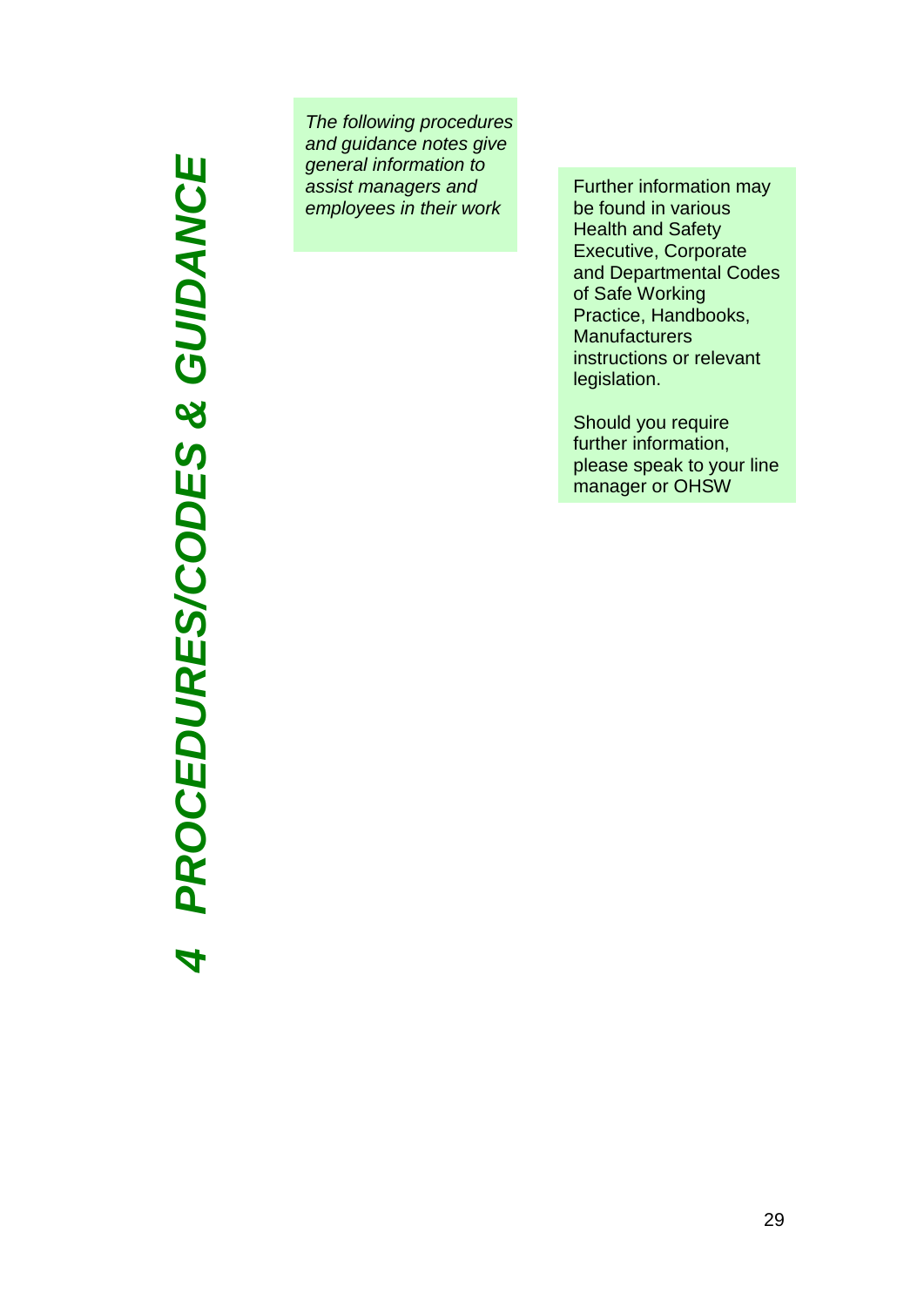# PROCEDURES/CODES & GUIDANCE *PROCEDURES/CODES & GUIDANCE4*

*The following procedures and guidance notes give general information to assist managers and employees in their work*

Further information may be found in various Health and Safety Executive, Corporate and Departmental Codes of Safe Working Practice, Handbooks, **Manufacturers** instructions or relevant legislation.

Should you require further information, please speak to your line manager or OHSW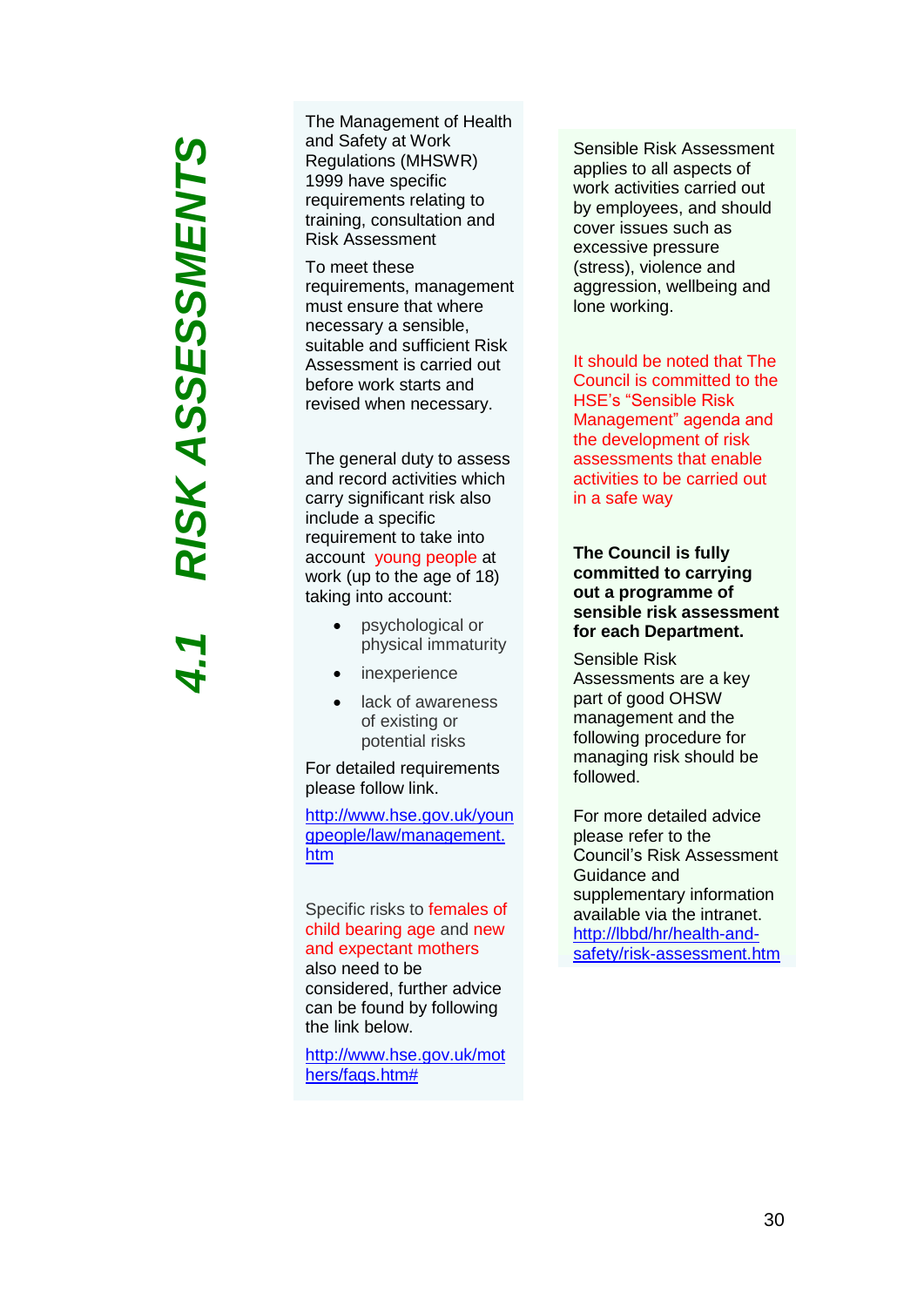# RISK ASSESSMENTS *4.1 RISK ASSESSMENTS*

The Management of Health and Safety at Work Regulations (MHSWR) 1999 have specific requirements relating to training, consultation and Risk Assessment

To meet these requirements, management must ensure that where necessary a sensible, suitable and sufficient Risk Assessment is carried out before work starts and revised when necessary.

The general duty to assess and record activities which carry significant risk also include a specific requirement to take into account young people at work (up to the age of 18) taking into account:

- psychological or physical immaturity
- inexperience
- lack of awareness of existing or potential risks

For detailed requirements please follow link.

[http://www.hse.gov.uk/youn](http://www.hse.gov.uk/youngpeople/law/management.htm) [gpeople/law/management.](http://www.hse.gov.uk/youngpeople/law/management.htm) [htm](http://www.hse.gov.uk/youngpeople/law/management.htm)

Specific risks to females of child bearing age and new and expectant mothers also need to be considered, further advice can be found by following the link below.

[http://www.hse.gov.uk/mot](http://www.hse.gov.uk/mothers/faqs.htm) [hers/faqs.htm#](http://www.hse.gov.uk/mothers/faqs.htm)

Sensible Risk Assessment applies to all aspects of work activities carried out by employees, and should cover issues such as excessive pressure (stress), violence and aggression, wellbeing and lone working .

It should be noted that The Council is committed to the HSE's "Sensible Risk Management" agenda and the development of risk assessments that enable activities to be carried out in a safe way

**The Council is fully committed to carrying out a programme of sensible risk assessment for each Department.** 

Sensible Risk Assessments are a key part of good OHSW management and the following procedure for managing risk should be followed.

For more detailed advice please refer to the Council's Risk Assessment Guidance and supplementary information available via the intranet . [http://lbbd/hr/health](http://lbbd/hr/health-and-safety/risk-assessment.htm)-and-safety/risk[-assessment.htm](http://lbbd/hr/health-and-safety/risk-assessment.htm)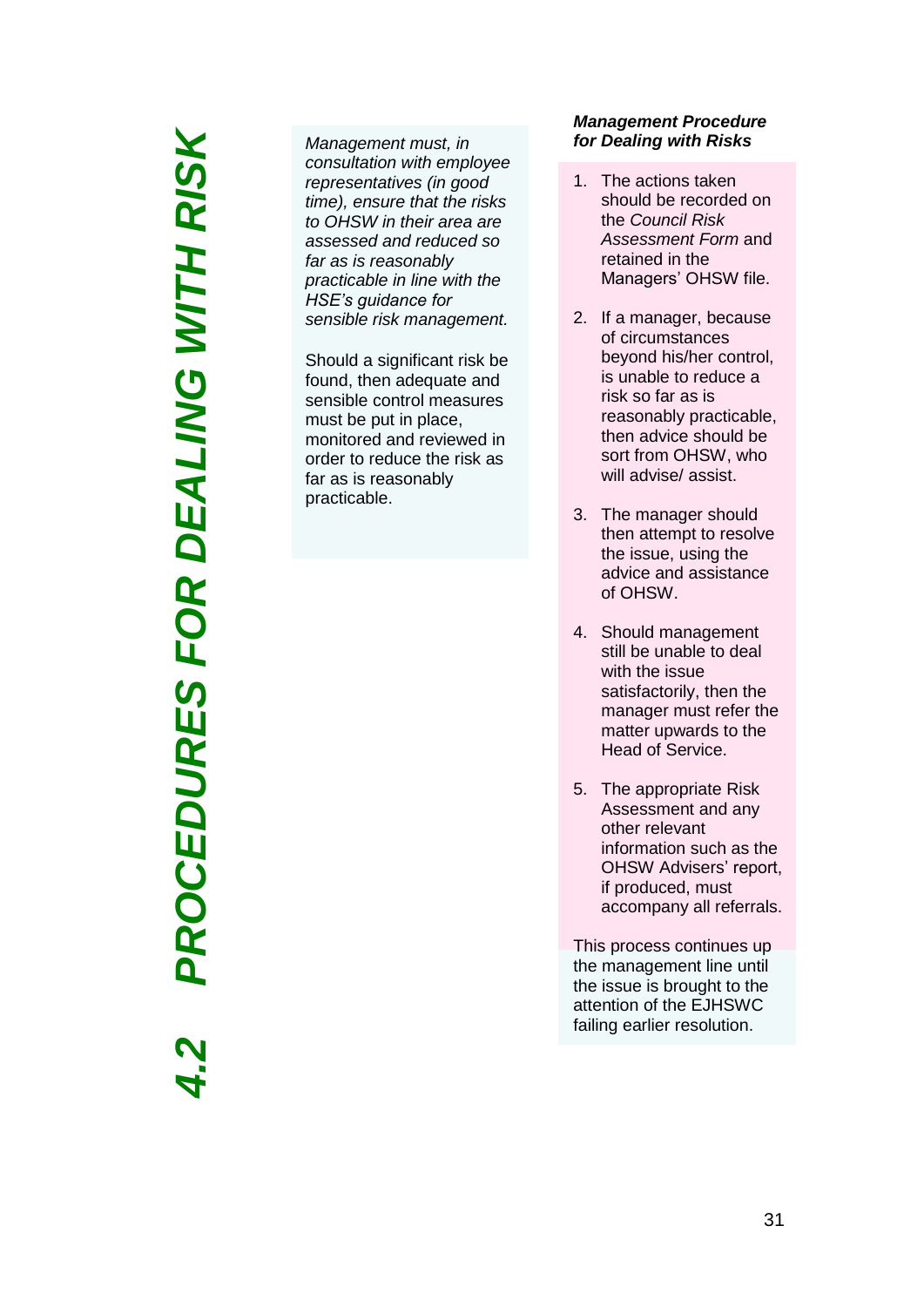*4.2 PROCEDURES FOR DEALING WITH RISK*PROCEDURES FOR DEALING WITH RISK

*Management must, in consultation with employee representatives (in good time), ensure that the risks to OHSW in their area are assessed and reduced so far as is reasonably practicable in line with the HSE's guidance for sensible risk management .*

Should a significant risk be found, then adequate and sensible control measures must be put in place, monitored and reviewed in order to reduce the risk as far as is reasonably practicable .

### *Management Procedure for Dealing with Risks*

- 1. The action s taken should be recorded on the *Council Risk Assessment Form* and retained in the Managers' OHSW file.
- 2. If a manager, because of circumstances beyond his/her control, is unable to reduce a risk so far as is reasonably practicable, then advice should be sort from OHSW, who will advise/ assist.
- 3. The manager should then attempt to resolve the issue, using the advice and assistance of OHSW .
- 4. Should management still be unable to deal with the issue satisfactorily, then the manager must refer the matter upwards to the Head of Service.
- 5. The appropriate Risk Assessment and any other relevant information such as the OHSW Advisers' report, if produced, must accompany all referrals.

This process continue s up the management line until the issue is brought to the attention of the EJ H S W C failing earlier resolution.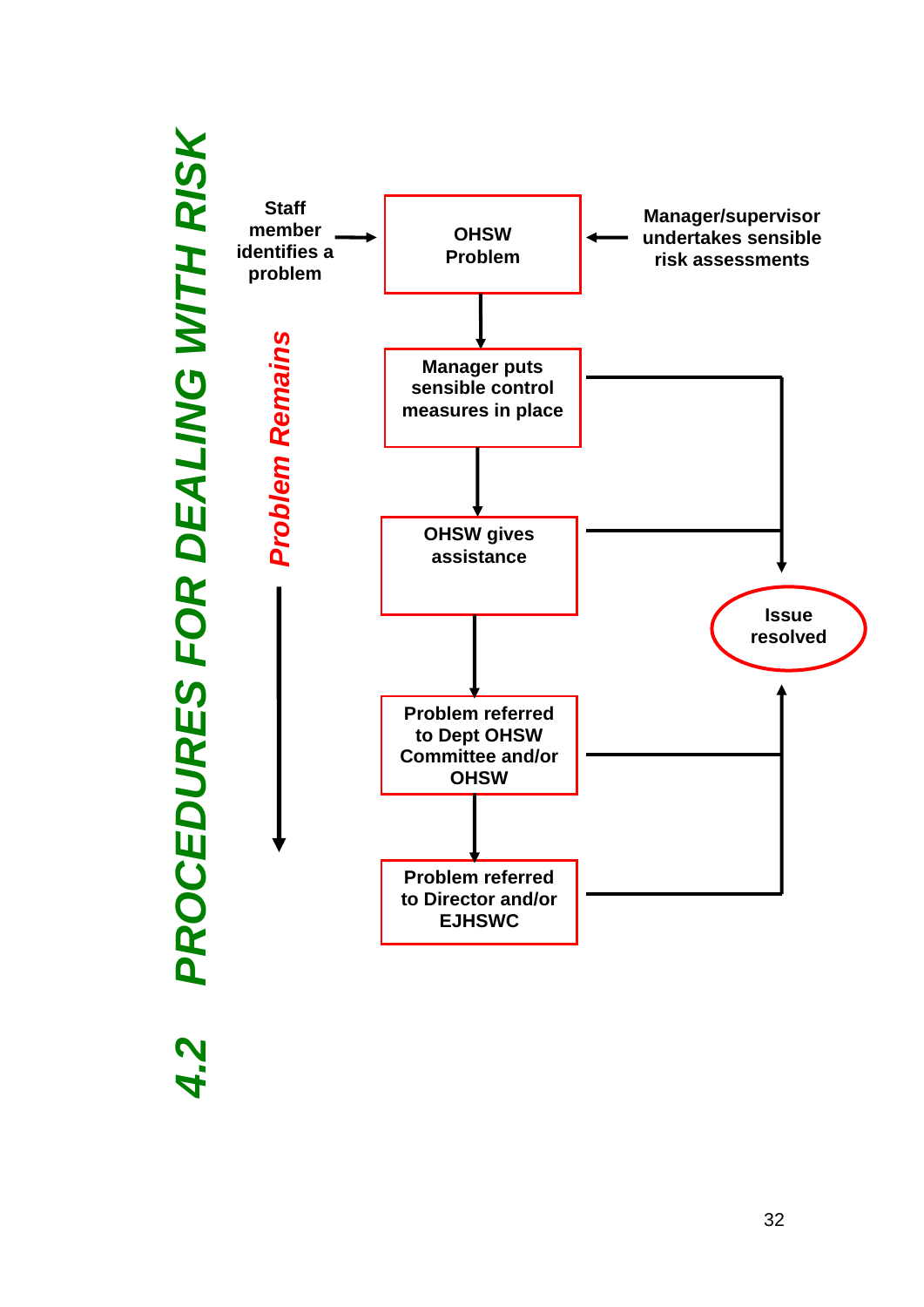

# PROCEDURES FOR DEALING WITH RISK *4.2 PROCEDURES FOR DEALING WITH RISK*4.2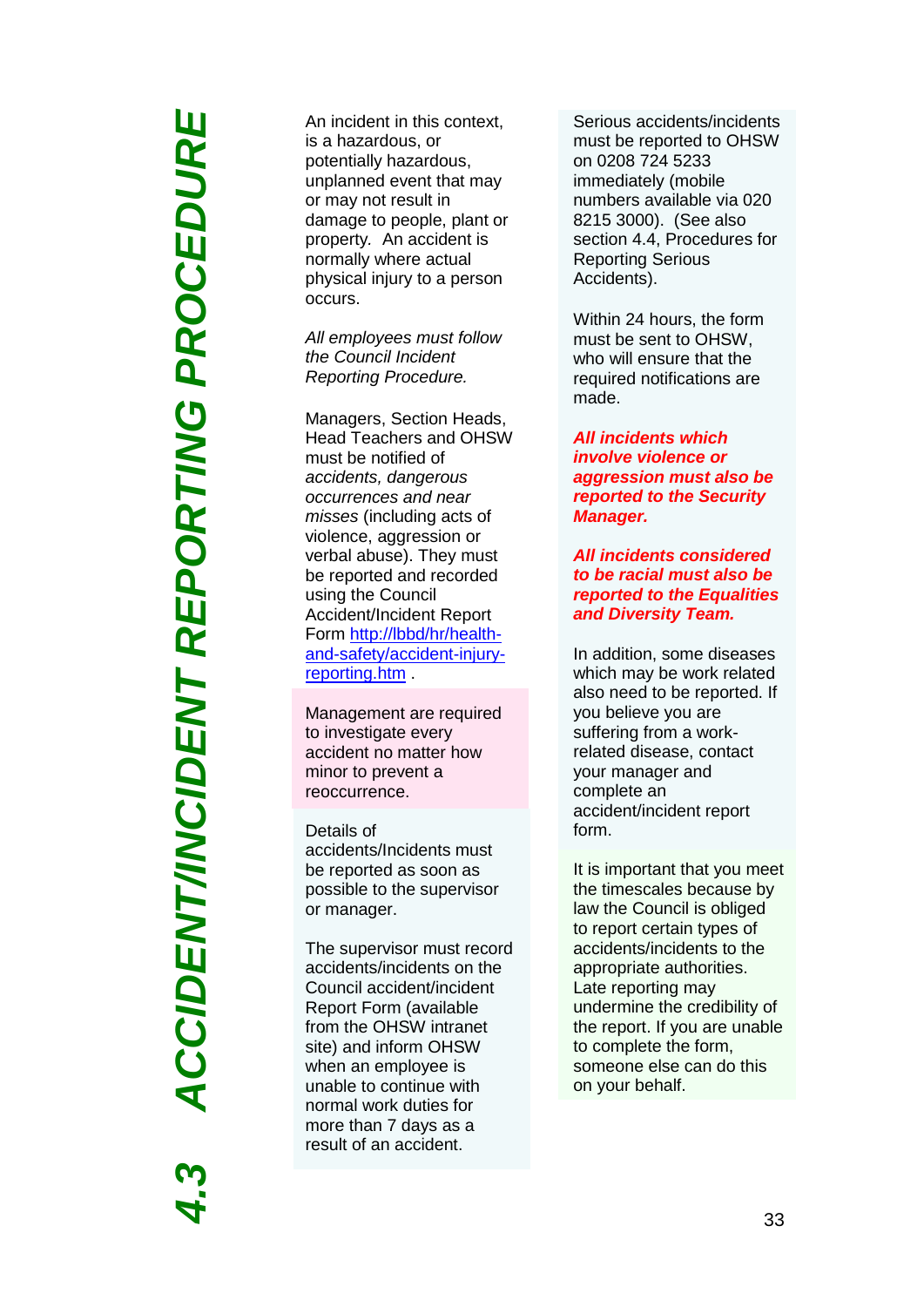**ACCIDENT/INCIDENT REPORTING PROCEDURE** *4.3 ACCIDENT/INCIDENT REPORTING PROCEDURE*

An incident in this context, is a hazardous, or potentially hazardous, unplanned event that may or may not result in damage to people, plant or property*.* An accident is normally where actual physical injury to a person occurs.

*All employees must follow the Council Incident Reporting Procedure.*

Managers, Section Heads, Head Teachers and OHSW must be notified of *accidents, dangerous occurrences and near misses* (including acts of violence, aggression or verbal abuse). They must be reported and recorded using the Council Accident/Incident Report Form [http://lbbd/hr/health](http://lbbd/hr/health-and-safety/accident-injury-reporting.htm)-and[-safety/accident](http://lbbd/hr/health-and-safety/accident-injury-reporting.htm)-injury[reporting.htm](http://lbbd/hr/health-and-safety/accident-injury-reporting.htm)

Management are required to investigate every accident no matter how minor to prevent a reoccurrence .

Details of accident s /Incident s must be reported as soon as possible to the supervisor or manager.

The supervisor must record accidents/incidents on the Council accident/incident Report Form (available from the OHSW intranet site) and inform OHSW when an employee is unable to continue with normal work duties for more than 7 days as a result of an accident .

Serious accidents/incidents must be reported to OHSW on 0208 724 5233 immediately ( mobile numbers available via 020 8215 3000). (See also section 4.4, Procedures for Reporting Serious Accidents).

Within 24 hours, the form must be sent to OHSW, who will ensure that the required notifications are made.

*All incidents which involve violence or aggression must also be reported to the Security Manager.*

*All incidents considered to be racial must also be reported to the Equalities and Diversity Team.*

In addition , some diseases which may be work related also need to be reported. If you believe you are suffering from a work related disease, contact your manager and complete an accident/incident report form.

It is important that you meet the timescales because by law the Council is obliged to report certain types of accidents/incidents to the appropriate authorities. Late reporting may undermine the credibility of the report. If you are unable to complete the form, someone else can do this on your behalf.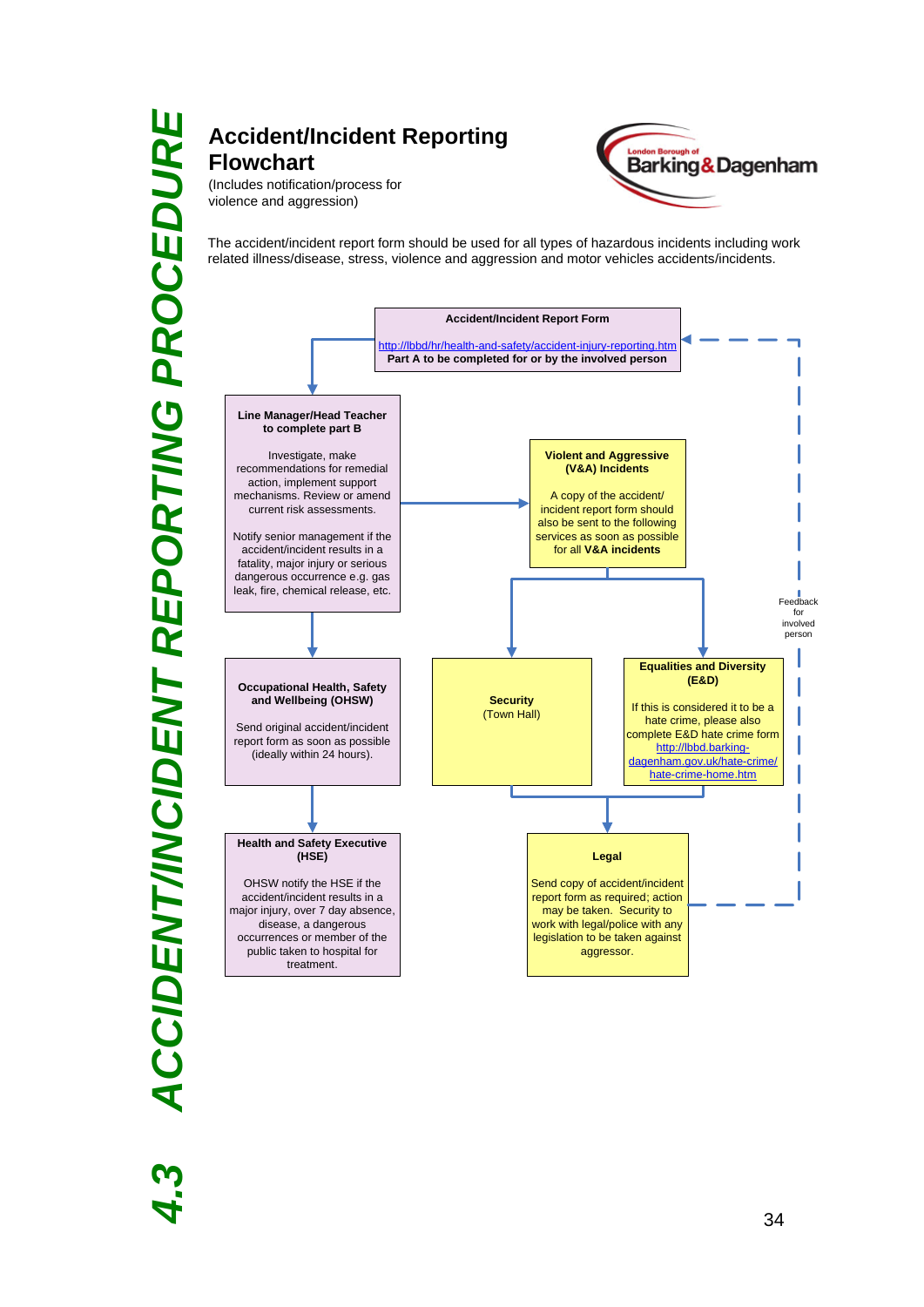# *4.3 ACCIDENT/INCIDENT REPORTING PROCEDURE* **ACCIDENT/INCIDENT REPORTING PROCEDURE**

### **Accident/Incident Reporting Flowchart** (Includes notification/process for





The accident/incident report form should be used for all types of hazardous incidents including work related illness/disease, stress, violence and aggression and motor vehicles accidents/incidents.

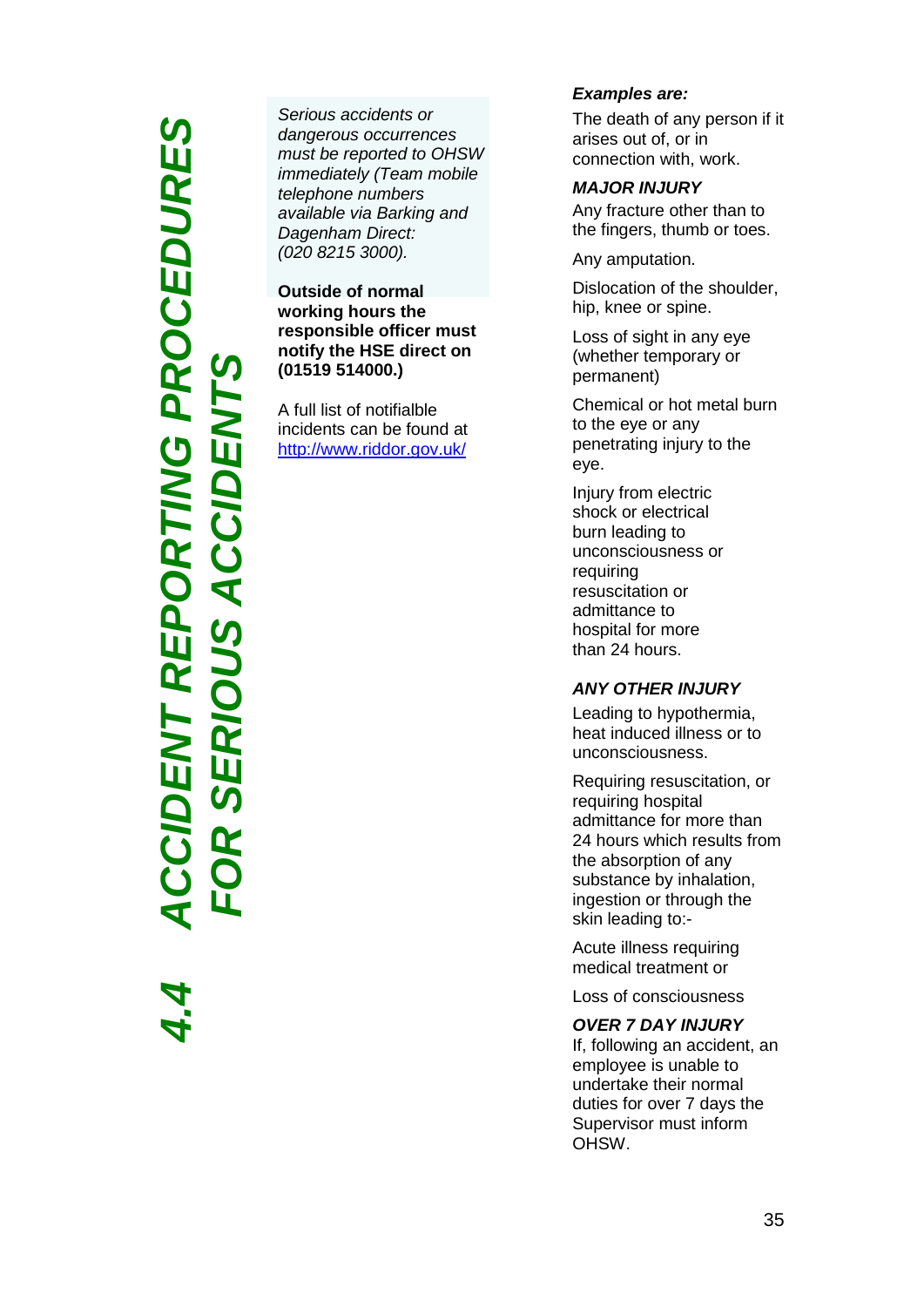# CODENT REPORTING PROCEDURES *4.4 ACCIDENT REPORTING PROCEDURES FOR SERIOUS ACCIDENTS* **SER**

*Serious accidents or dangerous occurrences must be reported to OHSW immediately (Team mobile telephone numbers available via Barking and Dagenham Direct: (020 8215 3000).*

**Outside of normal working hours the responsible officer must notify the HSE direct on (01519 514000.)** 

A full list of notifialble incidents can be found at <http://www.riddor.gov.uk/>

### *Examples are :*

The death of any person if it arises out of, or in connection with, work.

*MAJOR INJURY* Any fracture other than to the fingers, thumb or toes.

Any amputation.

Dislocation of the shoulder, hip, knee or spine.

Loss of sight in any eye (whether temporary or permanent)

Chemical or hot metal burn to the eye or any penetrating injury to the eye.

Injury from electric shock or electrical burn leading to unconsciousness or requiring resuscitation or admittance to hospital for more than 24 hours.

### *ANY OTHER INJURY*

Leading to hypothermia, heat induced illness or to unconsciousness.

Requiring resuscitation, or requiring hospital admittance for more than 24 hours which results from the absorption of any substance by inhalation, ingestion or through the skin leading to: -

Acute illness requiring medical treatment or

Loss of consciousness

### *OVER 7 DAY INJURY*

If, following an accident, an employee is unable to undertake their normal duties for over 7 days the Supervisor must inform OHSW .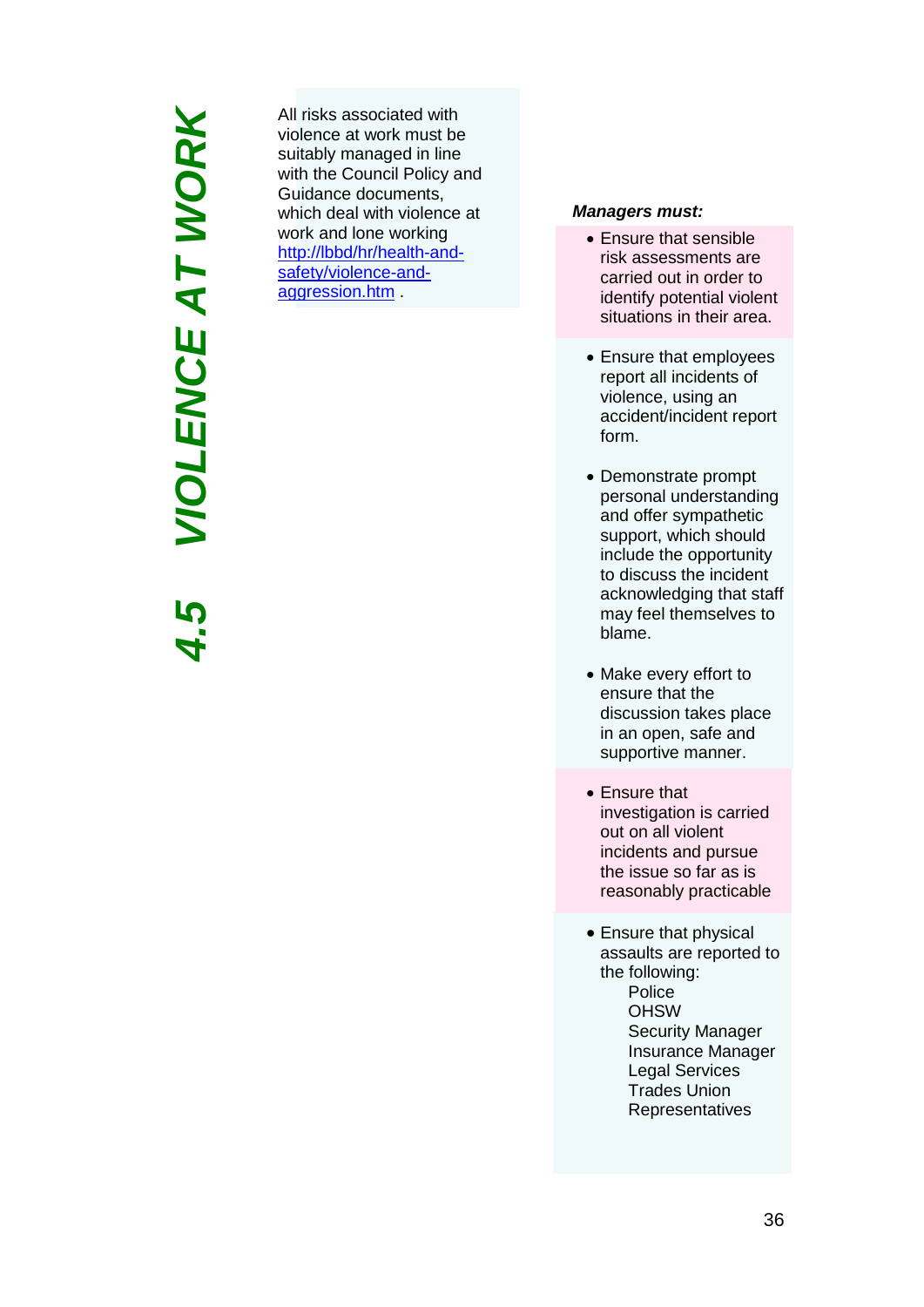# *4.5 VIOLENCE AT WORK* **VIOLENCE AT WORK**

All risks associated with violence at work must be suitably managed in line with the Council Policy and Guidance document s, which deal with violence at work and lone working [http://lbbd/hr/health](http://lbbd/hr/health-and-safety/violence-and-aggression.htm)-and[safety/violence](http://lbbd/hr/health-and-safety/violence-and-aggression.htm)-and[aggression.htm](http://lbbd/hr/health-and-safety/violence-and-aggression.htm) .

### *Managers must:*

- Ensure that sensible risk assessments are carried out in order to identify potential violent situations in their area.
- Ensure that employees report all incidents of violence, using an accident/incident report form.
- Demonstrate prompt personal understanding and offer sympathetic support, which should include the opportunity to discuss the incident acknowledging that staff may feel themselves to blame.
- Make every effort to ensure that the discussion takes place in an open, safe and supportive manner.
- Ensure that investigation is carried out on all violent incidents and pursue the issue so far as is reasonably practicable
- Ensure that physical assaults are reported to the following: Police **OHSW** Security Manager Insurance Manager Legal Services Trades Union **Representatives**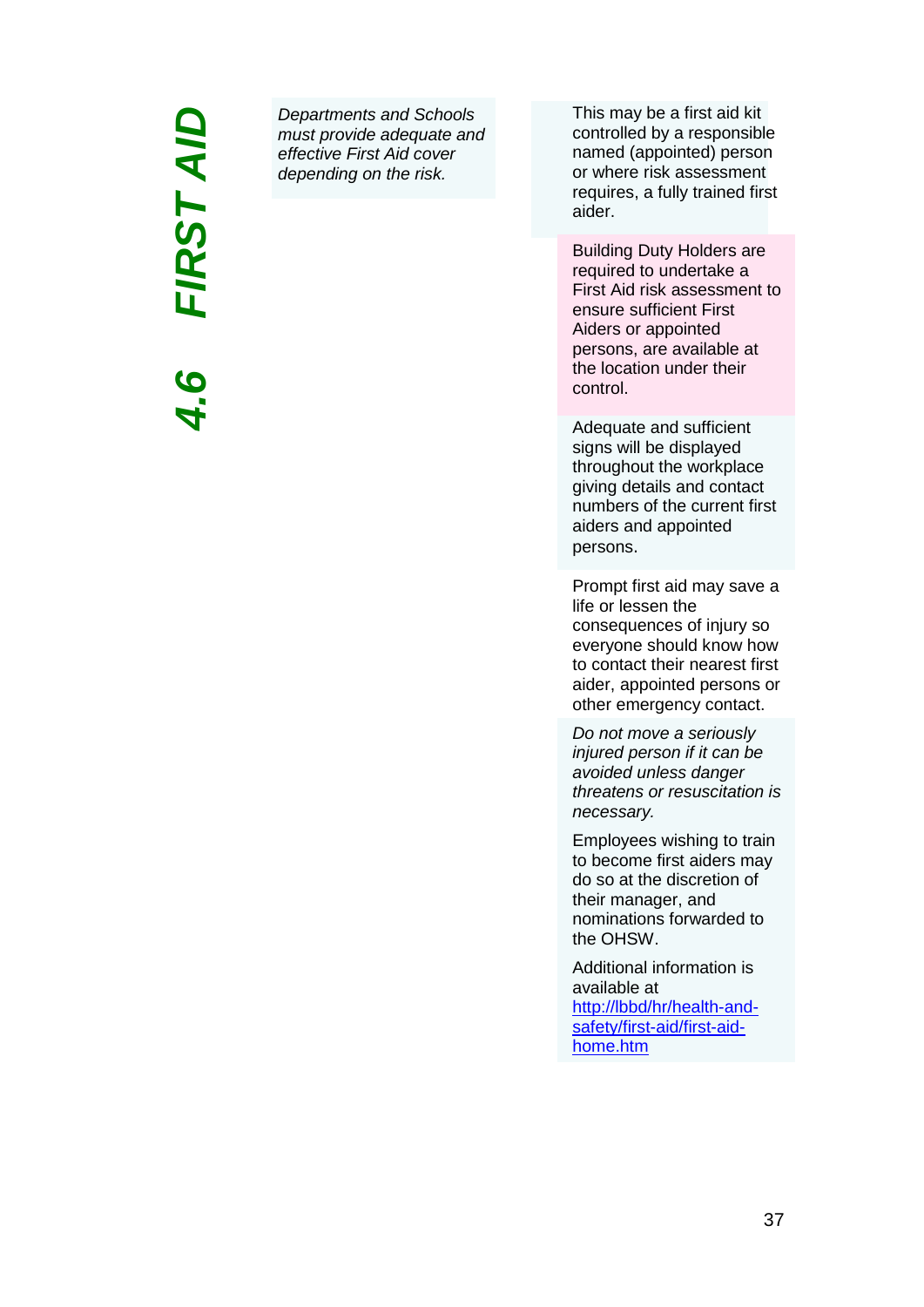### *4.6 FIRST AID*FIRST AID

*Departments and Schools must provide adequate and effective First Aid cover depending on the risk.* 

This may be a first aid kit controlled by a responsible named (appointed) person or where risk assessment requires, a fully trained first aider.

Building Duty Holders are required to undertake a First Aid risk assessment to ensure sufficient First Aiders or appointed persons, are available at the location under their control.

Adequate and sufficient signs will be displayed throughout the workplace giving details and contact numbers of the current first aiders and appointed persons.

Prompt first aid may save a life or lessen the consequences of injury so everyone should know how to contact their nearest first aider, appointed persons or other emergency contact.

*Do not move a seriously injured person if it can be avoided unless danger threatens or resuscitation is necessary.*

Employees wishing to train to become first aiders may do so at the discretion of their manager, and nominations forwarded to the OHSW.

Additional information is available at [http://lbbd/hr/health-and](http://lbbd/hr/health-and-safety/first-aid/first-aid-home.htm)[safety/first-aid/first-aid](http://lbbd/hr/health-and-safety/first-aid/first-aid-home.htm)[home.htm](http://lbbd/hr/health-and-safety/first-aid/first-aid-home.htm)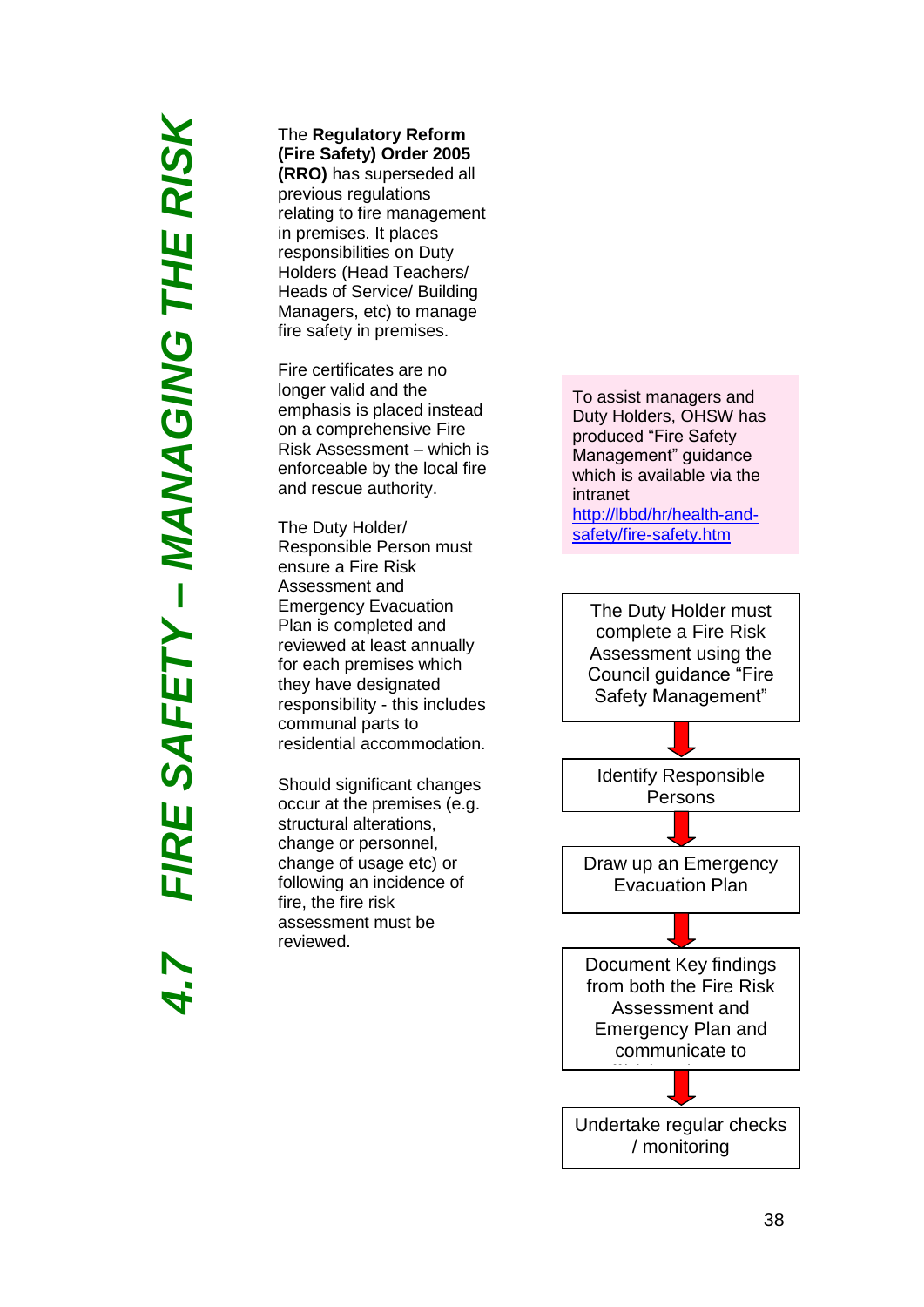# *4.7 FIRE SAFETY – MANAGING THE RISK* **IRE SAFETY – MANAGING THE RISK**

### The **Regulatory Reform (Fire Safety) Order 2005**

**(RRO)** has superseded all previous regulations relating to fire management in premises. It places responsibilities on Duty Holders (Head Teachers/ Heads of Service/ Building Managers, etc) to manage fire safety in premises.

Fire certificates are no longer valid and the emphasis is placed instead on a comprehensive Fire Risk Assessment – which is enforceable by the local fire and rescue authority.

The Duty Holder/ Responsible Person must ensure a Fire Risk Assessment and Emergency Evacuation Plan is completed and reviewed at least annually for each premises which they have designated responsibility - this includes communal parts to residential accommodation.

Should significant changes occur at the premises (e.g. structural alterations, change or personnel, change of usage etc) or following an incidence of fire, the fire risk assessment must be reviewed.

To assist managers and Duty Holders, OHSW has produced "Fire Safety Management" guidance which is available via the intranet [http://lbbd/hr/health](http://lbbd/hr/health-and-safety/fire-safety.htm)-andsafety/fire-safety.htm

The Duty Holder must complete a Fire Risk Assessment using the Council guidance "Fire Safety Management"

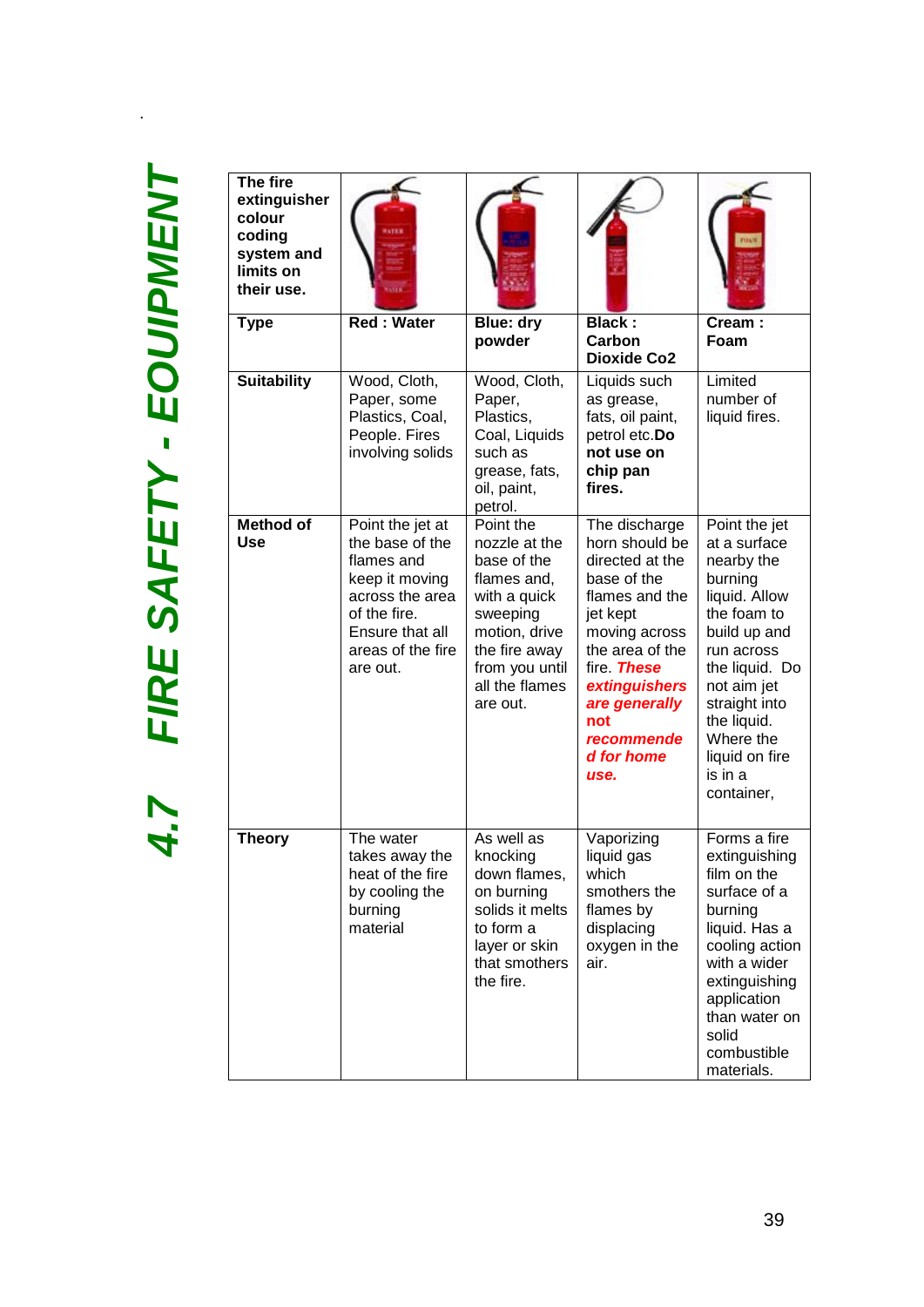.

| The fire<br>extinguisher<br>colour<br>coding<br>system and<br>limits on<br>their use. |                                                                                                                                                            |                                                                                                                                                                        |                                                                                                                                                                                                                                       |                                                                                                                                                                                                                                               |
|---------------------------------------------------------------------------------------|------------------------------------------------------------------------------------------------------------------------------------------------------------|------------------------------------------------------------------------------------------------------------------------------------------------------------------------|---------------------------------------------------------------------------------------------------------------------------------------------------------------------------------------------------------------------------------------|-----------------------------------------------------------------------------------------------------------------------------------------------------------------------------------------------------------------------------------------------|
| <b>Type</b>                                                                           | <b>Red: Water</b>                                                                                                                                          | <b>Blue: dry</b><br>powder                                                                                                                                             | <b>Black:</b><br>Carbon<br><b>Dioxide Co2</b>                                                                                                                                                                                         | Cream:<br>Foam                                                                                                                                                                                                                                |
| <b>Suitability</b>                                                                    | Wood, Cloth,<br>Paper, some<br>Plastics, Coal,<br>People. Fires<br>involving solids                                                                        | Wood, Cloth,<br>Paper,<br>Plastics,<br>Coal, Liquids<br>such as<br>grease, fats,<br>oil, paint,<br>petrol.                                                             | Liquids such<br>as grease,<br>fats, oil paint,<br>petrol etc.Do<br>not use on<br>chip pan<br>fires.                                                                                                                                   | Limited<br>number of<br>liquid fires.                                                                                                                                                                                                         |
| <b>Method of</b><br><b>Use</b>                                                        | Point the jet at<br>the base of the<br>flames and<br>keep it moving<br>across the area<br>of the fire.<br>Ensure that all<br>areas of the fire<br>are out. | Point the<br>nozzle at the<br>base of the<br>flames and,<br>with a quick<br>sweeping<br>motion, drive<br>the fire away<br>from you until<br>all the flames<br>are out. | The discharge<br>horn should be<br>directed at the<br>base of the<br>flames and the<br>jet kept<br>moving across<br>the area of the<br>fire <b>These</b><br>extinguishers<br>are generally<br>not<br>recommende<br>d for home<br>use. | Point the jet<br>at a surface<br>nearby the<br>burning<br>liquid. Allow<br>the foam to<br>build up and<br>run across<br>the liquid. Do<br>not aim jet<br>straight into<br>the liquid.<br>Where the<br>liquid on fire<br>is in a<br>container, |
| <b>Theory</b>                                                                         | The water<br>takes away the<br>heat of the fire<br>by cooling the<br>burning<br>material                                                                   | As well as<br>knocking<br>down flames,<br>on burning<br>solids it melts<br>to form a<br>layer or skin<br>that smothers<br>the fire.                                    | Vaporizing<br>liquid gas<br>which<br>smothers the<br>flames by<br>displacing<br>oxygen in the<br>air.                                                                                                                                 | Forms a fire<br>extinguishing<br>film on the<br>surface of a<br>burning<br>liquid. Has a<br>cooling action<br>with a wider<br>extinguishing<br>application<br>than water on<br>solid<br>combustible<br>materials.                             |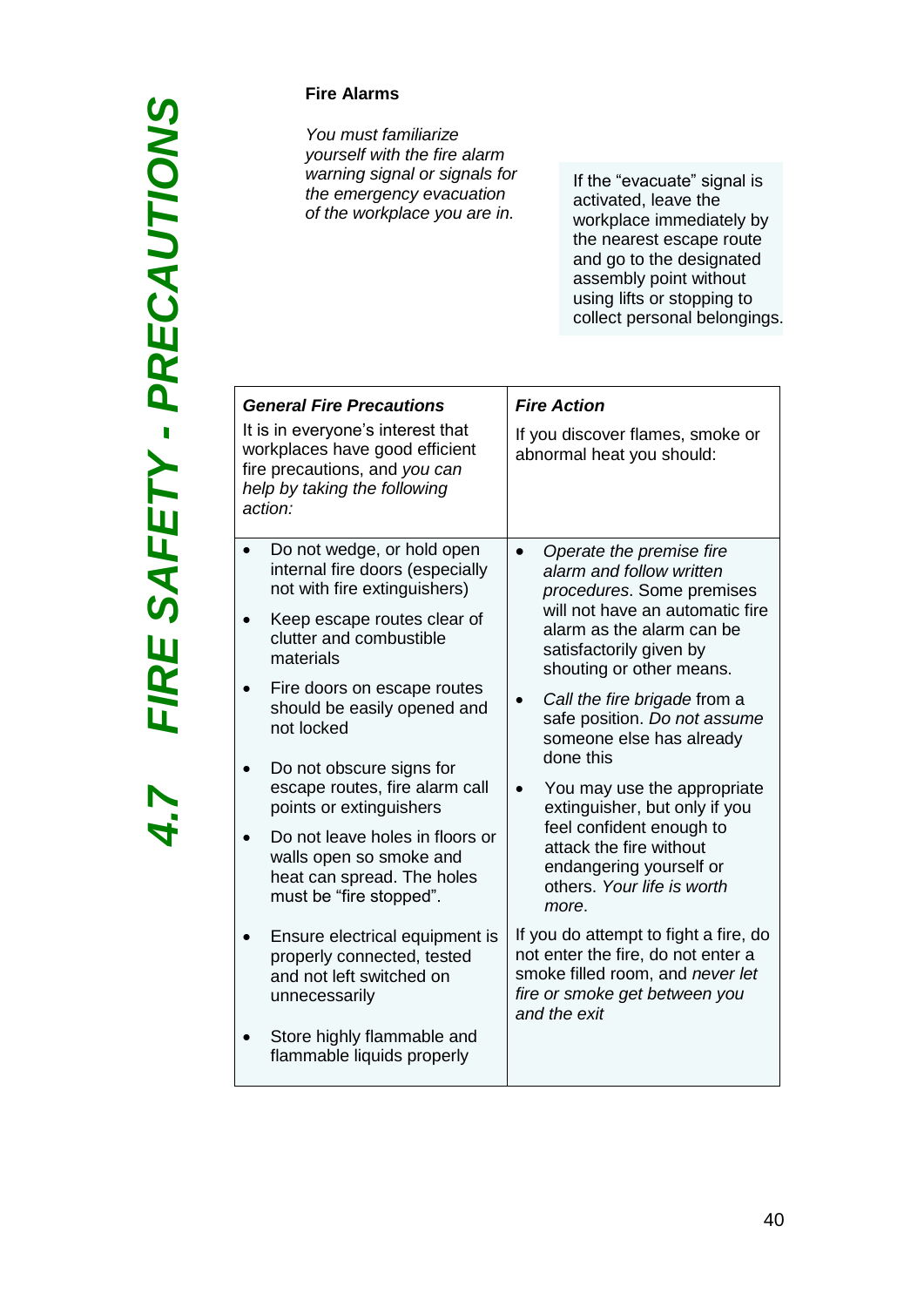4.7

### **Fire Alarms**

*You must familiarize yourself with the fire alarm warning signal or signals for the emergency evacuation of the workplace you are in.*

If the "evacuate" signal is activated, leave the workplace immediately by the nearest escape route and go to the designated assembly point without using lifts or stopping to collect personal belongings.

| Do not wedge, or hold open<br>Operate the premise fire<br>internal fire doors (especially<br>alarm and follow written<br>not with fire extinguishers)<br>procedures. Some premises<br>will not have an automatic fire<br>Keep escape routes clear of<br>alarm as the alarm can be<br>clutter and combustible<br>satisfactorily given by<br>materials<br>shouting or other means.<br>Fire doors on escape routes<br>Call the fire brigade from a<br>should be easily opened and<br>safe position. Do not assume<br>not locked<br>someone else has already<br>done this<br>Do not obscure signs for<br>escape routes, fire alarm call<br>You may use the appropriate<br>points or extinguishers<br>extinguisher, but only if you<br>feel confident enough to<br>Do not leave holes in floors or<br>attack the fire without<br>walls open so smoke and<br>endangering yourself or<br>heat can spread. The holes<br>others. Your life is worth<br>must be "fire stopped".<br>more.<br>If you do attempt to fight a fire, do<br>Ensure electrical equipment is<br>not enter the fire, do not enter a<br>properly connected, tested<br>smoke filled room, and never let<br>and not left switched on<br>fire or smoke get between you<br>unnecessarily<br>and the exit<br>Store highly flammable and<br>flammable liquids properly | <b>General Fire Precautions</b><br>It is in everyone's interest that<br>workplaces have good efficient<br>fire precautions, and you can<br>help by taking the following<br>action: | <b>Fire Action</b><br>If you discover flames, smoke or<br>abnormal heat you should: |  |
|-----------------------------------------------------------------------------------------------------------------------------------------------------------------------------------------------------------------------------------------------------------------------------------------------------------------------------------------------------------------------------------------------------------------------------------------------------------------------------------------------------------------------------------------------------------------------------------------------------------------------------------------------------------------------------------------------------------------------------------------------------------------------------------------------------------------------------------------------------------------------------------------------------------------------------------------------------------------------------------------------------------------------------------------------------------------------------------------------------------------------------------------------------------------------------------------------------------------------------------------------------------------------------------------------------------------------------|------------------------------------------------------------------------------------------------------------------------------------------------------------------------------------|-------------------------------------------------------------------------------------|--|
|                                                                                                                                                                                                                                                                                                                                                                                                                                                                                                                                                                                                                                                                                                                                                                                                                                                                                                                                                                                                                                                                                                                                                                                                                                                                                                                             |                                                                                                                                                                                    |                                                                                     |  |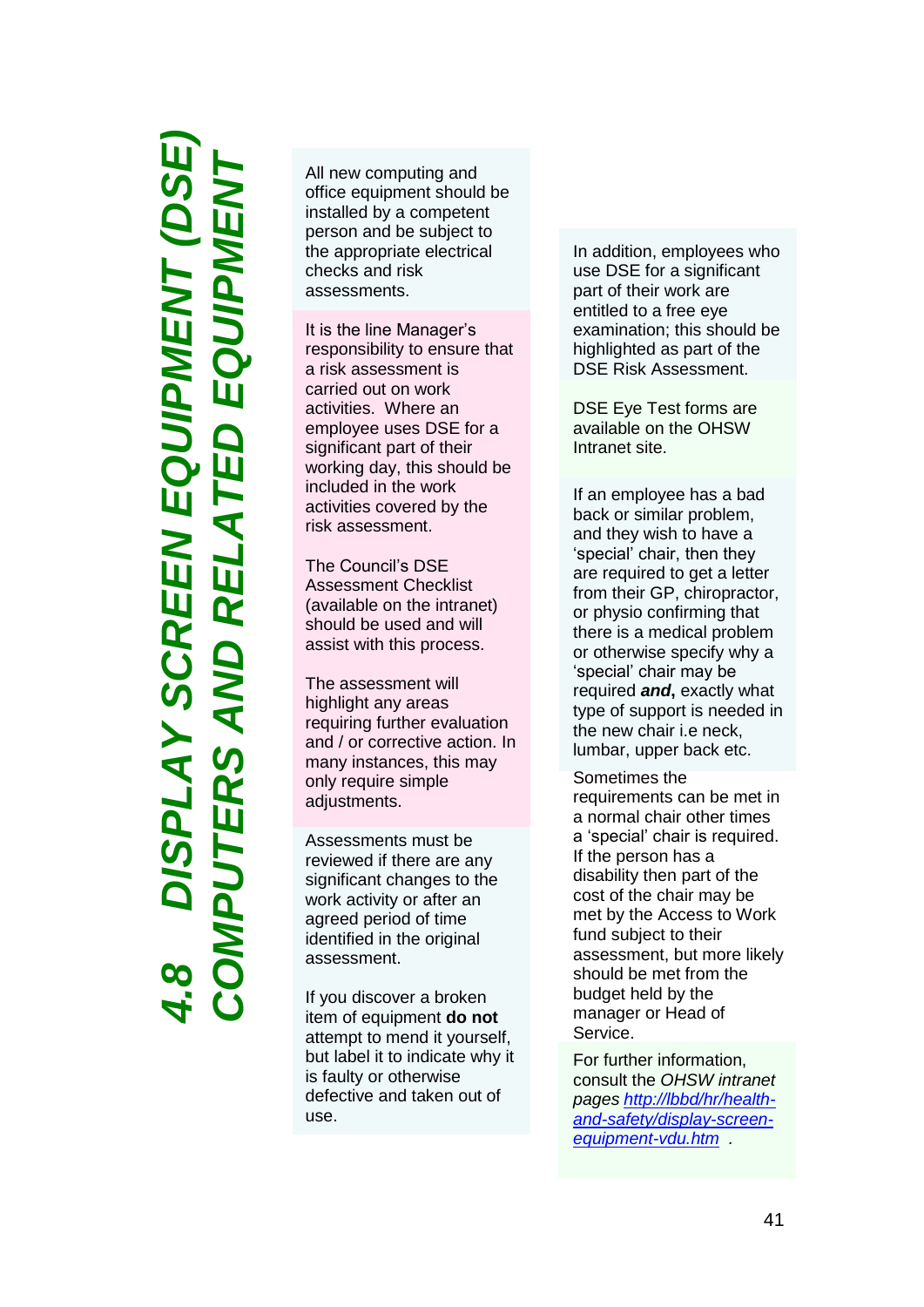*4.8 DISPLAY SCREEN EQUIPMENT (DSE) COMPUTERS AND RELATED EQUIPMENT*Nヨ EEN EQUIPI **AN** 

All new computing and office equipment should be installed by a competent person and be subject to the appropriate electrical checks and risk assessments.

It is the line Manager's responsibility to ensure that a risk assessment is carried out on work activities. Where an employee uses DSE for a significant part of their working day, this should be included in the work activities covered by the risk assessment.

The Council's DSE Assessment Checklist (available on the intranet) should be used and will assist with this process.

The assessment will highlight any areas requiring further evaluation and / or corrective action. In many instances, this may only require simple adjustments.

Assessments must be reviewed if there are any significant changes to the work activity or after an agreed period of time identified in the original assessment.

If you discover a broken item of equipment **do not** attempt to mend it yourself, but label it to indicate why it is faulty or otherwise defective and taken out of use.

In addition, employees who use DSE for a significant part of their work are entitled to a free eye examination; this should be highlighted as part of the DSE Risk Assessment.

DSE Eye Test forms are available on the OHSW Intranet site.

If an employee has a bad back or similar problem, and they wish to have a 'special' chair, then they are required to get a letter from their GP, chiropractor, or physio confirming that there is a medical problem or otherwise specify why a 'special' chair may be required *and***,** exactly what type of support is needed in the new chair i.e neck, lumbar, upper back etc.

Sometimes the requirements can be met in a normal chair other times a 'special' chair is required. If the person has a disability then part of the cost of the chair may be met by the Access to Work fund subject to their assessment, but more likely should be met from the budget held by the manager or Head of Service.

For further information, consult the *OHSW intranet pages [http://lbbd/hr/health](http://lbbd/hr/health-and-safety/display-screen-equipment-vdu.htm) [and-safety/display-screen](http://lbbd/hr/health-and-safety/display-screen-equipment-vdu.htm) [equipment](http://lbbd/hr/health-and-safety/display-screen-equipment-vdu.htm) -vdu.htm .*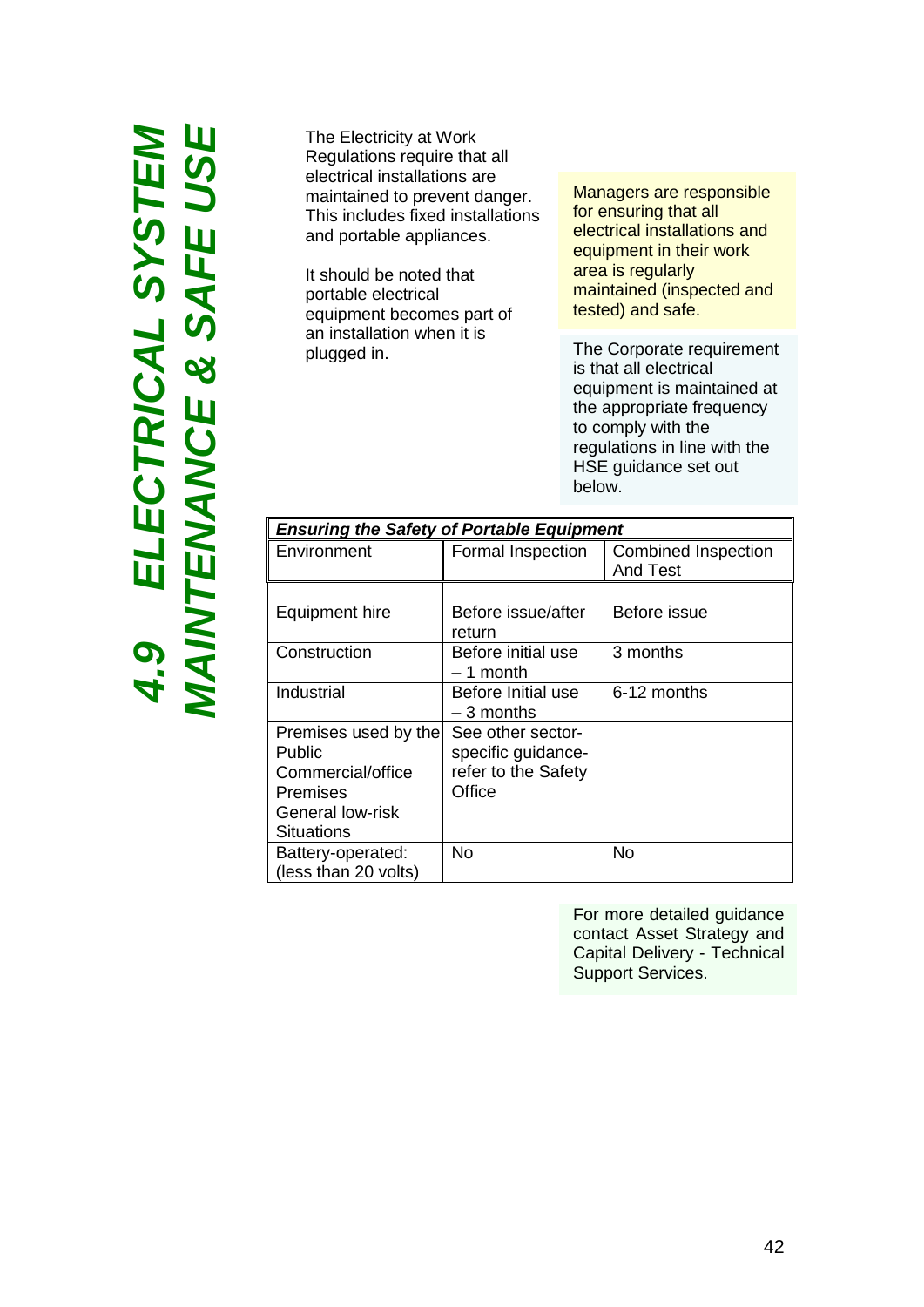# 4.9 ELECTRICAL SYSTEM<br>MAINTENANCE & SAFE USE *4.9 ELECTRICAL SYSTEM MAINTENANCE & SAFE USE*

The Electricity at Work Regulations require that all electrical installations are maintained to prevent danger. This includes fixed installations and portable appliances.

It should be noted that portable electrical equipment becomes part of an installation when it is plugged in.

Managers are responsible for ensuring that all electrical installations and equipment in their work area is regularly maintained (inspected and tested) and safe.

The Corporate requirement is that all electrical equipment is maintained at the appropriate frequency to comply with the regulations in line with the HSE guidance set out below.

| <b>Ensuring the Safety of Portable Equipment</b> |                                         |                                               |  |  |
|--------------------------------------------------|-----------------------------------------|-----------------------------------------------|--|--|
| Environment                                      | Formal Inspection                       | <b>Combined Inspection</b><br><b>And Test</b> |  |  |
| Equipment hire                                   | Before issue/after<br>return            | Before issue                                  |  |  |
| Construction                                     | Before initial use<br>– 1 month         | 3 months                                      |  |  |
| Industrial                                       | Before Initial use<br>$-3$ months       | 6-12 months                                   |  |  |
| Premises used by the<br>Public                   | See other sector-<br>specific guidance- |                                               |  |  |
| Commercial/office<br><b>Premises</b>             | refer to the Safety<br>Office           |                                               |  |  |
| General low-risk<br>Situations                   |                                         |                                               |  |  |
| Battery-operated:<br>(less than 20 volts)        | No                                      | No                                            |  |  |

For more detailed guidance contact Asset Strategy and Capital Delivery - Technical Support Services.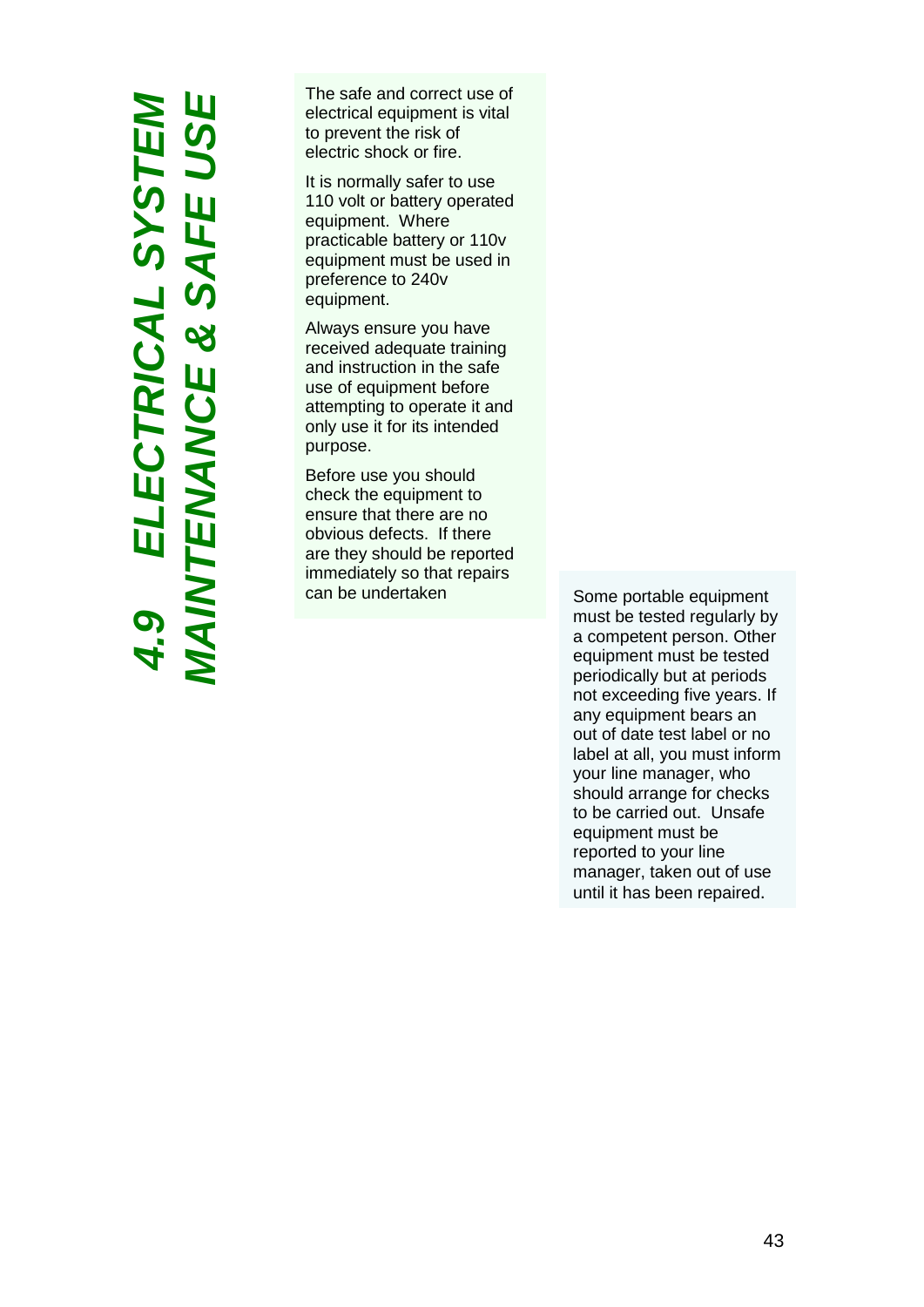*MAINTENANCE & SAFE USE 4.9 ELECTRICAL SYSTEM* W 4.9 ELECTRICAL SYSTEM<br>1AINTENANCE & SAFE USE

The safe and correct use of electrical equipment is vital to prevent the risk of electric shock or fire.

It is normally safer to use 110 volt or battery operated equipment. Where practicable battery or 110v equipment must be used in preference to 240v equipment.

Always ensure you have received adequate training and instruction in the safe use of equipment before attempting to operate it and only use it for its intended purpose.

Before use you should check the equipment to ensure that there are no obvious defects. If there are they should be reported immediately so that repairs can be undertaken Some portable equipment

must be tested regularly by a competent person. Other equipment must be tested periodically but at periods not exceeding five years. If any equipment bears an out of date test label or no label at all, you must inform your line manager, who should arrange for checks to be carried out. Unsafe equipment must be reported to your line manager, taken out of use until it has been repaired.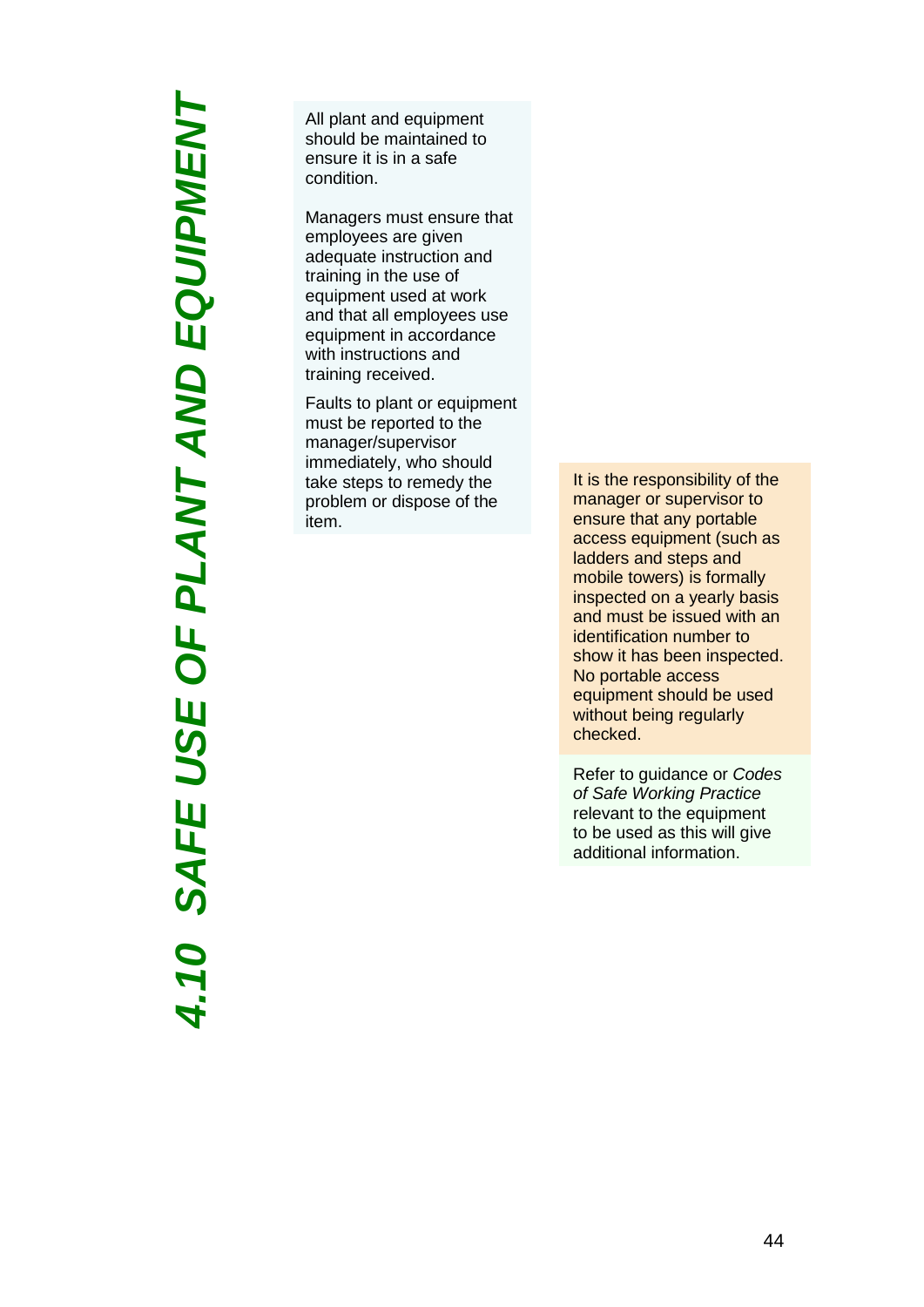*4.10 SAFE USE OF PLANT AND EQUIPMENT*OF PLANT AND EQUIPMENT USE 4.10 SAFE

All plant and equipment should be maintained to ensure it is in a safe condition.

Managers must ensure that employees are given adequate instruction and training in the use of equipment used at work and that all employees use equipment in accordance with instructions and training received.

Faults to plant or equipment must be reported to the manager/supervisor immediately, who should take steps to remedy the problem or dispose of the item.

It is the responsibility of the manager or supervisor to ensure that any portable access equipment (such as ladders and steps and mobile towers) is formally inspected on a yearly basis and must be issued with an identification number to show it has been inspected. No portable access equipment should be used without being regularly checked.

Refer to guidance or *Codes of Safe Working Practice*  relevant to the equipment to be used as this will give additional information.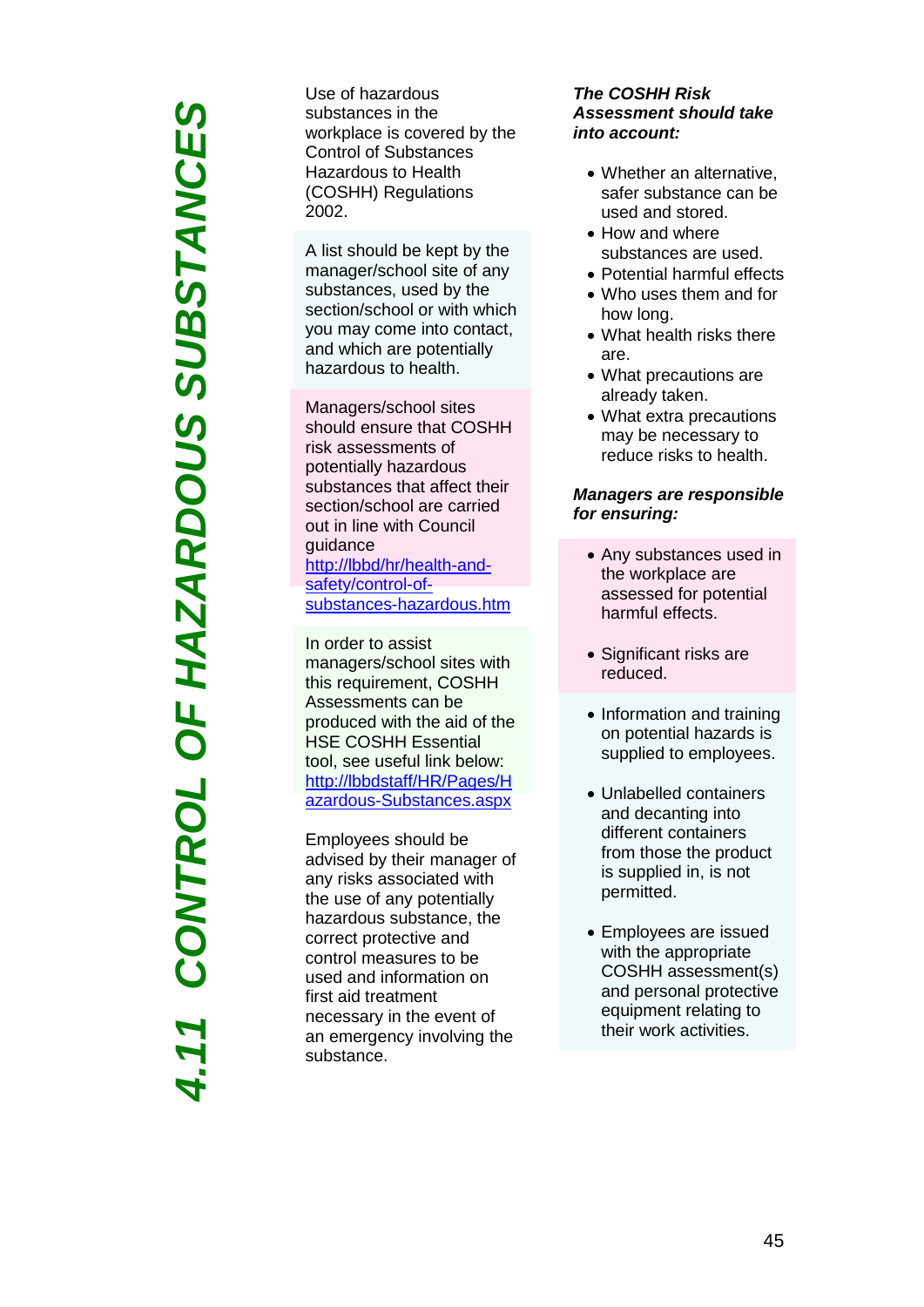*4.11 CONTROL OF HAZARDOUS SUBSTANCES*OF HAZARDOUS SUBSTANCES CONTROL

Use of hazardous substances in the workplace is covered by the Control of Substances Hazardous to Health (COSHH) Regulations 2002 .

A list should be kept by the manager/school site of any substances, used by the section/school or with which you may come into contact, and which are potentially hazardous to health.

Managers/school sites should ensure that COSHH risk assessments of potentially hazardous substances that affect their section/school are carried out in line with Council guidance [http://lbbd/hr/health](http://lbbd/hr/health-and-safety/control-of-substances-hazardous.htm)-and[safety/control](http://lbbd/hr/health-and-safety/control-of-substances-hazardous.htm)-ofsubstances [-hazardous.htm](http://lbbd/hr/health-and-safety/control-of-substances-hazardous.htm)

In order to assist managers/school sites with this requirement, COSHH Assessments can be produced with the aid of the HSE COSHH Essential tool, see useful link below: [http://lbbdstaff/HR/Pages/H](http://lbbdstaff/HR/Pages/Hazardous-Substances.aspx) azardous [-Substances.aspx](http://lbbdstaff/HR/Pages/Hazardous-Substances.aspx)

Employees should be advised by their manager of any risks associated with the use of any potentially hazardous substance, the correct protective and control measures to be used and information on first aid treatment necessary in the event of an emergency involving the substance.

### *The COSHH Risk Assessment should take into account:*

- Whether an alternative, safer substance can be used and stored.
- How and where substances are used .
- Potential harmful effects
- Who uses them and for how long .
- What health risks there are .
- What precautions are already taken .
- What extra precautions may be necessary to reduce risks to health .

### *Managers are responsible for ensuring :*

- Any substances used in the workplace are assessed for potential harmful effects .
- Significant risks are reduced .
- Information and training on potential hazards is supplied to employees .
- Unlabelled containers and decanting into different containers from those the product is supplied in, is not permitted.
- Employees are issued with the appropriate COSHH assessment(s) and personal protective equipment relating to their work activities.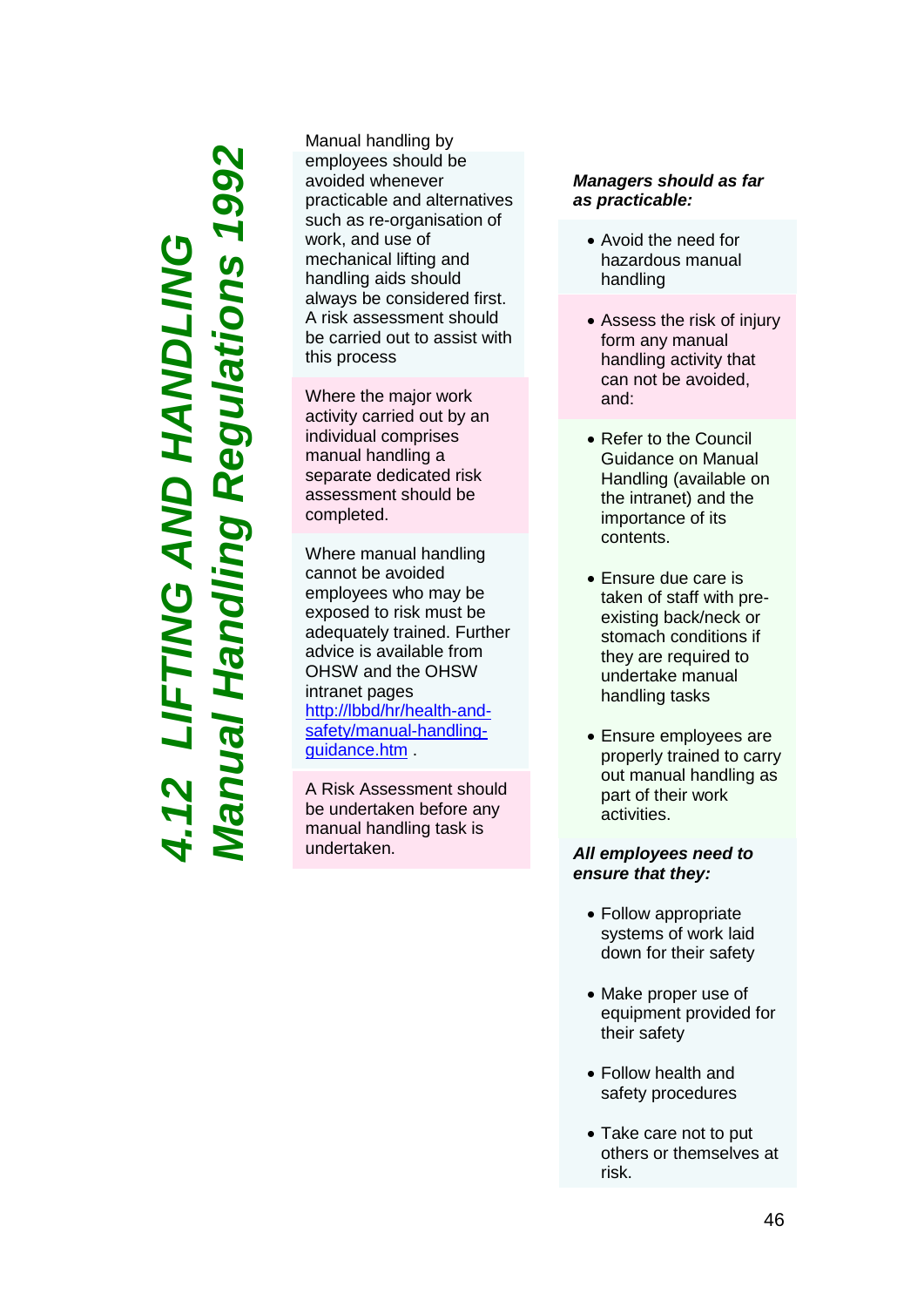### *Manual Handling Regulations 1992*002 **ling Regulations** *4.12 LIFTING AND HANDLING* FTING AND HANDLING

Manual handling by employees should be avoided whenever practicable and alternatives such as re - organisation of work, and use of mechanical lifting and handling aids should always be considered first. A risk assessment should be carried out to assist with this process

Where the major work activity carried out by an individual comprises manual handling a separate dedicated risk assessment should be completed.

Where manual handling cannot be avoided employees who may be exposed to risk must be adequately trained. Further advice is available from OHSW and the OHSW intranet pages [http://lbbd/hr/health](http://lbbd/hr/health-and-safety/manual-handling-guidance.htm)-and[safety/manual](http://lbbd/hr/health-and-safety/manual-handling-guidance.htm) -handling [guidance.htm](http://lbbd/hr/health-and-safety/manual-handling-guidance.htm) .

A Risk Assessment should be undertaken before any manual handling task is undertaken.

### *Managers should as far as practicable:*

- Avoid the need for hazardous manual handling
- Assess the risk of injury form any manual handling activity that can not be avoided, and:
- Refer to the Council Guidance on Manual Handling (available on the intranet) and the importance of its contents.
- Ensure due care is taken of staff with pre existing back/neck or stomach conditions if they are required to undertake manual handling tasks
- Ensure employees are properly trained to carry out manual handling as part of their work activities.

### *All employees need to ensure that they:*

- Follow appropriate systems of work laid down for their safety
- Make proper use of equipment provided for their safety
- Follow health and safety procedures
- Take care not to put others or themselves at risk.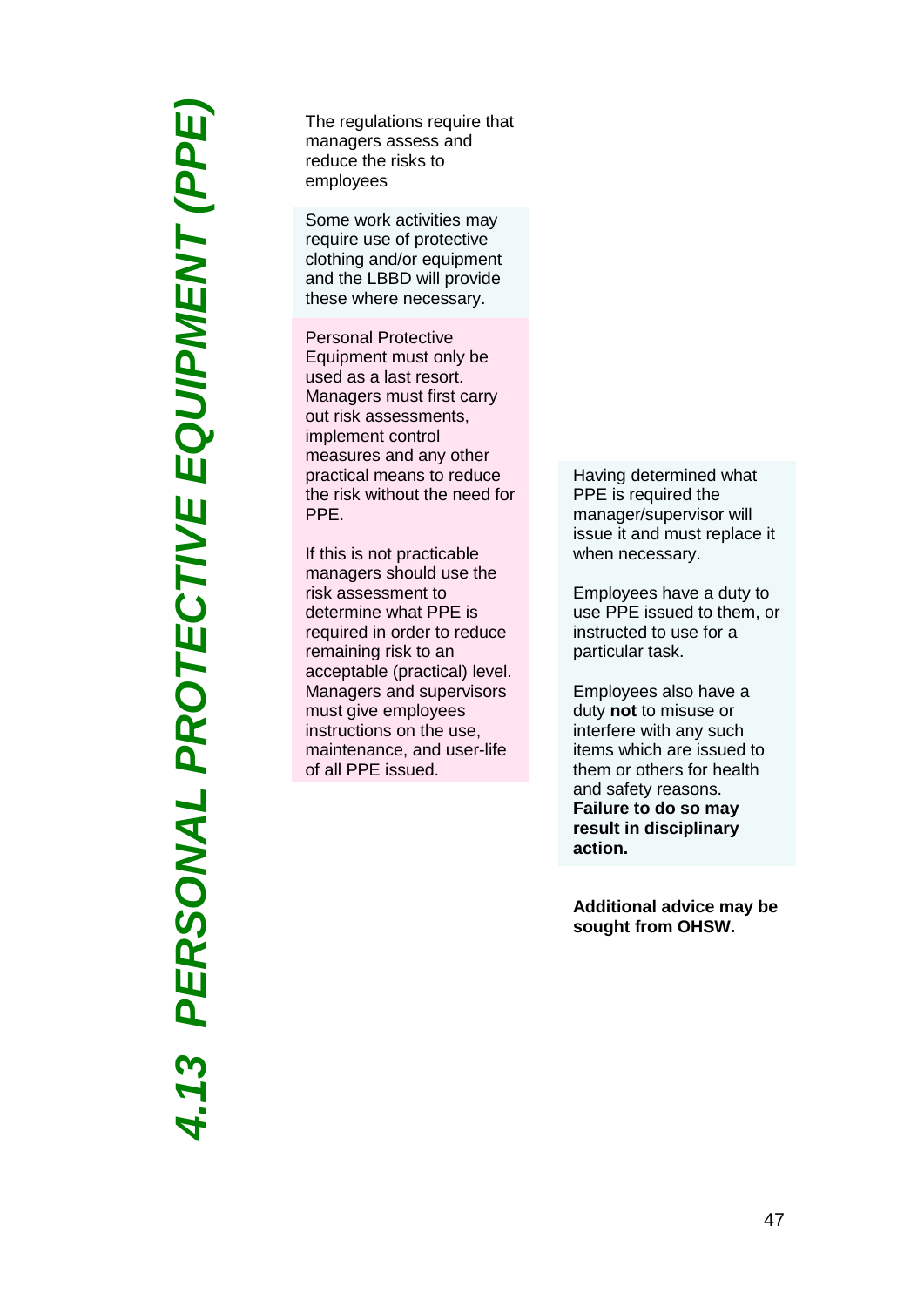*4.13 PERSONAL PROTECTIVE EQUIPMENT (PPE)*PERSONAL PROTECTIVE EQUIPMENT (PPE)

The regulations require that managers assess and reduce the risks to employees

Some work activities may require use of protective clothing and/or equipment and the LBBD will provide these where necessary.

Personal Protective Equipment must only be used as a last resort. Managers must first carry out risk assessments, implement control measures and any other practical means to reduce the risk without the need for PPE.

If this is not practicable managers should use the risk assessment to determine what PPE is required in order to reduce remaining risk to an acceptable (practical) level. Managers and supervisors must give employees instructions on the use, maintenance, and user -life of all PPE issued.

Having determined what PPE is required the manager/supervisor will issue it and must replace it when necessary.

Employees have a duty to use PPE issued to them, or instructed to use for a particular task.

Employees also have a duty **not** to misuse or interfere with any such items which are issued to them or others for health and safety reasons. **Failure to do so may result in disciplinary action.**

**Additional advice may be sought from OHSW .**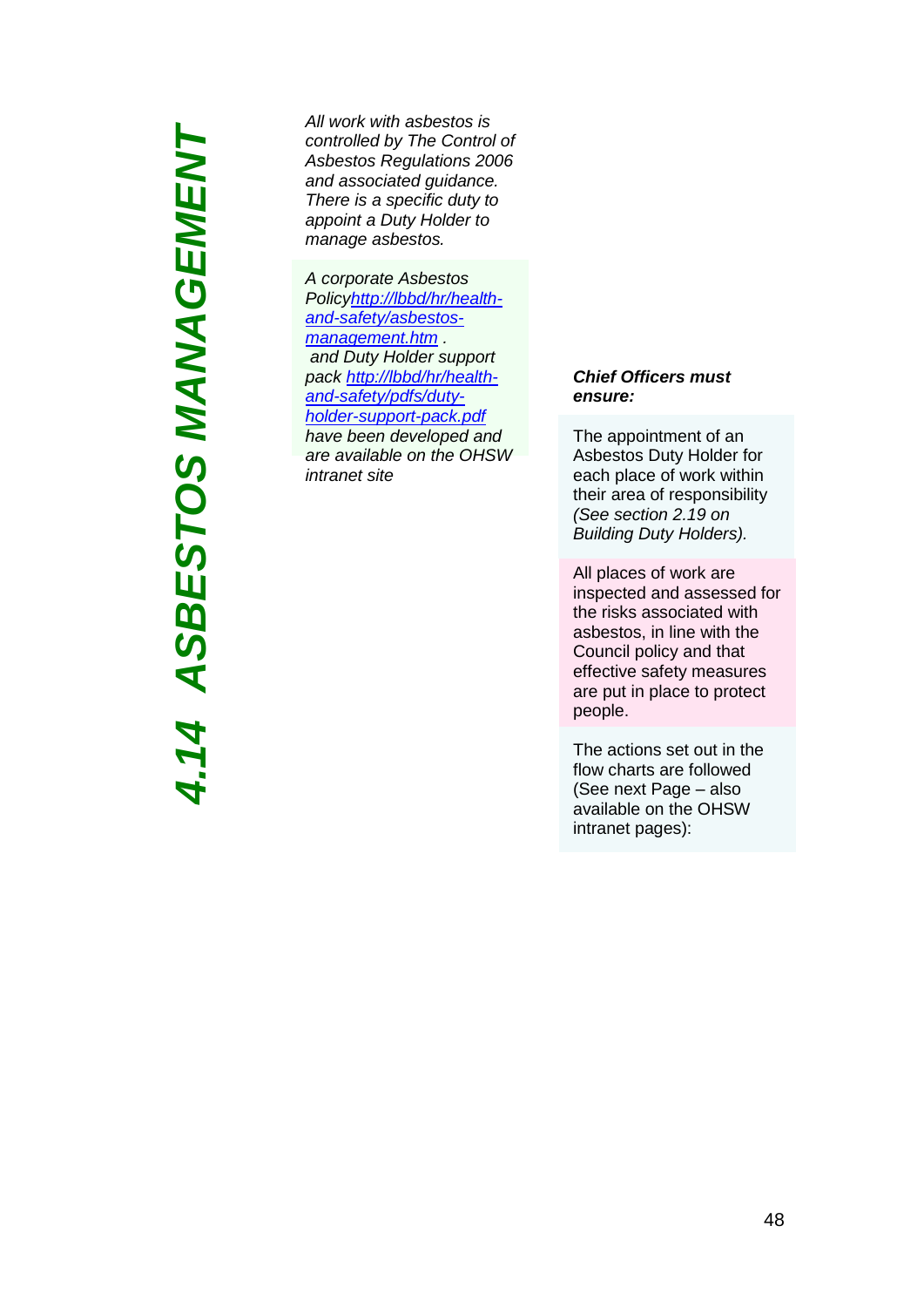*4.14 ASBESTOS MANAGEMENT*4.14 ASBESTOS MANAGEMENT

*All work with asbestos is controlled by The Control of Asbestos Regulations 2006 and associated guidance. There is a specific duty to appoint a Duty Holder to manage asbestos.*

*A corporate Asbestos Polic[yhttp://lbbd/hr/health](http://lbbd/hr/health-and-safety/asbestos-management.htm)[and-safety/asbestos](http://lbbd/hr/health-and-safety/asbestos-management.htm)[management.htm](http://lbbd/hr/health-and-safety/asbestos-management.htm) . and Duty Holder support pack [http://lbbd/hr/health](http://lbbd/hr/health-and-safety/pdfs/duty-holder-support-pack.pdf)[and-safety/pdfs/duty](http://lbbd/hr/health-and-safety/pdfs/duty-holder-support-pack.pdf)[holder-support-pack.pdf](http://lbbd/hr/health-and-safety/pdfs/duty-holder-support-pack.pdf)  have been developed and are available on the OHSW intranet site*

### *Chief Officers must ensure:*

The appointment of an Asbestos Duty Holder for each place of work within their area of responsibility *(See section 2.19 on Building Duty Holders).*

All places of work are inspected and assessed for the risks associated with asbestos, in line with the Council policy and that effective safety measures are put in place to protect people.

The actions set out in the flow charts are followed (See next Page – also available on the OHSW intranet pages):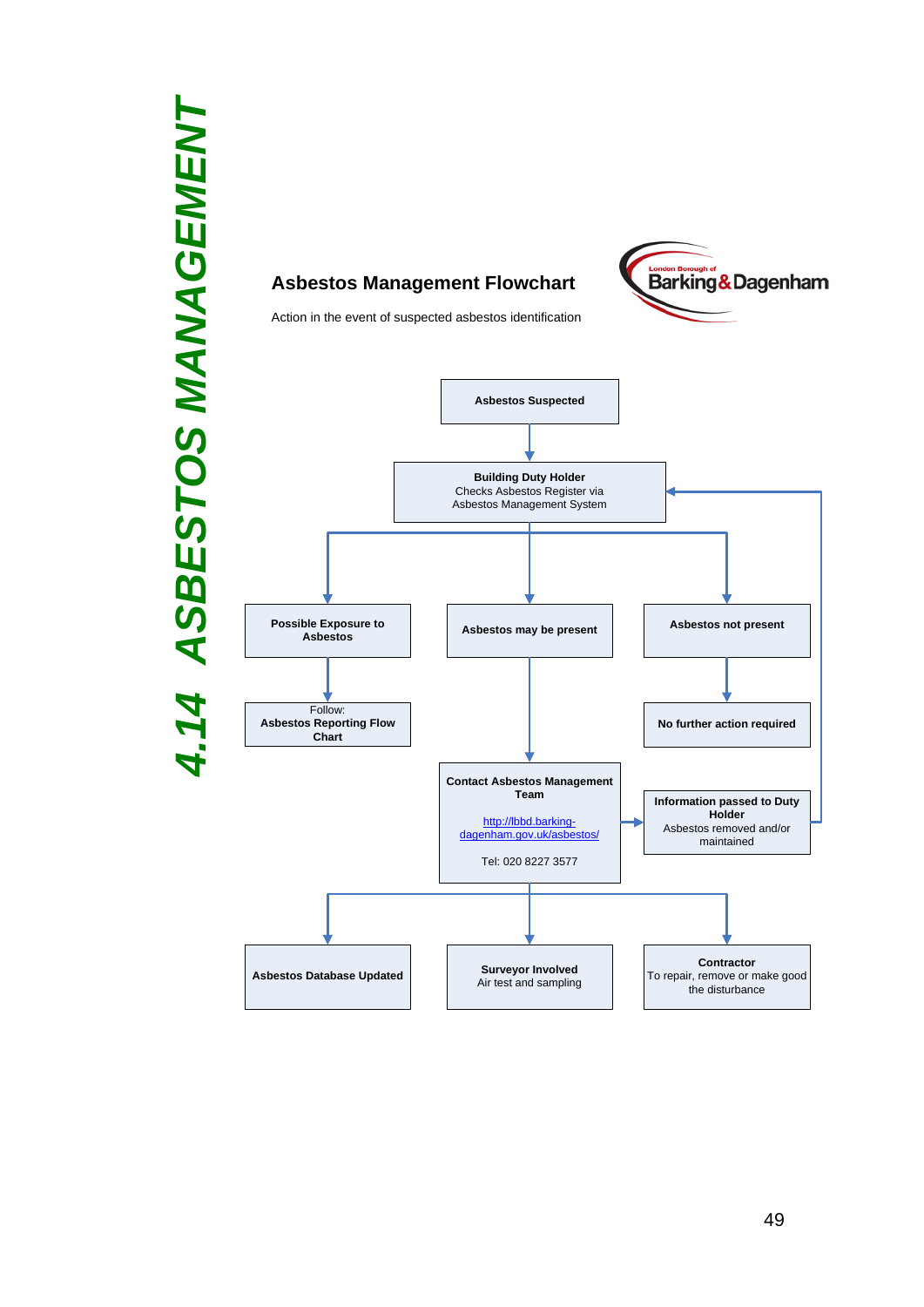# *4.14 ASBESTOS MANAGEMENT* ASBESTOS MANAGEMENT  $14$



**Asbestos Management Flowchart**

### London Borough of<br>Barking & Dagenham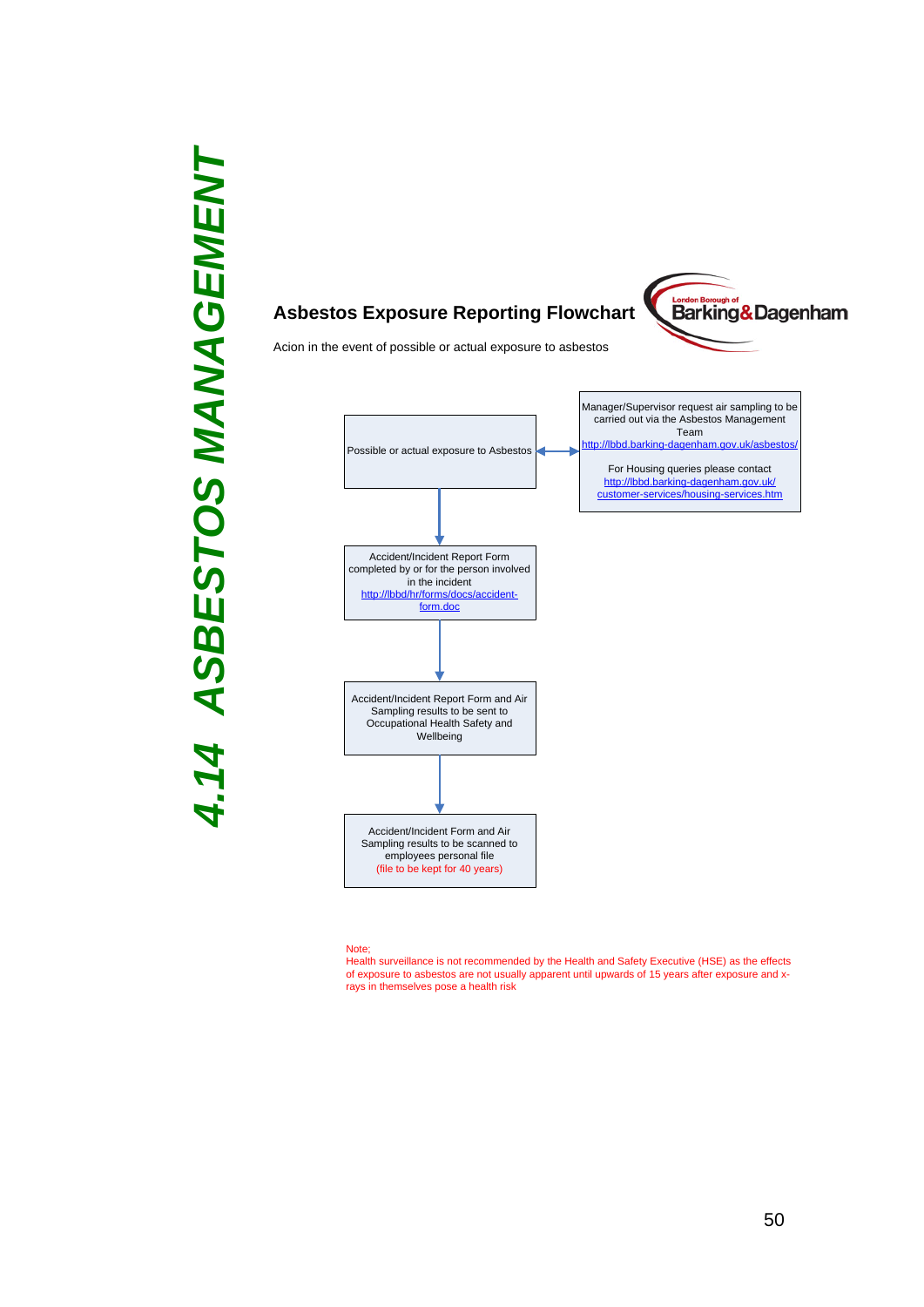

### **Asbestos Exposure Reporting Flowchart**



Acion in the event of possible or actual exposure to asbestos



### Note;

Health surveillance is not recommended by the Health and Safety Executive (HSE) as the effects of exposure to asbestos are not usually apparent until upwards of 15 years after exposure and xrays in themselves pose a health risk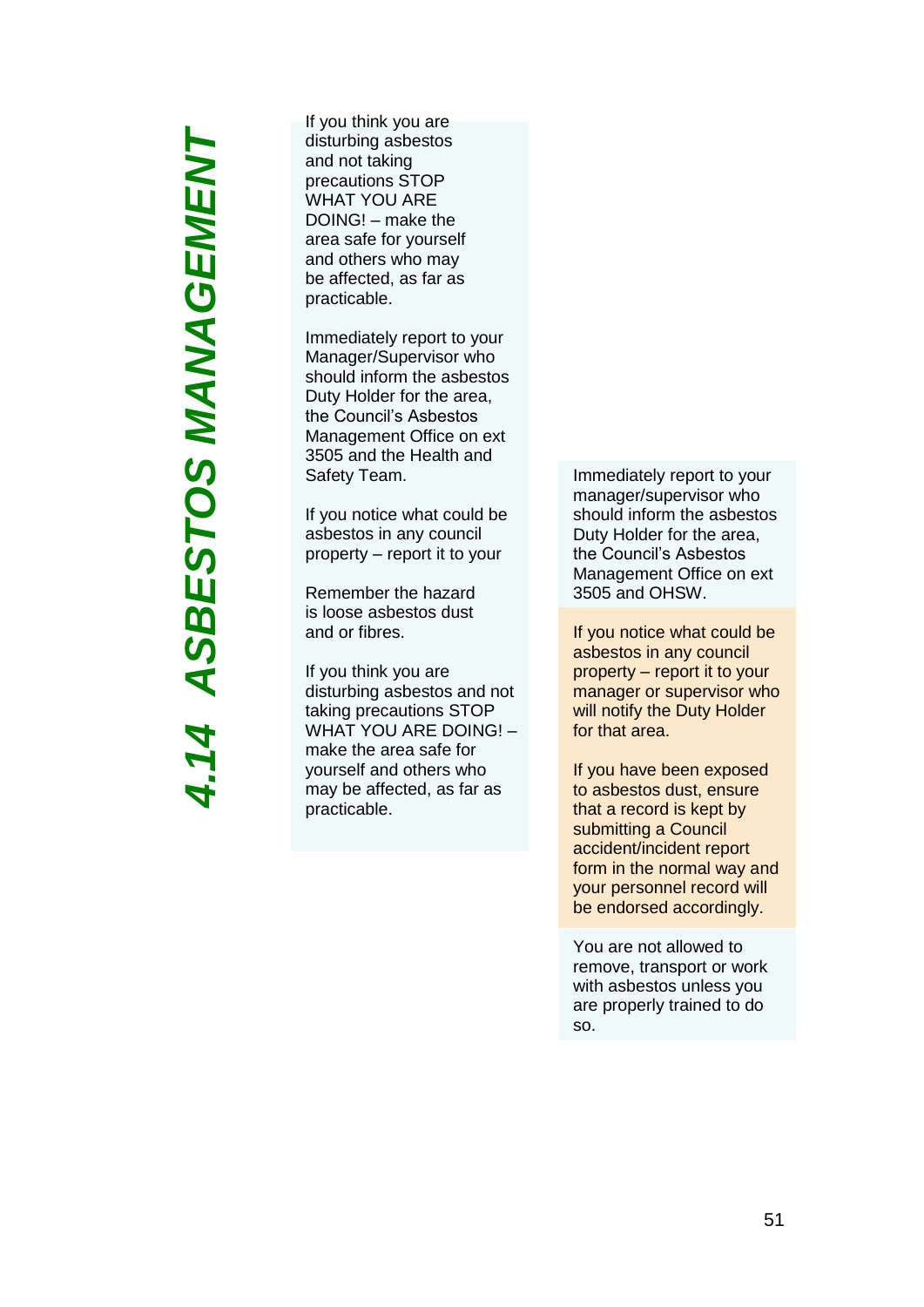# *4.14 ASBESTOS MANAGEMENT*4.14 ASBESTOS MANAGEMENT

If you think you are disturbing asbestos and not taking precautions STOP WHAT YOU ARE DOING! – make the area safe for yourself and others who may be affected, as far as practicable.

Immediately report to your Manager/Supervisor who should inform the asbestos Duty Holder for the area, the Council's Asbestos Management Office on ext 3505 and the Health and Safety Team .

If you notice what could be asbestos in any council property – report it to your

Remember the hazard is loose asbestos dust and or fibres.

If you think you are disturbing asbestos and not taking precautions STOP WHAT YOU ARE DOING! – make the area safe for yourself and others who may be affected, as far as practicable .

Immediately report to your manager/supervisor who should inform the asbestos Duty Holder for the area, the Council's Asbestos Management Office on ext 3505 and OHSW .

If you notice what could be asbestos in any council property – report it to your manager or supervisor who will notify the Duty Holder for that area.

If you have been exposed to asbestos dust, ensure that a record is kept by submitting a Council accident/incident report form in the normal way and your personnel record will be endorsed accordingly.

You are not allowed to remove, transport or work with asbestos unless you are properly trained to do so.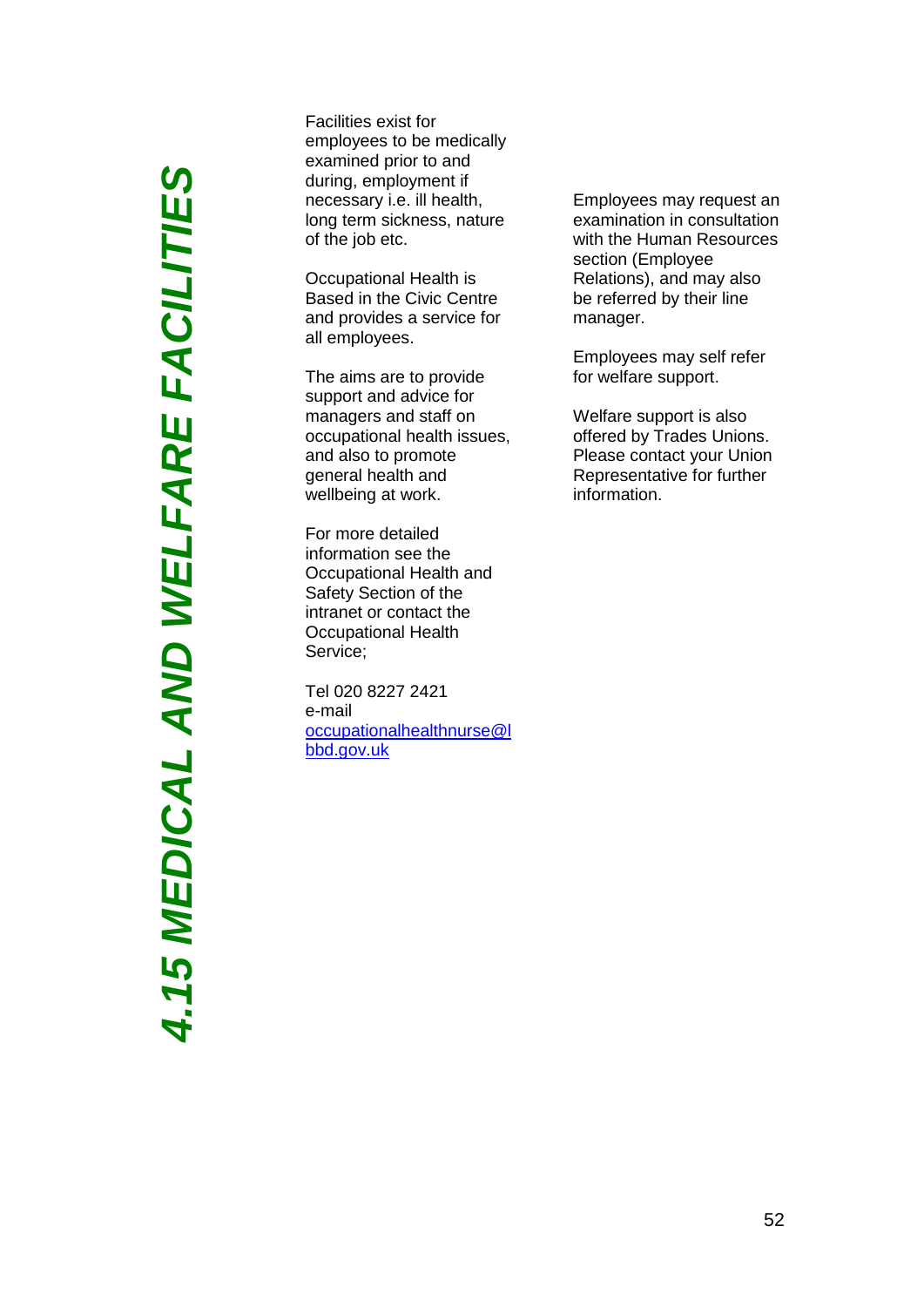**4.15 MEDICAL AND WELFARE FACILITIES** *4.15 MEDICAL AND WELFARE FACILITIES*

Facilities exist for employees to be medically examined prior to and during, employment if necessary i.e. ill health, long term sickness, nature of the job etc.

Occupational Health is Based in the Civic Centre and provides a service for all employees.

The aims are to provide support and advice for managers and staff on occupational health issues, and also to promote general health and wellbeing at work.

For more detailed information see the Occupational Health and Safety Section of the intranet or contact the Occupational Health Service;

Tel 020 8227 2421 e-mail [occupationalhealthnurse@l](mailto:occupationalhealthnurse@lbbd.gov.uk) [bbd.gov.uk](mailto:occupationalhealthnurse@lbbd.gov.uk)

Employees may request an examination in consultation with the Human Resources section (Employee Relations), and may also be referred by their line manager.

Employees may self refer for welfare support.

Welfare support is also offered by Trades Unions. Please contact your Union Representative for further information.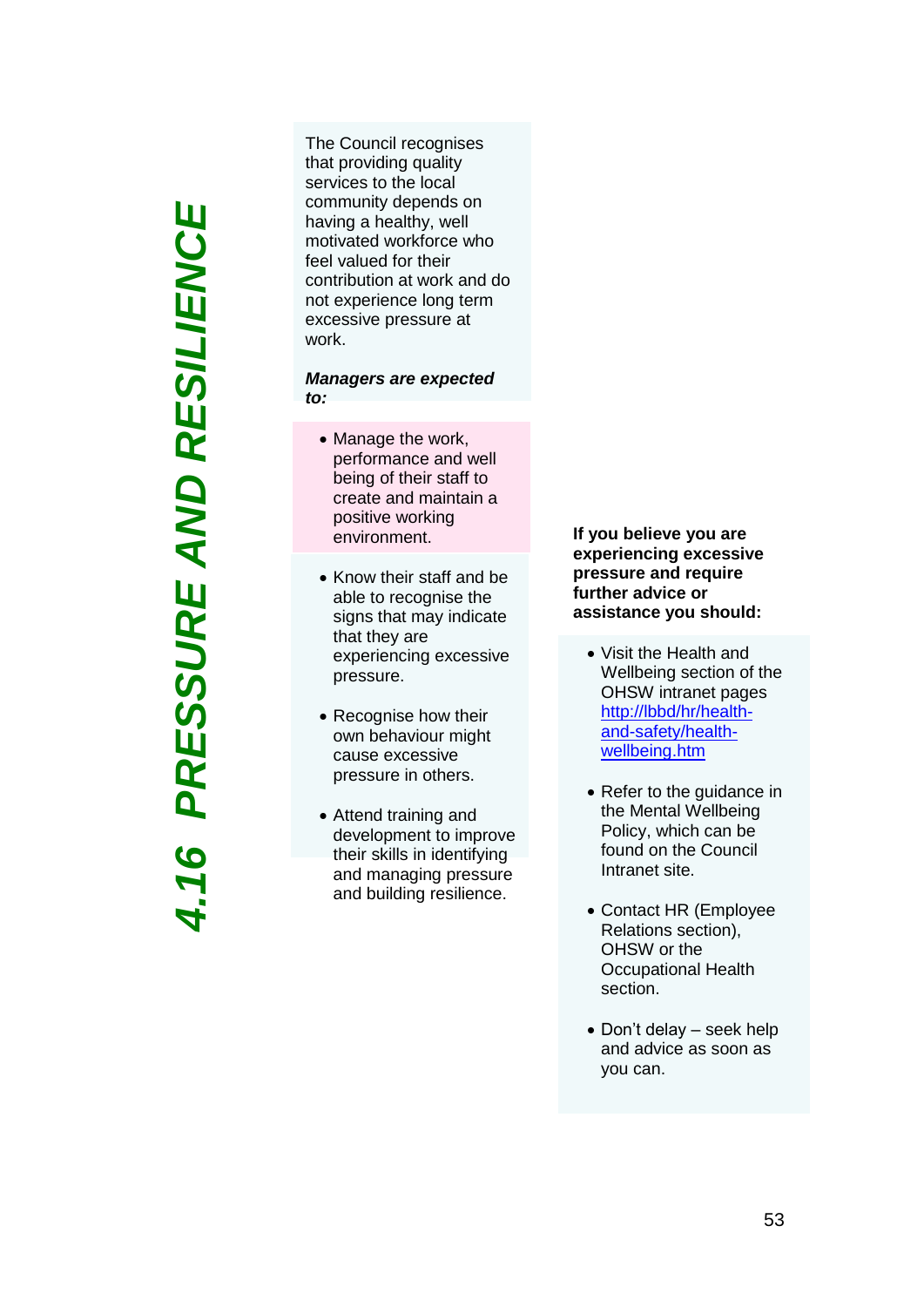PRESSURE AND RESILIENCE *4.16 PRESSURE AND RESILIENCE* $116$ 

The Council recognises that providing quality services to the local community depends on having a healthy, well motivated workforce who feel valued for their contribution at work and do not experience long term excessive pressure at work .

### *Managers are expected to:*

- Manage the work, performance and well being of their staff to create and maintain a positive working environment.
- Know their staff and be able to recognise the signs that may indicate that they are experiencing excessive pressure .
- Recognise how their own behaviour might cause excessive pressure in others.
- Attend training and development to improve their skills in identifying and managing pressure and building resilience.

**If you believe you are experiencing excessive pressure and require further advice or assistance you should:**

- Visit the Health and Wellbeing section of the OHSW intranet pages [http://lbbd/hr/health](http://lbbd/hr/health-and-safety/health-wellbeing.htm)and [-safety/health](http://lbbd/hr/health-and-safety/health-wellbeing.htm) [wellbeing.htm](http://lbbd/hr/health-and-safety/health-wellbeing.htm)
- Refer to the guidance in the Mental Wellbeing Policy, which can be found on the Council Intranet site.
- Contact HR (Employee Relations section), OHS W or the Occupational Health section.
- Don't delay seek help and advice as soon as you can.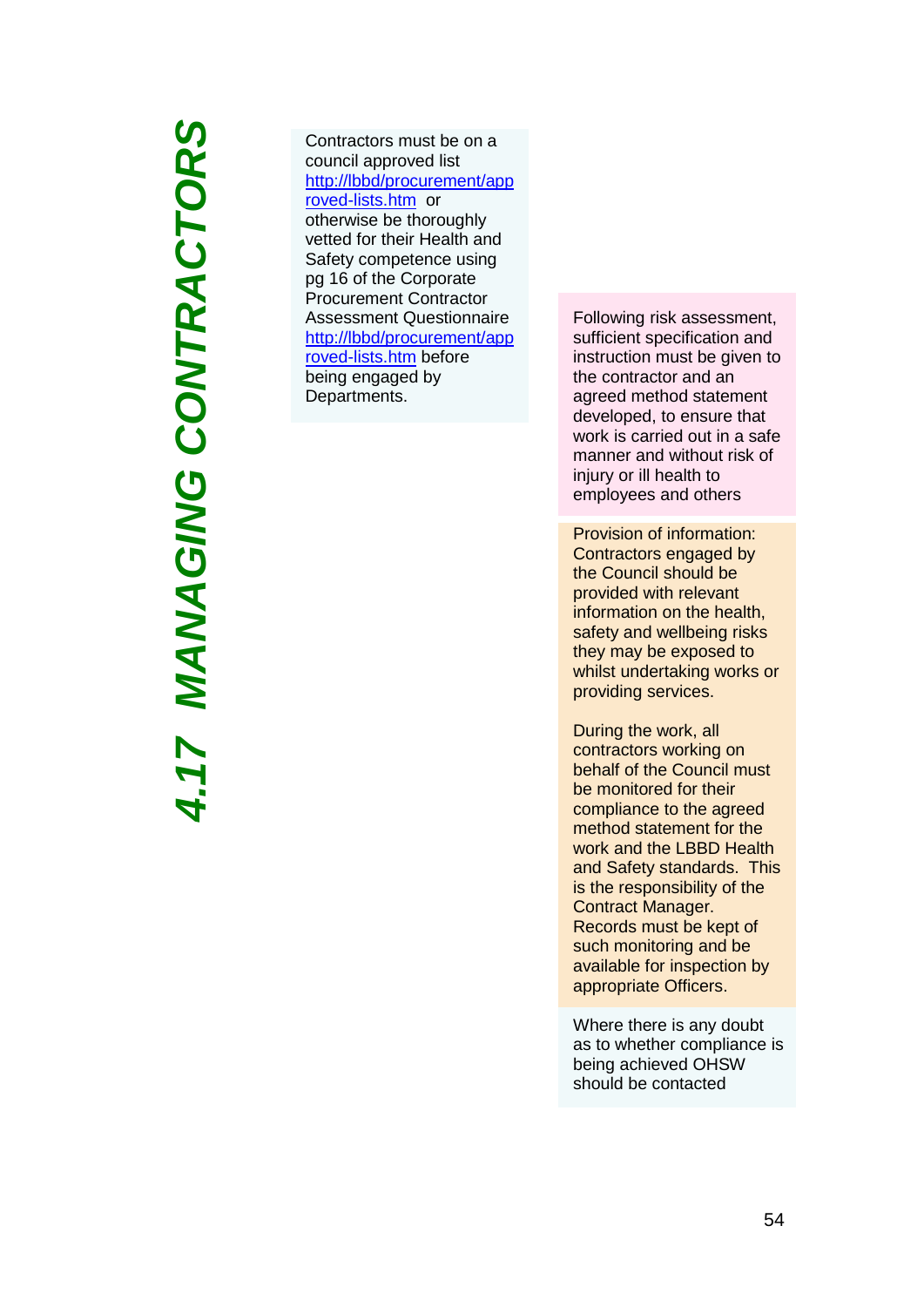4.17 MANAGING CONTRACTORS *4.17 MANAGING CONTRACTORS*

Contractors must be on a council approved list [http://lbbd/procurement/app](http://lbbd/procurement/approved-lists.htm) roved [-lists.htm](http://lbbd/procurement/approved-lists.htm) or otherwise be thoroughly vetted for their Health and Safety competence using pg 16 of the Corporate Procurement Contractor Assessment Questionnaire [http://lbbd/procurement/app](http://lbbd/procurement/approved-lists.htm) roved [-lists.htm](http://lbbd/procurement/approved-lists.htm) before being engaged by Departments.

Following risk assessment, sufficient specification and instruction must be given to the contractor and an agreed method statement developed, to ensure that work is carried out in a safe manner and without risk of injury or ill health to employees and others

Provision of information: Contractors engaged by the Council should be provided with relevant information on the health, safety and wellbeing risks they may be exposed to whilst undertaking works or providing services.

During the work, all contractors working on behalf of the Council must be monitored for their compliance to the agreed method statement for the work and the LBBD Health and Safety standards. This is the responsibility of the Contract Manager. Records must be kept of such monitoring and be available for inspection by appropriate Officers.

Where there is any doubt as to whether compliance is being achieved OHSW should be contacted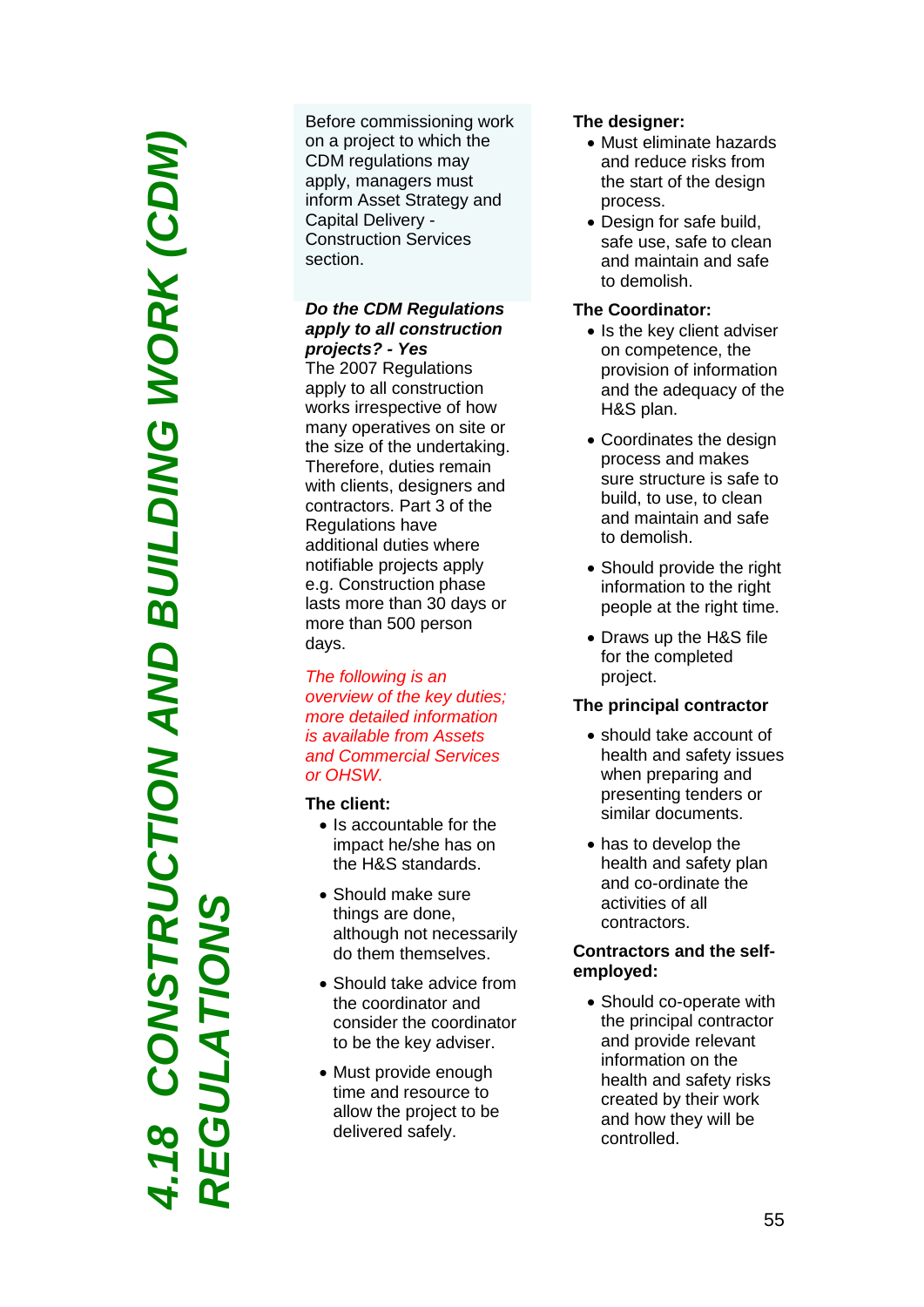*4.18 CONSTRUCTION AND BUILDING WORK (CDM)*  **RUCTION AND BUILDING WORK (CDM)** *REGULATIONS* Before commissioning work on a project to which the CDM regulations may apply, managers must inform Asset Strategy and Capital Delivery - Construction Services section.

### *Do the CDM Regulations apply to all construction projects? - Yes*

The 2007 Regulations apply to all construction works irrespective of how many operatives on site or the size of the undertaking. Therefore, duties remain with clients, designers and contractors. Part 3 of the Regulations have additional duties where notifiable projects apply e.g. Construction phase lasts more than 30 days or more than 500 person days.

*The following is an overview of the key duties; more detailed information is available from Assets and Commercial Services or OHSW.* 

### **The client:**

- Is accountable for the impact he/she has on the H&S standards.
- Should make sure things are done, although not necessarily do them themselves.
- Should take advice from the coordinator and consider the coordinator to be the key adviser.
- Must provide enough time and resource to allow the project to be delivered safely.

### **The designer:**

- Must eliminate hazards and reduce risks from the start of the design process.
- Design for safe build, safe use, safe to clean and maintain and safe to demolish.

### **The Coordinator:**

- Is the key client adviser on competence, the provision of information and the adequacy of the H&S plan.
- Coordinates the design process and makes sure structure is safe to build, to use, to clean and maintain and safe to demolish.
- Should provide the right information to the right people at the right time.
- Draws up the H&S file for the completed project.

### **The principal contractor**

- should take account of health and safety issues when preparing and presenting tenders or similar documents.
- has to develop the health and safety plan and co -ordinate the activities of all contractors .

### **Contractors and the self employed :**

• Should co-operate with the principal contractor and provide relevant information on the health and safety risks created by their work and how they will be controlled.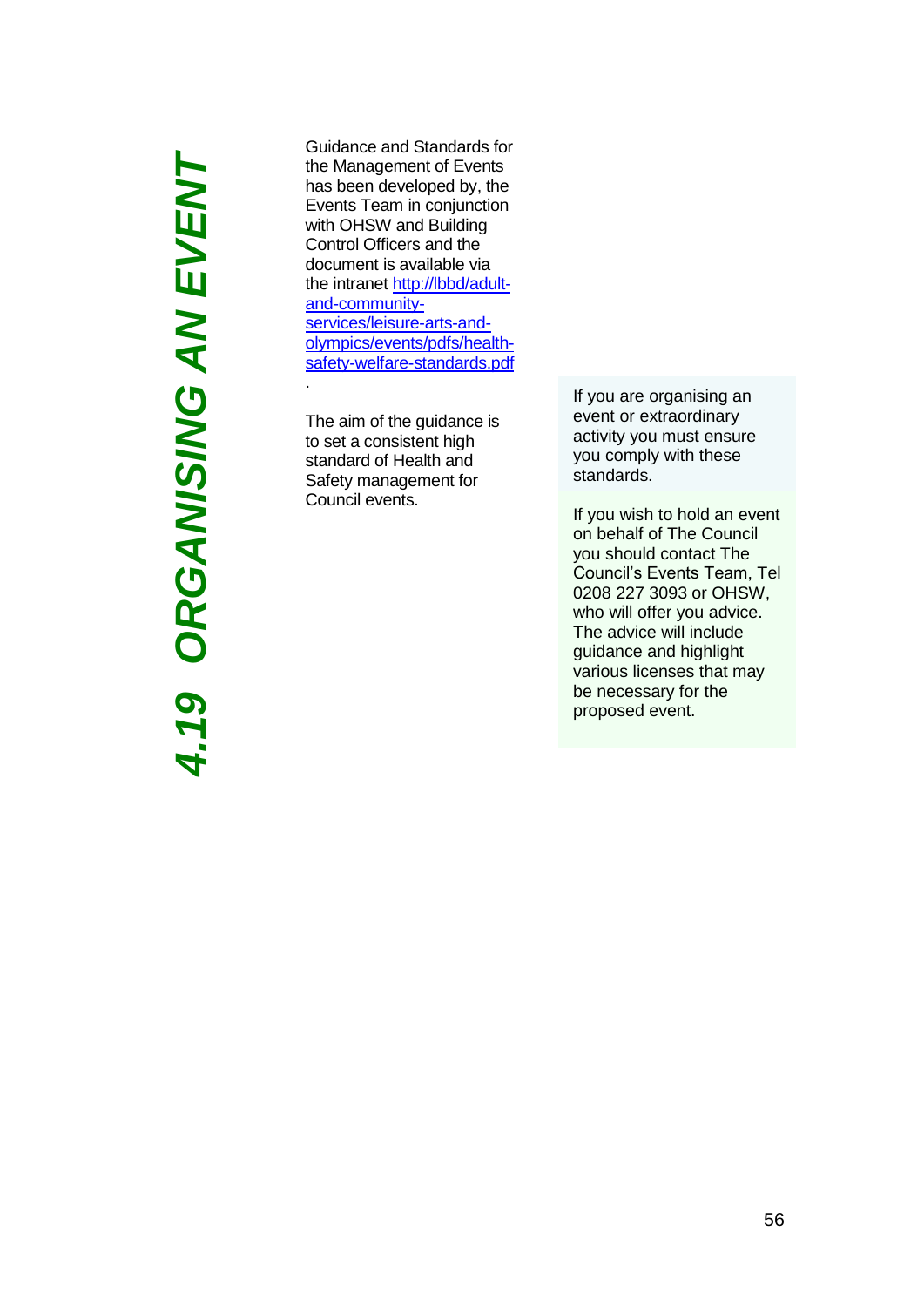# *4.19 ORGANISING AN EVENT***4.19 ORGANISING AN EVENT**

Guidance and Standards for the Management of Events has been developed by, the Events Team in conjunction with OHSW and Building Control Officers and the document is available via the intranet [http://lbbd/adult](http://lbbd/adult-and-community-services/leisure-arts-and-olympics/events/pdfs/health-safety-welfare-standards.pdf)[and-community](http://lbbd/adult-and-community-services/leisure-arts-and-olympics/events/pdfs/health-safety-welfare-standards.pdf)[services/leisure-arts-and](http://lbbd/adult-and-community-services/leisure-arts-and-olympics/events/pdfs/health-safety-welfare-standards.pdf)[olympics/events/pdfs/health](http://lbbd/adult-and-community-services/leisure-arts-and-olympics/events/pdfs/health-safety-welfare-standards.pdf)[safety-welfare-standards.pdf](http://lbbd/adult-and-community-services/leisure-arts-and-olympics/events/pdfs/health-safety-welfare-standards.pdf) .

The aim of the guidance is to set a consistent high standard of Health and Safety management for Council events.

If you are organising an event or extraordinary activity you must ensure you comply with these standards.

If you wish to hold an event on behalf of The Council you should contact The Council's Events Team, Tel 0208 227 3093 or OHSW, who will offer you advice. The advice will include guidance and highlight various licenses that may be necessary for the proposed event.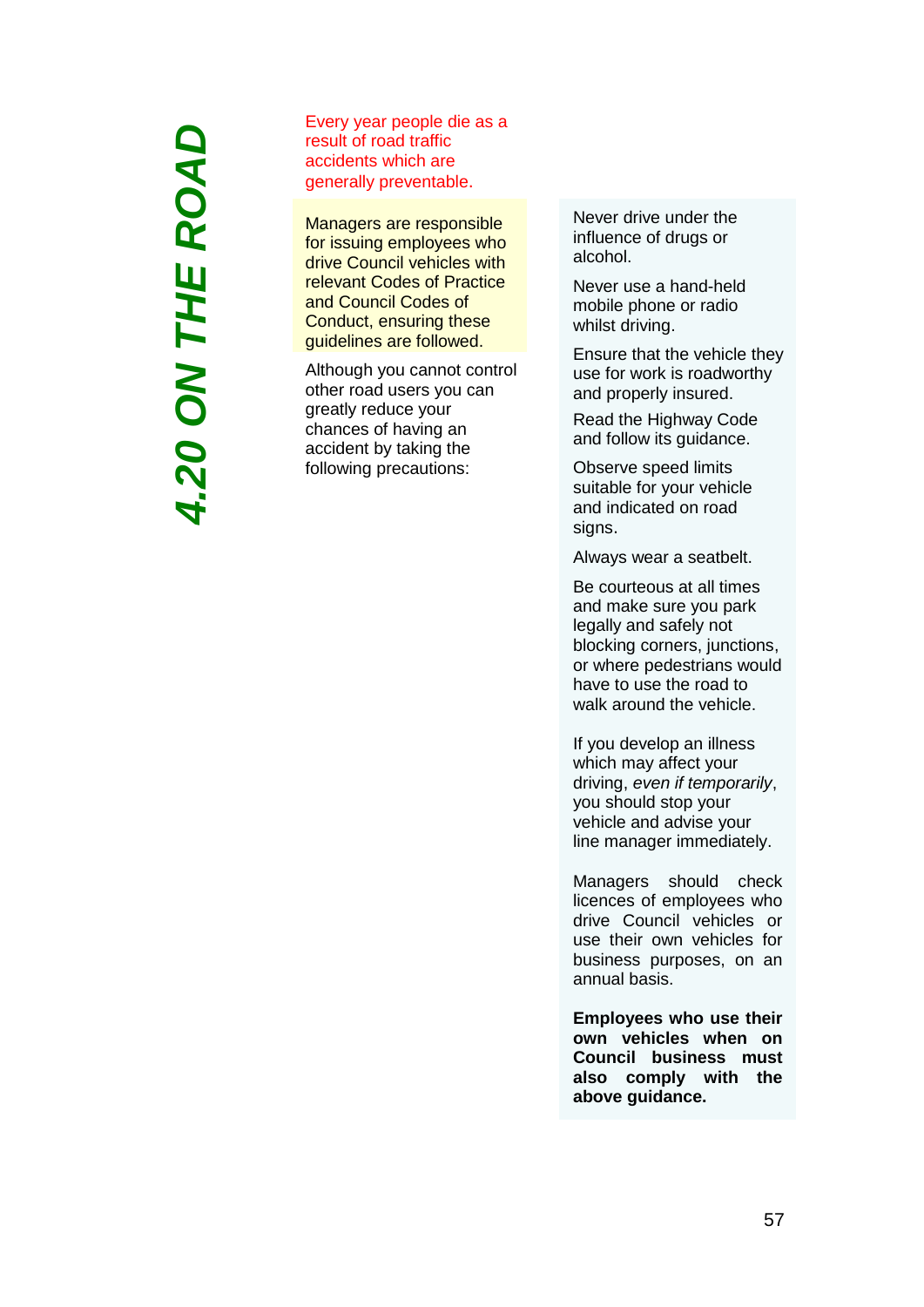# **4.20 ON THE ROAD** *4.20 ON THE ROAD*

Every year people die as a result of road traffic accidents which are generally preventable.

Managers are responsible for issuing employees who drive Council vehicles with relevant Codes of Practice and Council Codes of Conduct, ensuring these guidelines are followed.

Although you cannot control other road users you can greatly reduce your chances of having an accident by taking the following precautions:

Never drive under the influence of drugs or alcohol.

Never use a hand-held mobile phone or radio whilst driving.

Ensure that the vehicle they use for work is roadworthy and properly insured.

Read the Highway Code and follow its guidance.

Observe speed limits suitable for your vehicle and indicated on road signs.

Always wear a seatbelt.

Be courteous at all times and make sure you park legally and safely not blocking corners, junctions, or where pedestrians would have to use the road to walk around the vehicle.

If you develop an illness which may affect your driving, *even if temporarily*, you should stop your vehicle and advise your line manager immediately.

Managers should check licences of employees who drive Council vehicles or use their own vehicles for business purposes, on an annual basis.

**Employees who use their own vehicles when on Council business must also comply with the above guidance.**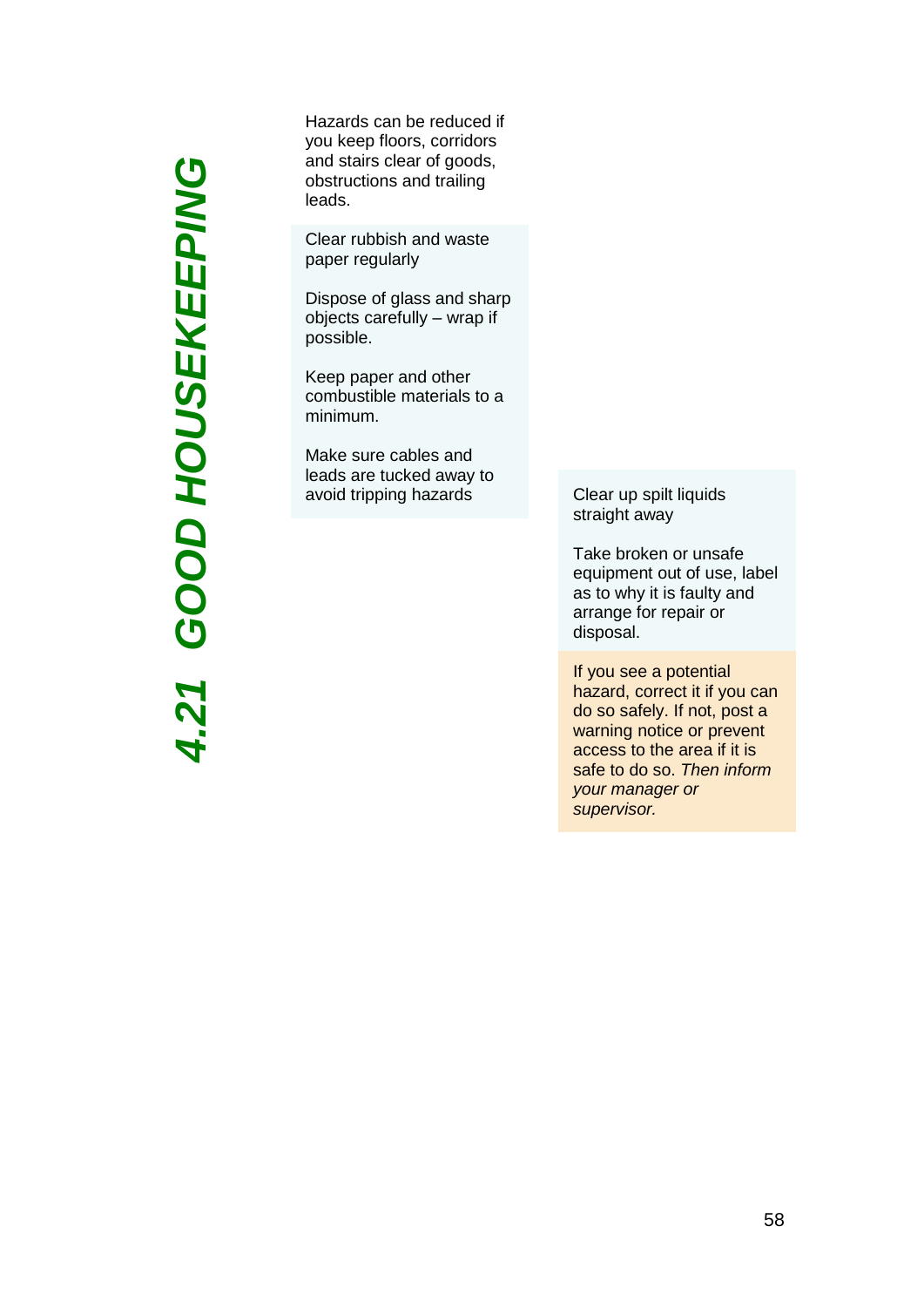*4.2 1GOOD HOUSEKEEPING* Hazards can be reduced if you keep floors, corridors and stairs clear of goods, obstructions and trailing leads.

Clear rubbish and waste paper regularly

Dispose of glass and sharp objects carefully – wrap if possible.

Keep paper and other combustible materials to a minimum.

Make sure cables and leads are tucked away to avoid tripping hazards Clear up spilt liquids

straight away

Take broken or unsafe equipment out of use, label as to why it is faulty and arrange for repair or disposal.

If you see a potential hazard, correct it if you can do so safely. If not, post a warning notice or prevent access to the area if it is safe to do so. *Then inform your manager or supervisor.*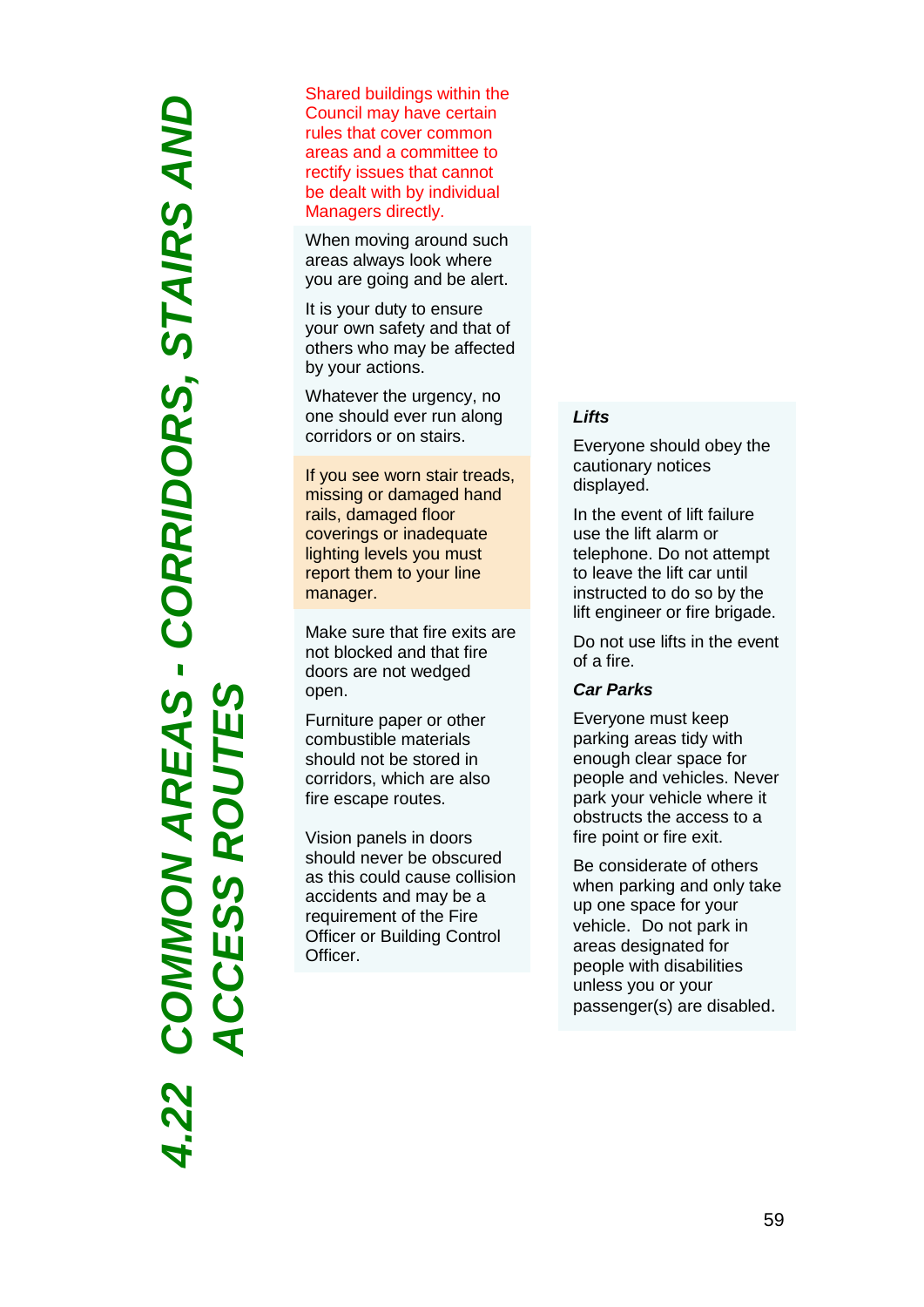*4.22 COMMON AREAS - CORRIDORS, STAIRS AND*  COMMON AREAS - CORRIDORS, STAIRS AND *ACCESS ROUTES*SS R Щ  $\tilde{\mathbf{C}}$  $\bar{\mathbf{q}}$  Shared buildings within the Council may have certain rules that cover common areas and a committee to rectify issues that cannot be dealt with by individual Managers directly.

When moving around such areas always look where you are going and be alert.

It is your duty to ensure your own safety and that of others who may be affected by your actions.

Whatever the urgency, no one should ever run along corridors or on stairs.

If you see worn stair treads, missing or damaged hand rails, damaged floor coverings or inadequate lighting levels you must report them to your line manager.

Make sure that fire exits are not blocked and that fire doors are not wedged open.

Furniture paper or other combustible materials should not be stored in corridors, which are also fire escape routes.

Vision panels in doors should never be obscured as this could cause collision accidents and may be a requirement of the Fire Officer or Building Control Officer.

### *Lifts*

Everyone should obey the cautionary notices displayed.

In the event of lift failure use the lift alarm or telephone. Do not attempt to leave the lift car until instructed to do so by the lift engineer or fire brigade.

Do not use lifts in the event of a fire.

### *Car Parks*

Everyone must keep parking areas tidy with enough clear space for people and vehicles. Never park your vehicle where it obstructs the access to a fire point or fire exit.

Be considerate of others when parking and only take up one space for your vehicle. Do not park in areas designated for people with disabilities unless you or your passenger(s) are disabled .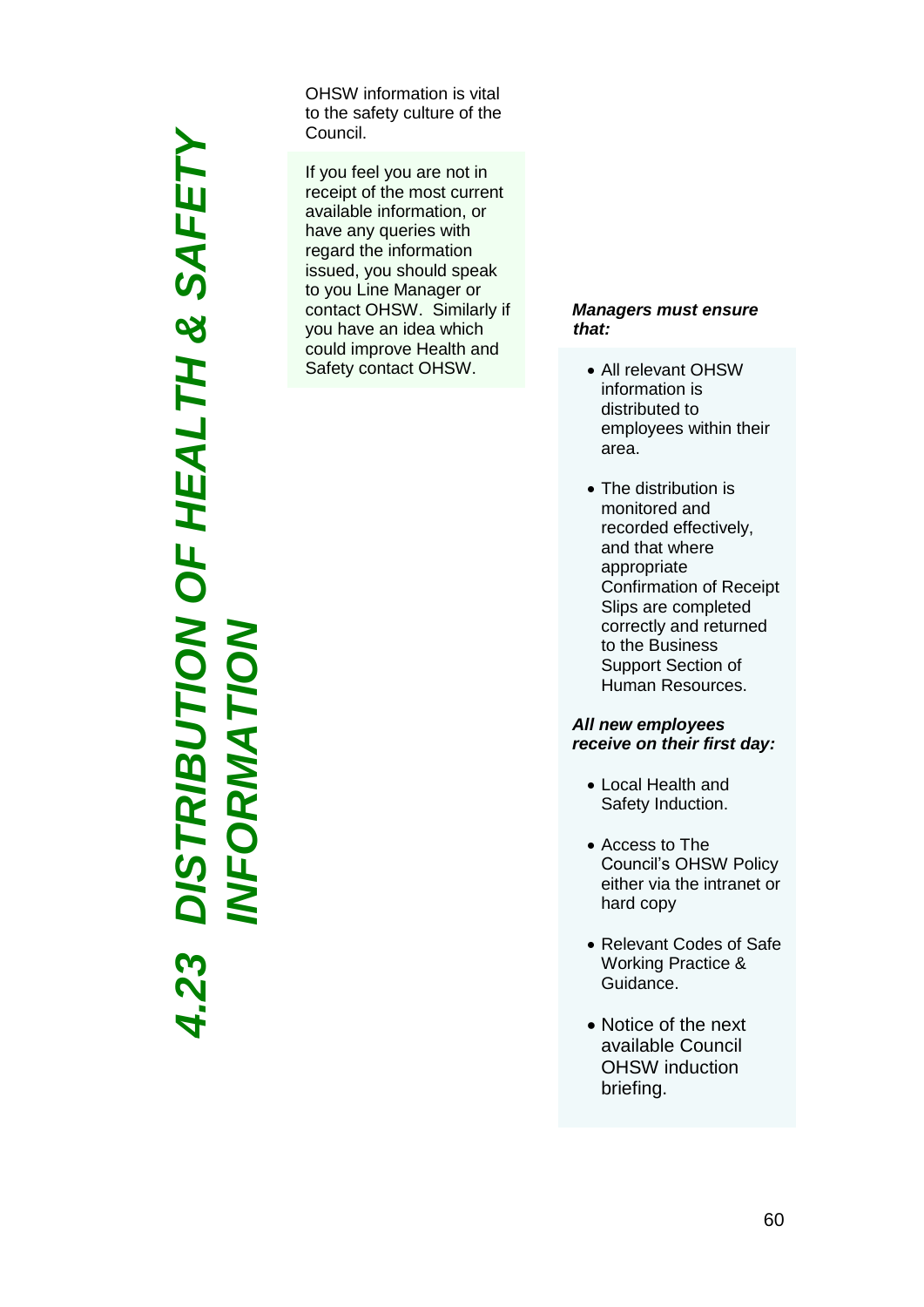*4.23 DISTRIBUTION OF HEALTH & SAFETY*  DISTRIBUTION OF HEALTH & SAFETY<br>INFORMATION *INFORMATION*

OHSW information is vital to the safety culture of the Council.

If you feel you are not in receipt of the most current available information, or have any queries with regard the information issued, you should speak to you Line Manager or contact OHSW. Similarly if you have an idea which could improve Health and Safety contact OHSW .

### *Managers must ensure that:*

- All relevant OHSW information is distributed to employees within their area.
- The distribution is monitored and recorded effectively, and that where appropriate Confirmation of Receipt Slips are completed correctly and returned to the Business Support Section of Human Resources.

### *All new employees receive on their first day :*

- Local Health and Safety Induction .
- Access to The Council's OHSW Policy either via the intranet or hard copy
- Relevant Codes of Safe Working Practice & Guidance .
- Notice of the next available Council OHSW induction briefing.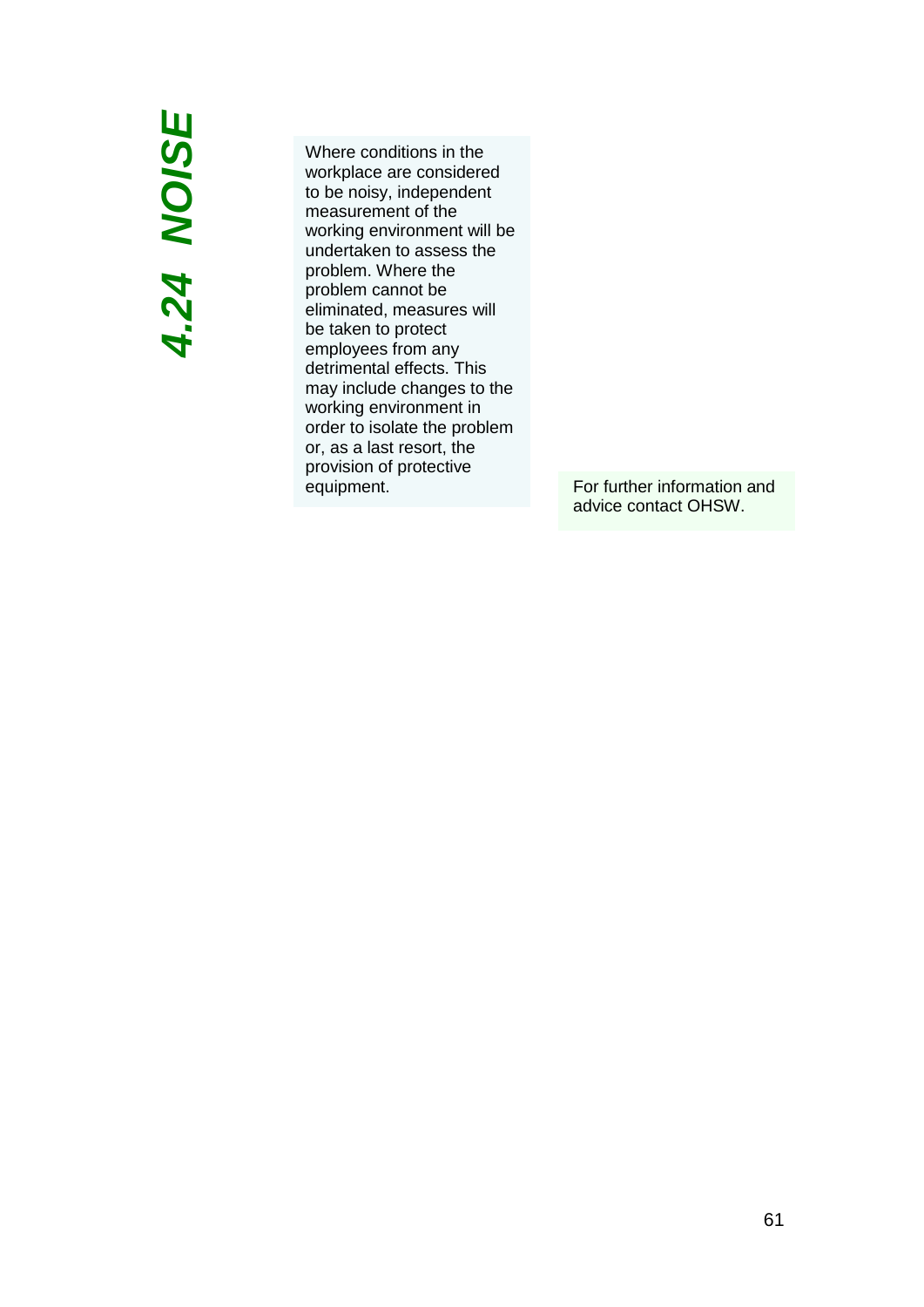### *4.2 4 NOISE*

Where conditions in the workplace are considered to be noisy, independent measurement of the working environment will be undertaken to assess the problem. Where the problem cannot be eliminated, measures will be taken to protect employees from any detrimental effects. This may include changes to the working environment in order to isolate the problem or, as a last resort, the provision of protective equipment. For further information and

advice contact OHSW.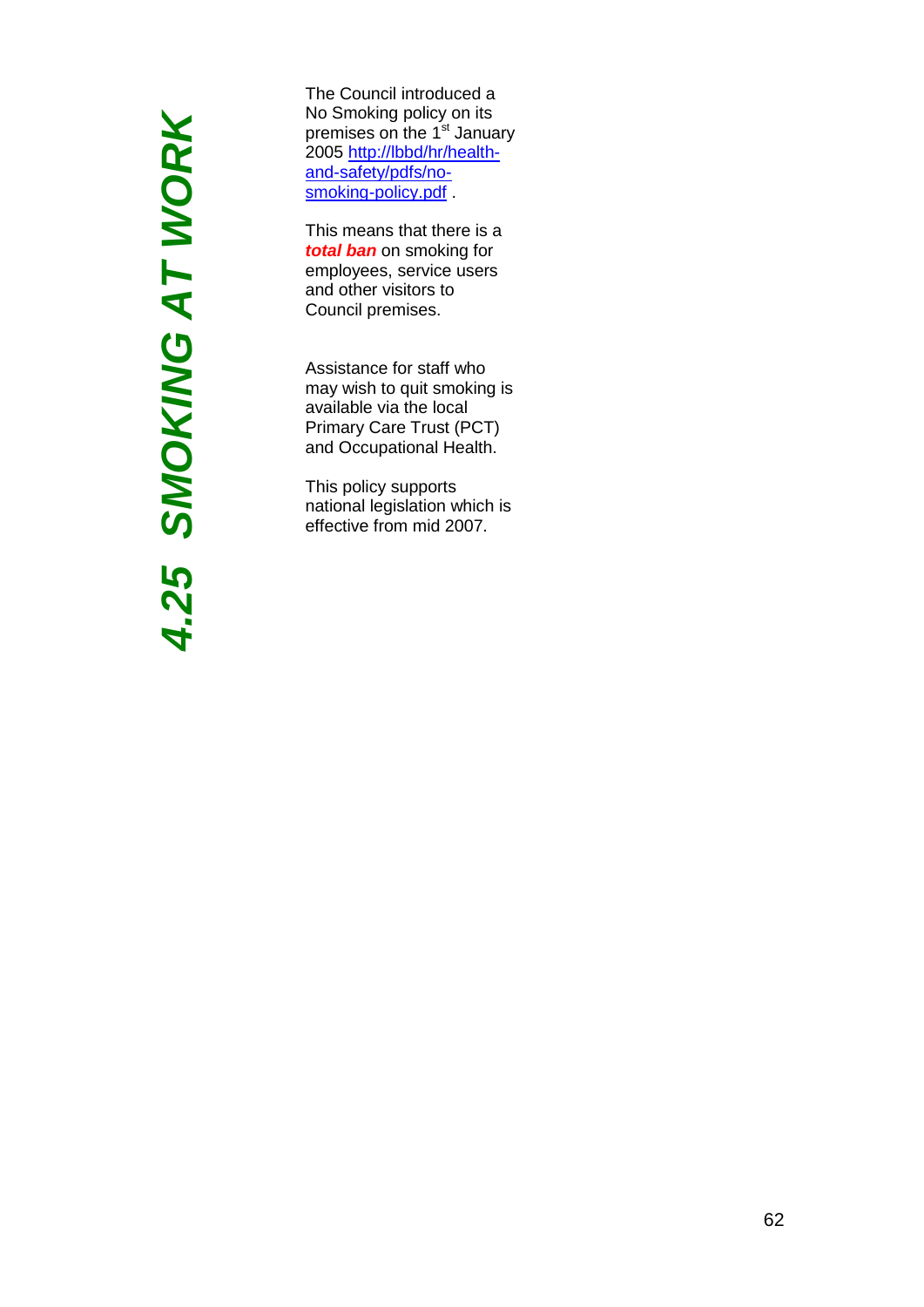# **4.25 SMOKING AT WORK** *4.25 SMOKING AT WORK*

The Council introduced a No Smoking policy on its premises on the 1<sup>st</sup> January 2005 [http://lbbd/hr/health](http://lbbd/hr/health-and-safety/pdfs/no-smoking-policy.pdf)and [-safety/pdfs/no](http://lbbd/hr/health-and-safety/pdfs/no-smoking-policy.pdf) smoking [-policy.pdf](http://lbbd/hr/health-and-safety/pdfs/no-smoking-policy.pdf) .

This mean s that there is a *total ban* on smoking for employees , service users and other visitors to Council premises.

Assistance for staff who may wish to quit smoking is available via the local Primary Care Trust (PCT) and Occupational Health.

This policy support s national legislation which is effective from mid 2007.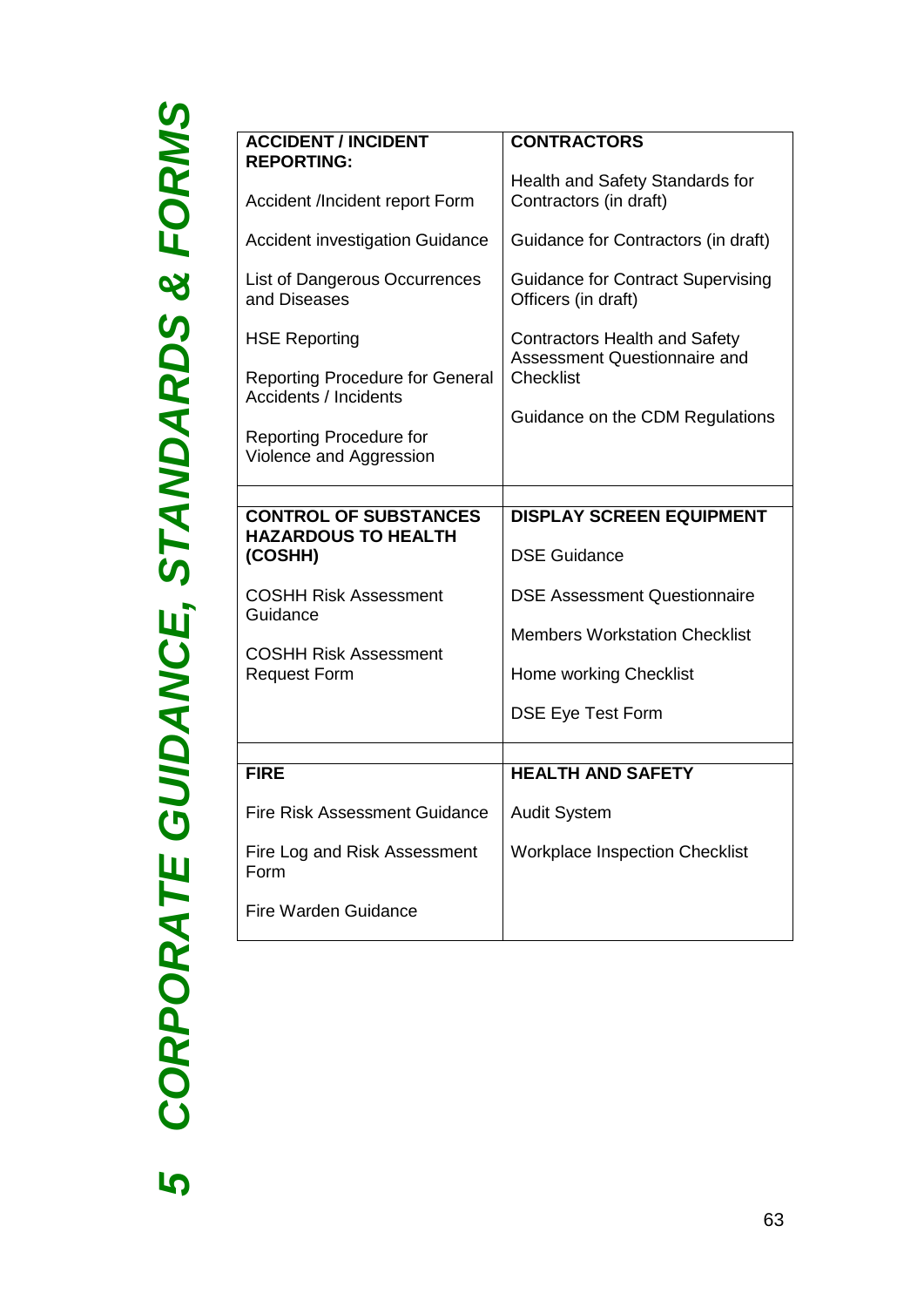CORPORATE GUIDANCE, STANDARDS & FORMS *CORPORATE GUIDANCE, STANDARDS & FORMS5*

| <b>ACCIDENT / INCIDENT</b><br><b>REPORTING:</b><br>Accident /Incident report Form<br><b>Accident investigation Guidance</b><br><b>List of Dangerous Occurrences</b><br>and Diseases<br><b>HSE Reporting</b><br><b>Reporting Procedure for General</b><br><b>Accidents / Incidents</b> | <b>CONTRACTORS</b><br>Health and Safety Standards for<br>Contractors (in draft)<br>Guidance for Contractors (in draft)<br><b>Guidance for Contract Supervising</b><br>Officers (in draft)<br><b>Contractors Health and Safety</b><br>Assessment Questionnaire and<br><b>Checklist</b> |
|---------------------------------------------------------------------------------------------------------------------------------------------------------------------------------------------------------------------------------------------------------------------------------------|---------------------------------------------------------------------------------------------------------------------------------------------------------------------------------------------------------------------------------------------------------------------------------------|
| Reporting Procedure for<br>Violence and Aggression                                                                                                                                                                                                                                    | Guidance on the CDM Regulations                                                                                                                                                                                                                                                       |
|                                                                                                                                                                                                                                                                                       |                                                                                                                                                                                                                                                                                       |
| <b>CONTROL OF SUBSTANCES</b><br><b>HAZARDOUS TO HEALTH</b><br>(COSHH)                                                                                                                                                                                                                 | <b>DISPLAY SCREEN EQUIPMENT</b><br><b>DSE Guidance</b>                                                                                                                                                                                                                                |
| <b>COSHH Risk Assessment</b><br>Guidance                                                                                                                                                                                                                                              | <b>DSE Assessment Questionnaire</b>                                                                                                                                                                                                                                                   |
|                                                                                                                                                                                                                                                                                       | <b>Members Workstation Checklist</b>                                                                                                                                                                                                                                                  |
| <b>COSHH Risk Assessment</b><br><b>Request Form</b>                                                                                                                                                                                                                                   |                                                                                                                                                                                                                                                                                       |
|                                                                                                                                                                                                                                                                                       | Home working Checklist                                                                                                                                                                                                                                                                |
|                                                                                                                                                                                                                                                                                       | <b>DSE Eye Test Form</b>                                                                                                                                                                                                                                                              |
|                                                                                                                                                                                                                                                                                       |                                                                                                                                                                                                                                                                                       |
| <b>FIRE</b>                                                                                                                                                                                                                                                                           | <b>HEALTH AND SAFETY</b>                                                                                                                                                                                                                                                              |
| <b>Fire Risk Assessment Guidance</b>                                                                                                                                                                                                                                                  | <b>Audit System</b>                                                                                                                                                                                                                                                                   |
| Fire Log and Risk Assessment<br>Form                                                                                                                                                                                                                                                  | <b>Workplace Inspection Checklist</b>                                                                                                                                                                                                                                                 |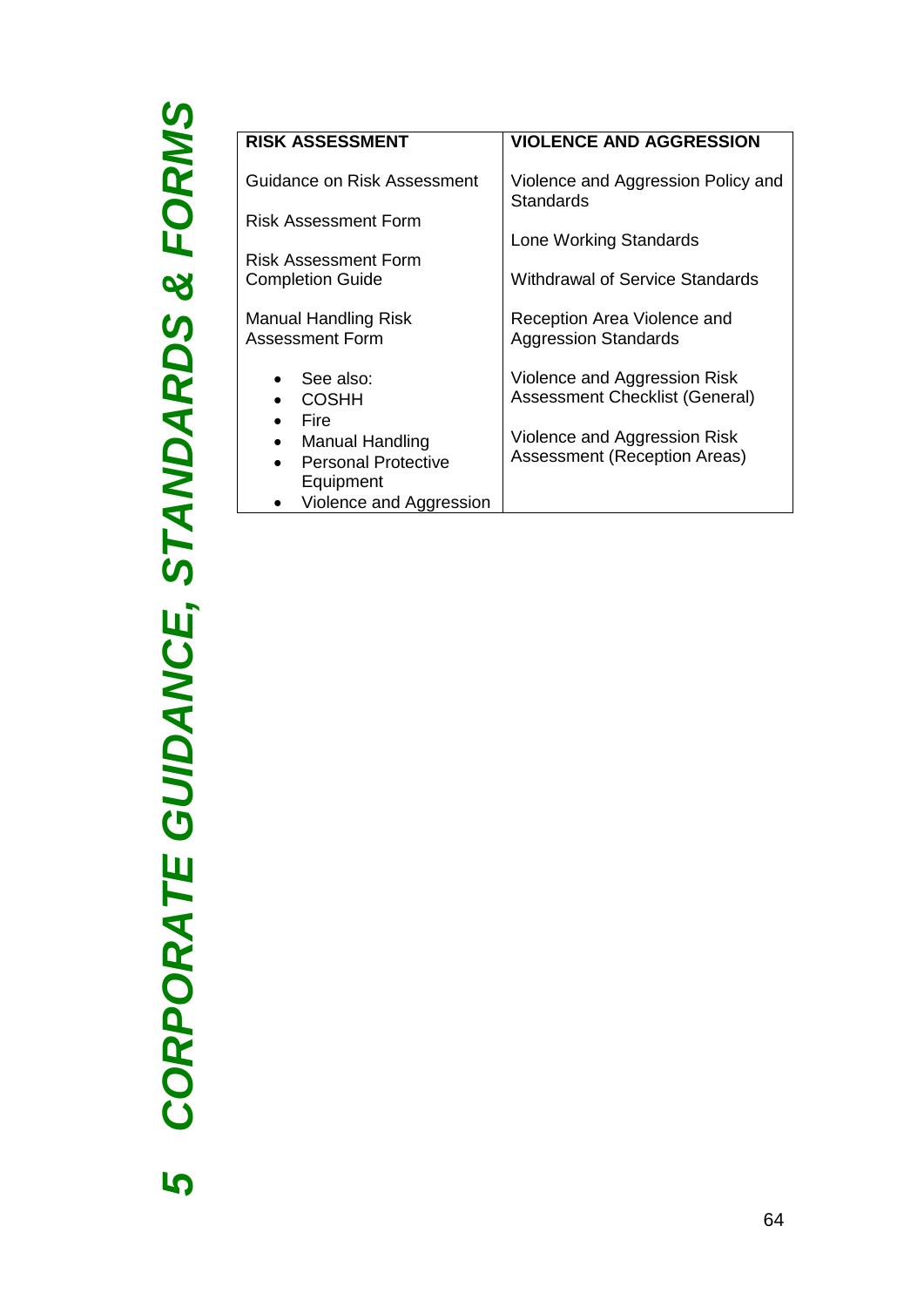5 CORPORATE GUIDANCE, STANDARDS & FORMS *CORPORATE GUIDANCE, STANDARDS & FORMS*

| <b>VIOLENCE AND AGGRESSION</b>     |
|------------------------------------|
|                                    |
| Violence and Aggression Policy and |
| <b>Standards</b>                   |
|                                    |
| Lone Working Standards             |
|                                    |
| Withdrawal of Service Standards    |
|                                    |
| Reception Area Violence and        |
| <b>Aggression Standards</b>        |
|                                    |
| Violence and Aggression Risk       |
| Assessment Checklist (General)     |
|                                    |
|                                    |
| Violence and Aggression Risk       |
| Assessment (Reception Areas)       |
|                                    |
|                                    |
|                                    |